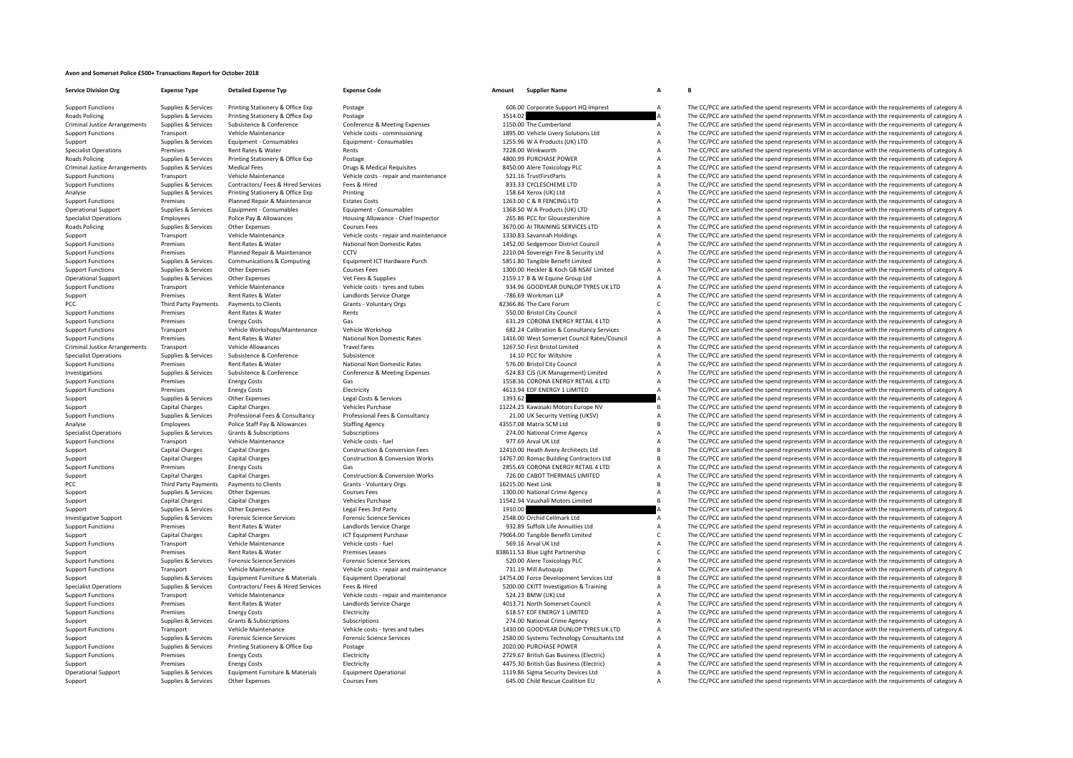## **Avon and Somerset Police £500+ Transactions Report for October 2018**

**Service DivisionRoads Policing** Criminal JusticeRoadsCriminal Justice**Roads Policing** Third Party Payments Criminal Justice**PCC Third Party Payments** 

**Org Expense Type Detailed Expense Typ Expense Code Amount Supplier Name A B**

|         | 606.00 Corporate Support HQ Imprest                                                |
|---------|------------------------------------------------------------------------------------|
| 3514.02 |                                                                                    |
|         | 1150.00 The Cumberland                                                             |
|         | 1895.00 Vehicle Livery Solutions Ltd<br>1255.96 W A Products (UK) LTD              |
|         | 7228.00 Winkworth                                                                  |
|         | 4800.99 PURCHASE POWER                                                             |
|         | 8450.00 Alere Toxicology PLC                                                       |
|         | 521.16 TrustFirstParts                                                             |
|         | 833.33 CYCLESCHEME LTD                                                             |
|         | 158.64 Xerox (UK) Ltd                                                              |
|         | 1263.00 C & R FENCING LTD                                                          |
|         | 1368.50 W A Products (UK) LTD                                                      |
|         | 265.86 PCC for Gloucestershire                                                     |
|         | 3670.00 AI TRAINING SERVICES LTD                                                   |
|         | 1330.83 Savannah Holdings                                                          |
|         | 1452.00 Sedgemoor District Council<br>2210.04 Sovereign Fire & Security Ltd        |
|         | 5851.80 Tangible Benefit Limited                                                   |
|         | 1300.00 Heckler & Koch GB NSAF Limited                                             |
|         | 2159.17 B & W Equine Group Ltd                                                     |
|         | 934.96 GOODYEAR DUNLOP TYRES UK LTD                                                |
|         | -786.69 Workman LLP                                                                |
|         | 82366.86 The Care Forum                                                            |
|         | 550.00 Bristol City Council                                                        |
|         | 631.29 CORONA ENERGY RETAIL 4 LTD                                                  |
|         | 682.24 Calibration & Consultancy Services                                          |
|         | 1416.00 West Somerset Council Rates/Council                                        |
|         | 1267.50 First Bristol Limited                                                      |
|         | 14.10 PCC for Wiltshire                                                            |
|         | 576.00 Bristol City Council                                                        |
|         | -524.83 CJS (UK Management) Limited<br>1558.36 CORONA ENERGY RETAIL 4 LTD          |
|         | 4613.94 EDF ENERGY 1 LIMITED                                                       |
|         |                                                                                    |
|         |                                                                                    |
| 1393.62 |                                                                                    |
|         | 11224.25 Kawasaki Motors Europe NV<br>21.00 UK Security Vetting (UKSV)             |
|         | 43557.08 Matrix SCM Ltd                                                            |
|         | 274.00 National Crime Agency                                                       |
|         | 977.69 Arval UK Ltd                                                                |
|         | 12410.00 Heath Avery Architects Ltd                                                |
|         | 14767.00 Romac Building Contractors Ltd                                            |
|         | 2855.69 CORONA ENERGY RETAIL 4 LTD                                                 |
|         | 726.00 CABOT THERMALS LIMITED                                                      |
|         | 16215.00 Next Link                                                                 |
|         | 1300.00 National Crime Agency                                                      |
|         | 11542.94 Vauxhall Motors Limited                                                   |
| 1910.00 | 2548.00 Orchid Cellmark Ltd                                                        |
|         | 932.89 Suffolk Life Annuities Ltd                                                  |
|         | 79064.00 Tangible Benefit Limited                                                  |
|         | 569.16 Arval UK Ltd                                                                |
|         | 838611.53 Blue Light Partnership                                                   |
|         | 520.00 Alere Toxicology PLC                                                        |
|         | 731.19 Mill Autoquip                                                               |
|         | 14754.00 Force Development Services Ltd                                            |
|         | 5200.00 CKITT Investigation & Training                                             |
|         | 524.23 BMW (UK) Ltd                                                                |
|         | 4013.71 North Somerset Council                                                     |
|         | 618.57 EDF ENERGY 1 LIMITED                                                        |
|         | 274.00 National Crime Agency                                                       |
|         | 1430.00 GOODYEAR DUNLOP TYRES UK LTD<br>2580.00 Systems Technology Consultants Ltd |
|         | 2020.00 PURCHASE POWER                                                             |
|         | 2729.67 British Gas Business (Electric)                                            |
|         | 4475.30 British Gas Business (Electric)                                            |
|         | 1119.86 Sigma Security Devices Ltd<br>645.00 Child Rescue Coalition EU             |

Support Functions Supplies & Services Printing Stationery & Office Exp Postage Postage 606.00 Corporate Support HQ Imprest A The CC/PCC are satisfied the spend represents VFM in accordance with the requirements of category Policing Supplies & Services Printing Stationery & Office Exp Postage Principal Policing Principal areas and the Supplies A The CC/PCC are satisfied the spend represents VFM in accordance with the requirements of category Arrangements Supplies & Services Subsistence & Conference Conference & Meeting Expenses 1150.00 The Cumberland A The CC/PCC are satisfied the spend represents VFM in accordance with the requirements of category A Support Functions Transport Vehicle Maintenance Vehicle costs - commissioning 1895.00 Vehicle Livery Solutions Ltd A The CC/PCC are satisfied the spend represents VFM in accordance with the requirements of category A Support Supplies & Services Equipment - Consumables Equipment - Consumables Equipment - Consumables 1255.96 W A Products (UK) LTD A The CC/PCC are satisfied the spend represents VFM in accordance with the requirements of c Specialist Operations Premises Rent Rates & Water Rents 7228.00 Winkworth A The CC/PCC are satisfied the spend represents VFM in accordance with the requirements of category A Supplies & Services Printing Stationery & Office Exp Postage exp Postage and the spend about the spend represents VFM in accordance with the requirements of category A Supplies & Services Medical Fees Drugs & Medical Requisites 8450.00 Alere Toxicology PLC A The CC/PCC are satisfied the spend represents VFM in accordance with the requirements of category A Support Functions Transport Vehicle Maintenance Vehicle costs - repair and maintenance 521.16 TrustFirstParts A The CC/PCC are satisfied the spend represents VFM in accordance with the requirements of category A Support Functions Supplies & Services Contractors/ Fees & Hired Services Fees & Hired Services Fees & Hired 833.33 CYCLESCHEME LTD A The CC/PCC are satisfied the spend represents VFM in accordance with the requirements of Analyse Supplies & Services Printing Stationery & Office Exp Printing Printing 158.64 Xerox (UK) Ltd A The CC/PCC are satisfied the spend represents VFM in accordance with the requirements of category A Support Functions Premises Planned Repair & Maintenance Estates Costs 1263.00 C & R FENCING LTD A The CC/PCC are satisfied the spend represents VFM in accordance with the requirements of category A Cherational Support Cons Operational Support Supplies & Services Equipment – Consumables Equipment – Consumables Equipment – Consumables Equipment – Consumables Equipment – Consumables and the spend represents (UK) LTD A The CC/PCC are satisfied t Specialize Chief Operations Chief Inspections Property and the Control of Chief Inspector 265.86 PCC for Gloucestershire A The CC/PCC are satisfied the spend represents VFM in accordance with the requirements of category A Policing Supplies & Services Other Expenses Courses Fees Courses Fees Courses Fees 3670.00 AI TRAINING SERVICES LTD A The CC/PCC are satisfied the spend represents VFM in accordance with the requirements of category A<br>Tran Support Transport Vehicle Maintenance Vehicle costs - repair and maintenance 1330.83 Savannah Holdings A The CC/PCC are satisfied the spend represents VFM in accordance with the requirements of category A The CC/PCC are sa Premises Rent Rates & Water Mational Non Domestic Rates 1452.00 Sedgemoor District Council A The CC/PCC are satisfied the spend represents VFM in accordance with the requirements of category A Support Functions Premises Planned Repair & Maintenance CCTV 2210.04 Sovereign Fire & Security Ltd A The CC/PCC are satisfied the spend represents VFM in accordance with the requirements of category A SRS1.80 Papel and the Supplies & Services Securious Communications & Computing Courses Fees Equipment ICT Hardware Purch Sample Services Computing Supplies and the CC/PCC are satisfied the spend represents VFM in accordance with the requirement Support Functions Supplies & Services Other Expenses Courses Fees Courses Fees 1300.00 Heckler & Koch GB NSAF Limited A The CC/PCC are satisfied the spend represents VFM in accordance with the requirements of category A Op The CC/PCC are satisfied the spend represents VFM in accordance with the requirements of category A Support Functions Transport Vehicle Maintenance Vehicle costs - tyres and tubes 934.96 GOODYEAR DUNLOP TYRES UK LTD A The CC/PCC are satisfied the spend represents VFM in accordance with the requirements of category A<br>Supp Support Premises Rent Rates & Water Landlords Service Charge – 786.69 Workman LLP – A The CC/PCC are satisfied the spend represents VFM in accordance with the requirements of category A represents VFM in accordance with th Party Payments Payments to Clients Grants ‐ Voluntary Orgs 82366.86 The Care Forum C The CC/PCC are satisfied the spend represents VFM in accordance with the requirements of category C Support Functions Premises Rent Rates & Water Rents Rents Rents Rents Rents Rents Rents Rents Rents Rents Rents Rents Rents A The CC/PCC are satisfied the spend represents VFM in accordance with the requirements of categor Gas 631.29 CORONA ENERGY RETAIL 4 LTD A The CC/PCC are satisfied the spend represents VFM in accordance with the requirements of category A Support Functions Transport Vehicle Workshops/Maintenance Vehicle Workshop 682.24 Calibration & Consultancy Services A The CC/PCC are satisfied the spend represents VFM in accordance with the requirements of category A Support Functions Premises Rent Rates Rent Rates Rent Premises Rent Rates Rent Premises Rent Rates Rent Premises Rent Rates/Council A The CC/PCC are satisfied the spend represents VFM in accordance with the requirements of Transport Vehicle Allowances Travel fares Travel fares 1267.50 First Bristol Limited a The CC/PCC are satisfied the spend represents VFM in accordance with the requirements of category A Supplies & Supplies & Supplies & Su Specialist Operations Supplies & Services Subsistence Subsistence Subsistence Subsistence Subsistence Subsistence Subsistence Subsistence Subsistence Subsistence Subsistence Subsistence Subsistence Subsistence Subsistence Premises Rent Rates & Water Mational Non Domestic Rates 576.00 Bristol City Council A The CC/PCC are satisfied the spend represents VFM in accordance with the requirements of category A Investigations Supplies & Services Subsistence & Conference Conference & Meeting Expenses Subsistence & Meeting Expenses Conference & Meeting Expenses SALES (JK Management) Limited A The CC/PCC are satisfied the spend repr Support Functions Premises Energy Costs Gas Gas 1558.36 CORONA ENERGY RETAIL 4 LTD A The CC/PCC are satisfied the spend represents VFM in accordance with the requirements of category A Support Functions Premises Energy Costs Electricity Electricity and the Support Functions and the spend represents VFM in accordance with the requirements of category A Support Support Support Other Expenses Legal Costs & Services Legal Costs & Services 1393.62 A The CC/PCC are satisfied the spend represents VFM in accordance with the requirements of category A Support Capital Charges Capital Charges Vehicles Purchase Vehicles Purchase 11224.25 Kawasaki Motors Europe NV B The CC/PCC are satisfied the spend represents VFM in accordance with the requirements of category B Supplies & Services Professional Fees & Consultancy Professional Fees & Consultancy Professional Fees & Consultancy Professional Fees & Consultancy 21.00 UK Security Vetting (UKSV) A The CC/PCC are satisfied the spend repr Analyse Employees Police Staff Pay & Allowances Staffing Agency 43557.08 Matrix SCM Ltd B The CC/PCC are satisfied the spend represents VFM in accordance with the requirements of category B Specialist Operations Supplies & Services Grants & Subscriptions Subscriptions Subscriptions Subscriptions 274.00 National Crime Agency A The CC/PCC are satisfied the spend represents VFM in accordance with the requirement Support Functions Transport Vehicle Maintenance Vehicle costs - fuel Vehicle costs - fuel 977.69 Arval UK Ltd A The CC/PCC are satisfied the spend represents VFM in accordance with the requirements of category A Support Capital Charges Capital Charges Construction & Conversion Fees 12410.00 Heath Avery Architects Ltd B The CC/PCC are satisfied the spend represents VFM in accordance with the requirements of category B Construction Support Capital Charges Capital Charges Construction & Conversion Works 14767.00 Romac Building Contractors Ltd B The CC/PCC are satisfied the spend represents VFM in accordance with the requirements of category B Support Functions Premises Energy Costs Gas Gas 2855.69 CORONA ENFRGY RETAIL 41TD A The CC/PCC are satisfied the spend represents VFM in accordance with the requirements of category A Support Capital Charges Capital Charges Capital Charges Construction & Conversion Works 726.00 CABOT THERMALS LIMITED A The CC/PCC are satisfied the spend represents VFM in accordance with the requirements of category B<br>PC Party Payments Payments to Clients Grants For Grants - Voluntary Orgs 16215.00 Next Link B The CC/PCC are satisfied the spend represents VFM in accordance with the requirements of category B and the spend represents VFM in Support Supplies & Services Other Expenses Support Courses Fees Courses Fees Courses Fees 1300.00 National Crime Agency A The CC/PCC are satisfied the spend represents VFM in accordance with the requirements of category B<br> Support Capital Charges Capital Charges Vehicles Purchase Vehicles Purchase 11542.94 Vauxhall Motors Limited B The CC/PCC are satisfied the spend represents VFM in accordance with the requirements of category B Support Support Support Other Expenses Legal Fees 3rd Party 1910.00 A The CC/PC are satisfied the spend represents VFM in accordance with the requirements of category A The CC/PC are satisfied the spend represents VFM in a Investigative Support Supplies & Services Forensic Science Services Forensic Science Services Provenic Science Services 2548.00 Orchid Cellmark Ltd A The CC/PCC are satisfied the spend represents VFM in accordance with the Support Functions Premises Rent Rates & Water Manuitions Landlords Service Charge 332.89 Suffolk Life Annuities Ltd A The CC/PCC are satisfied the spend represents VFM in accordance with the requirements of category A Life Support Capital Charges Capital Charges Capital Charges 2016 Capital Charges ICT Equipment Purchase 1CT Equipment Purchase 79064.00 Tangible Benefit Limited C The CC/PCC are satisfied the spend represents VFM in accordance The CC/PCC are satisfied the spend represents VFM in accordance with the requirements of category A Support Premises Rent Rates & Water Premises Leases 838611.53 Blue Light Partnership C The CC/PCC are satisfied the spend represents VFM in accordance with the requirements of category C Support Functions Supplies & Services Forensic Science Services Forensic Science Services Forensic Science Services Services Support Functions are a service of the spend represents VFM in accordance with the requirements o Support Functions Transport Vehicle Maintenance Vehicle costs repair and maintenance 731.19 Mill Autoquip A The CC/PCC are satisfied the spend represents VFM in accordance with the requirements of category A Support Supplies & Services Equipment Furniture & Materials Equipment Operational 14754.00 Force Development Services Ltd B The CC/PCC are satisfied the spend represents VFM in accordance with the requirements of category Supplies & Services Contractors/ Fees & Hired Structure (Press & Hired Marketing Contractors/ Fees & Hired Structure of Teaming Supplies A Training A The CC/PCC are satisfied the spend represents VFM in accordance with the Support Functions Transport Vehicle Maintenance Vehicle costs - repair and maintenance 524.23 BMW (UK) Ltd A The CC/PCC are satisfied the spend represents VFM in accordance with the requirements of category A Support Functions Premises Rent Rates & Water Landlords Service Charge 4013.71 North Somerset Council A The CC/PCC are satisfied the spend represents VFM in accordance with the requirements of category A Support Functions Premises Energy Costs Electricity Functions Energy A The CC/PC are satisfied the spend represents VFM in accordance with the requirements of category A Support Supplies & Services Grants & Subscriptions Subscriptions Subscriptions Subscriptions Subscriptions Subscriptions Subscriptions and the Service Agency A The CC/PCC are satisfied the spend represents VFM in accordanc Transport Vehicle Maintenance Vehicle costs - tyres and tubes 1430.00 GOODYEAR DUNLOP TYRES UK LTD A The CC/PCC are satisfied the spend represents VFM in accordance with the requirements of category A Support Support Support Services Forensic Science Services Forensic Science Services 2580.00 Systems Technology Consultants Ltd A The CC/PCC are satisfied the spend represents VFM in accordance with the requirements of cat Support Functions Supplies & Services Printing Stationery & Office Exp Postage Postage 2020.00 PURCHASE POWER 2020.00 PURCHASE POWER A The CC/PCC are satisfied the spend represents VFM in accordance with the requirements o Support Functions Premises Energy Costs Electricity Electricity 2729.67 British Gas Business (Electricity A The CC/PCC are satisfied the spend represents VFM in accordance with the requirements of category A Support Premises Energy Costs Electricity Electricity and the energy Costs Electricity and the requirements of category A The CC/PCC are satisfied the spend represents VFM in accordance with the requirements of category A Operational Support Supplies & Services Equipment Furniture & Materials Equipment Operational Equipment Operational 1119.86 Sigma Security Devices Ltd A The CC/PCC are satisfied the spend represents VFM in accordance with Support Supplies & Services Other Expenses Courses Fees Courses Fees and the Support Courses Fees and The CC/PCC are satisfied the spend represents VFM in accordance with the requirements of category A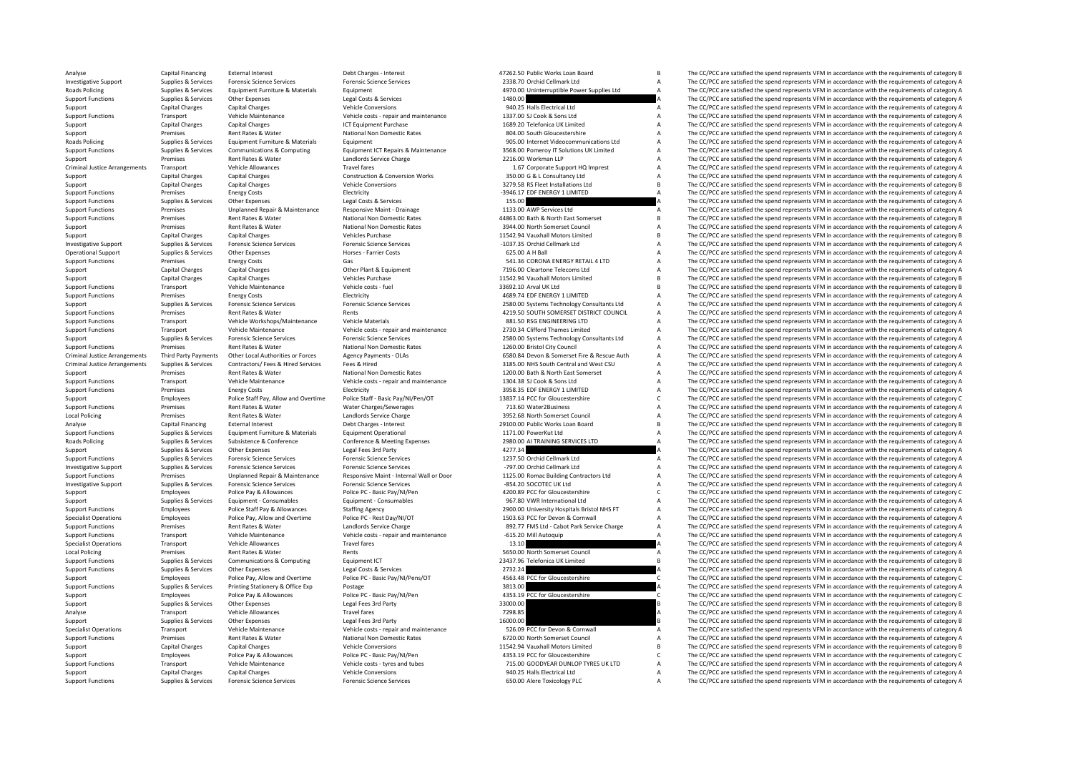**Roads Policing** Roads Policing Criminal JusticeCriminal JusticeCriminal Justice**Local Policing Roads Policing Local Policing** 

|          | 47262.50 Public Works Loan Board            | e            |
|----------|---------------------------------------------|--------------|
|          | 2338.70 Orchid Cellmark Ltd                 | A            |
|          | 4970.00 Uninterruptible Power Supplies Ltd  | A            |
| 1480.00  |                                             | A            |
|          | 940.25 Halls Electrical Ltd                 | A            |
|          | 1337.00 SJ Cook & Sons Ltd                  | A            |
|          | 1689.20 Telefonica UK Limited               | A            |
|          | 804.00 South Gloucestershire                | A            |
|          | 905.00 Internet Videocommunications Ltd     | A            |
|          | 3568.00 Pomeroy IT Solutions UK Limited     | A            |
|          | 2216.00 Workman LLP                         | A            |
|          | 1.67 Corporate Support HQ Imprest           | A            |
|          | 350.00 G & L Consultancy Ltd                | A            |
|          | 3279.58 RS Fleet Installations Ltd          | e            |
|          | -3946.17 EDF ENERGY 1 LIMITED               | A            |
| 155.00   |                                             | l            |
|          | 1133.00 AWP Services Ltd                    | A            |
|          | 44863.00 Bath & North East Somerset         | e            |
|          | 3944.00 North Somerset Council              | A            |
|          | 11542.94 Vauxhall Motors Limited            | B            |
|          | -1037.35 Orchid Cellmark Ltd                | A            |
|          | 625.00 A H Ball                             | A            |
|          | 541.36 CORONA ENERGY RETAIL 4 LTD           | A            |
|          | 7196.00 Cleartone Telecoms Ltd              | A            |
|          | 11542.94 Vauxhall Motors Limited            | e            |
|          | 33692.10 Arval UK Ltd                       | e            |
|          | 4689.74 EDF ENERGY 1 LIMITED                | A            |
|          | 2580.00 Systems Technology Consultants Ltd  | A            |
|          | 4219.50 SOUTH SOMERSET DISTRICT COUNCIL     | A            |
|          | 881.50 RSG ENGINEERING LTD                  | A            |
|          | 2730.34 Clifford Thames Limited             | A            |
|          | 2580.00 Systems Technology Consultants Ltd  | A            |
|          | 1260.00 Bristol City Council                | A            |
|          | 6580.84 Devon & Somerset Fire & Rescue Auth | A            |
|          | 3185.00 NHS South Central and West CSU      | A            |
|          | 1200.00 Bath & North East Somerset          | A            |
|          | 1304.38 SJ Cook & Sons Ltd                  | A            |
|          | 3958.35 EDF ENERGY 1 LIMITED                | A            |
|          | 13837.14 PCC for Gloucestershire            | $\epsilon$   |
|          | 713.60 Water2Business                       | Á            |
|          | 3952.68 North Somerset Council              | Á            |
|          | 29100.00 Public Works Loan Board            | e            |
|          | 1171.00 PowerKut Ltd                        | A            |
|          | 2980.00 AI TRAINING SERVICES LTD            | A            |
| 4277.34  |                                             | A            |
|          | 1237.50 Orchid Cellmark Ltd                 | A            |
|          | -797.00 Orchid Cellmark Ltd                 | A            |
|          | 1125.00 Romac Building Contractors Ltd      | A            |
|          | -854.20 SOCOTEC UK Ltd                      | A            |
|          | 4200.89 PCC for Gloucestershire             | $\mathsf{C}$ |
|          | 967.80 VWR International Ltd                | A            |
|          | 2900.00 University Hospitals Bristol NHS FT | A            |
|          | 1503.63 PCC for Devon & Cornwall            | A            |
|          | 892.77 FMS Ltd - Cabot Park Service Charge  | A            |
|          | -615.20 Mill Autoquip                       | A            |
| 13.10    |                                             | A            |
|          | 5650.00 North Somerset Council              | A            |
|          | 23437.96 Telefonica UK Limited              | e            |
| 2732.24  |                                             | A            |
|          | 4563.48 PCC for Gloucestershire             | C            |
| 3813.00  |                                             | l            |
|          | 4353.19 PCC for Gloucestershire             | C            |
| 33000.00 |                                             | e            |
| 7298.85  |                                             | A            |
| 16000.00 |                                             | e            |
|          | 526.09 PCC for Devon & Cornwall             | A            |
|          | 6720.00 North Somerset Council              | A            |
|          | 11542.94 Vauxhall Motors Limited            | e            |
|          | 4353.19 PCC for Gloucestershire             | $\mathsf{C}$ |
|          | 715.00 GOODYEAR DUNLOP TYRES UK LTD         | A            |
|          | 940.25 Halls Electrical Ltd                 | A            |
|          | 650.00 Alere Toxicology PLC                 | A            |

Analyse Capital Financing External Interest Debt Charges - Interest Debt Charges - Interest 47262.50 Public Works Loan Board B The CC/PCC are satisfied the spend represents VFM in accordance with the requirements of catego Investigative Support Supplies & Services Forensic Science Services Forensic Science Services Forensic Science Services and the Services 2338.70 Orchid Cellmark Ltd A The CC/PCC are satisfied the spend represents VFM in ac Policing Supplies & Services Equipment Furniture & Materials Equipment Equipment Agency and a the CON Uninterruptible Power Supplies Ltd A The CC/PCC are satisfied the spend represents VFM in accordance with the requiremen The CC/PCC are satisfied the spend represents VFM in accordance with the requirements of category A Support Capital Charges Capital Charges Capital Charges Vehicle Conversions Vehicle Conversions 940.25 Halls Electrical Ltd A The CC/PCC are satisfied the spend represents VFM in accordance with the requirements of categor Transport Vehicle Maintenance Vehicle costs ‐ repair and maintenance 1337.00 SJ Cook & Sons Ltd A The CC/PCC are satisfied the spend represents VFM in accordance with the requirements of category A Support Capital Charges Capital Charges Capital Charges ICT Equipment Purchase 1689.20 Telefonica UK Limited A The CC/PCC are satisfied the spend represents VFM in accordance with the requirements of category A Support Premises Rent Rates & Water National Non Domestic Rates 804.00 South Gloucestershire A The CC/PCC are satisfied the spend represents VFM in accordance with the requirements of category A Policing Supplies & Services Equipment Furniture & Materials Equipment 905.00 Internet Videocommunications Ltd A The CC/PCC are satisfied the spend represents VFM in accordance with the requirements of category A Supplies & Services Communications & Computing Equipment ICT Repairs & Maintenance 3568.00 Pomerov IT Solutions UK Limited A The CC/PCC are satisfied the spend represents VFM in accordance with the requirements of category Support Premises Rent Rates & Water Landlords Service Charge 2216.00 Workman LLP A The CC/PCC are satisfied the spend represents VFM in accordance with the requirements of category A Transport Vehicle Allowances Travel fares Travel fares Travel fares and the CC/PCC are satisfied the spend represents VFM in accordance with the requirements of category A The CC/PCC are satisfied the spend represents VFM Support Capital Charges Capital Charges Capital Charges Construction & Conversion Works 350.00 G & L Consultancy Ltd A The CC/PCC are satisfied the spend represents VFM in accordance with the requirements of category A Support Capital Charges Capital Charges Capital Charges Vehicle Conversions Vehicle Conversions 3279.58 RS Fleet Installations Ltd B The CC/PCC are satisfied the spend represents VFM in accordance with the requirements of Premises Energy Costs Electricity Electricity in the contract of the Support Functions Premises Energy Costs Electricity of Electricity and the requirements of category A The CC/PCC are satisfied the spend represents VFM Support Functions Supplies & Services Other Expenses Legal Costs & Services Legal Costs & Services Legal Costs & Services and the spend represents of category A The CC/PCC are satisfied the spend represents VFM in accordan Support Functions Premises Unplanned Repair & Maintenance Responsive Maint – Drainage 1133.00 AWP Services Ltd A The CC/PCC are satisfied the spend represents VFM in accordance with the requirements of category Area Nation Support Functions Rent Rates Rent Rates Rent Rates National Non Domestic Rates 44863.00 Bath & North East Somerset B The CC/PCC are satisfied the spend represents VFM in accordance with the requirements of category B Support Premises Rent Rates & Water Mational Non Domestic Rates 3944.00 North Somerset Council A The CC/PCC are satisfied the spend represents VFM in accordance with the requirements of category A Capital Charges Capital C Support Capital Charges Capital Charges Vehicles Purchase Vehicles Purchase 11542.94 Vauxhall Motors Limited B The CC/PCC are satisfied the spend represents VFM in accordance with the requirements of category B Investigative Support Support Support Support Services Forensic Science Services Forensic Science Services Forensic Science Services Forensic Science Services Forensic Science Services Forensic Science Services and Support Operational Support Supplies & Services Other Expenses – Horses – Farrier Costs – 625.00 A H Ball Ball A The CC/PCC are satisfied the spend represents VFM in accordance with the requirements of category A Services – Farrie on Functions Premises Energy Costs Casts Gas Gas Gas Functions Casts Gas Corona Energy Costs Gas Casts Gas Cappen Costs Gas Cappen Costs Gas Cappen Costs Cappen Costs Gas Cappen Costs Gas 541.36 CORONA ENERGY RETAIL 4 LTD Support Capital Charges Capital Charges Capital Charges Music Charges Other Plant & Equipment Charges Capital Charges Capital Charges Capital Charges Capital Charges Capital Charges Capital Charges Vehicles Purchase Vehicl Support Capital Charges Capital Charges Vehicles Purchase 11542.94 Vauxhall Motors Limited B The CC/PCC are satisfied the spend represents VFM in accordance with the requirements of category B Support Functions Transport Vehicle Maintenance Vehicle costs - fuel 33692.10 Arval UK Ltd B The CC/PCC are satisfied the spend represents VFM in accordance with the requirements of category B Support Functions Premises Energy Costs Electricity Electricity and Electricity and the content of category and the content of category and the content of category and the spend represents VFM in accordance with the requir Support Support Support Services Forencic Science Services Forensic Science Services 2580.00 Systems Technology Consultants Ltd A The CC/PCC are satisfied the spend represents VFM in accordance with the requirements of cat Support Functions Premises Rent Rates & Water Rents Rents Rents Rents Rents Alta according the Support Functions and the Support Functions Premises Rent Rates Rents Vehicle Workshops/Maintenance Vehicle Materials Vehicle M The CC/PCC are satisfied the spend represents VFM in accordance with the requirements of category A Support Functions Transport Vehicle Maintenance Vehicle costs - repair and maintenance 2730.34 Clifford Thames Limited A The CC/PCC are satisfied the spend represents VFM in accordance with the requirements of category A Support Supplies & Services Forensic Science Services Forensic Science Services Provents Science Services Provents Science Services 2580.00 Systems Technology Consultants Ltd A The CC/PCC are satisfied the spend represents Support Functions Premises Rent Rates Rudder National Non Domestic Rates 1260.00 Bristol City Council A The CC/PCC are satisfied the spend represents VFM in accordance with the requirements of category A Third Party Payments Other Local Authorities or Forces Agency Payments - OLAs 6580.84 Devon & Somerset Fire & Rescue Auth A The CC/PCC are satisfied the spend represents VFM in accordance with the requirements of category Supplies & Services Contractors/ Fees & Hired Services Fees & Hired Services Fees & Hired 3185.00 NHS South Central and West CSU A The CC/PCC are satisfied the spend represents VFM in accordance with the requirements of ca Support Premises Rent Rates & Water National Non Domestic Rates 1200.00 Bath & North East Somerset A The CC/PCC are satisfied the spend represents VFM in accordance with the requirements of category A Support Functions Transport Vehicle Maintenance Vehicle costs - repair and maintenance 1304.38 SJ Cook & Sons Ltd A The CC/PCC are satisfied the spend represents VFM in accordance with the requirements of category A Support Functions Premises Energy Costs Electricity Functions and the COSTS EDEF ENERGY 1 LIMITED A The CC/PCC are satisfied the spend represents VFM in accordance with the requirements of category A Support Employees Police Staff Pay, Allow and Overtime Police Staff - Basic Pay/NI/Pen/OT 13837.14 PCC for Gloucestershire C The CC/PCC are satisfied the spend represents VFM in accordance with the requirements of category Support Functions Premises Rent Rates & Water Water Charges/Sewerages 713.60 Water2Business A The CC/PCC are satisfied the spend represents VFM in accordance with the requirements of category A Premises Rent Rates & Water Mater Landlords Service Charge 1995.68 North Somerset Council A The CC/PCC are satisfied the spend represents VFM in accordance with the requirements of category A Analyse Capital Financing External Interest Debt Charges - Interest Debt Charges - Interest 29100.00 Public Works Loan Board B The CC/PCC are satisfied the spend represents VFM in accordance with the requirements of catego Support Functions Supplies & Services Faultoment Furniture & Materials Faultoment Operational 1171.00 PowerKut Ltd A The CC/PCC are satisfied the spend represents VFM in accordance with the requirements of category A Policing Subsistence & Conference Conference & Meeting Expenses 2980.00 AI TRAINING SERVICES LTD A The CC/PCC are satisfied the spend represents VFM in accordance with the requirements of category A Support Supplies & Services Other Expenses Legal Fees 3rd Party and the support of the Services Legal Fees 3rd Party 4277.34 A The CC/PCC are satisfied the spend represents VFM in accordance with the requirements of catego Supplies & Services Forensic Science Services Forensic Science Services Forensic Science Services 1237.50 Orchid Cellmark Ltd A The CC/PCC are satisfied the spend represents VFM in accordance with the requirements of categ Investigative Support Support Support Support Services Forensic Science Services Forensic Science Services Forensic Science Services Forensic Science Services Forensic Science Services Forensic Science Services Forensic Sc Support Functions Premises Unplanned Repair & Maintenance Responsive Maint - Internal Wall or Door 1125.00 Romac Building Contractors Ltd A The CC/PCC are satisfied the spend represents VFM in accordance with the requireme Investigative Support Supplies & Services Forensic Science Services Forensic Science Services Forensic Science Services Forensic Science Services Forensic Science Services Forensic Science Services Forensic Science Service Support Employees Police Pay & Allowances Police PC – Basic Pay/NI/Pen 4200.89 PCC for Gloucestershire C The CC/PCC are satisfied the spend represents VFM in accordance with the requirements of category C Support Consumabl Supplies & Services Equipment Consumables Equipment - Consumables Equipment - Consumables Buying and the spend represent of the CC/PCC are satisfied the spend represents VFM in accordance with the requirements of category Support Functions Employees Police Staff Pay & Allowances Staffing Agency 2000.00 University Hospitals Bristol NHS ET A The CC/PCC are satisfied the spend represents VFM in accordance with the requirements of category A St Specialist Operations Employees Police Pay, Allow and Overtime Police PC – Rest Day/NI/OT 1503.63 PCC for Devon & Cornwall A The CC/PCC are satisfied the spend represents VFM in accordance with the requirements of category Support Functions Support Premises Rent Rates & Water Landlords Service Charge 892.77 FMS Ltd ‐ Cabot Park Service Charge A The CC/PCC are satisfied the spend represents VFM in accordance with the requirements of category Support Functions Transport Vehicle Maintenance Vehicle Costs - repair and maintenance – 15.20 Mill Autoquip – 16.16.20 Mill Autoquip – A The CC/PCC are satisfied the spend represents VFM in accordance with the requirement Travel fares Travel fares Travel fares Travel fares 13.10 A The CC/PCC are satisfied the spend represents VFM in accordance with the requirements of category A Premises Rent Rates & Water Rents Rents Rents Sensitive Rents Sensitive Rent Rents and The CC/PCC are satisfied the spend represents VFM in accordance with the requirements of category A Support Functions Supplies & Services Communications & Computing Equipment ICT 23437.96 Telefonica UK Limited B The CC/PCC are satisfied the spend represents VFM in accordance with the requirements of category B Support Functions Supplies & Services Cube Expenses Legal Costs & Services 2732.24 A The CC/PCC are satisfied the spend represents VFM in accordance with the requirements of category A Support Employees Police Pay, Allow and Overtime Police PC - Basic Pay/NI/Pens/OT 4563.48 PCC for Gloucestershire C The CC/PCC are satisfied the spend represents VFM in accordance with the requirements of category C Suppor Printing Stationery & Office Exp Postage 2014 2014 2014 3813.00 3813.00 3813.00 A The CC/PCC are satisfied the spend represents VFM in accordance with the requirements of category A Support Employees Police Pay & Allowances Police PC - Basic Pay/NI/Pen 4353.19 PCC for Gloucestershire C The CC/PCC are satisfied the spend represents VFM in accordance with the requirements of category C Supplies & Services Other Expenses Legal Fees 3rd Party 33000.00 33000.00 B The CC/PCC are satisfied the spend represents VFM in accordance with the requirements of category B Analyse Transport Vehicle Allowances Travel fares Travel fares Travel fares and the CONSTANT MANALY CONSTANT Transport Vehicle Allowances Travel fares Travel fares Travel fares Travel fares and Party and the Support of the Support Support Support Support Support Support Support Support Support Support Support Support Support Support Support Support Support Support Support Support Support Support Support Support On the Support On the Support Transport Vehicle Maintenance Vehicle costs ‐ repair and maintenance 526.09 PCC for Devon & Cornwall A The CC/PCC are satisfied the spend represents VFM in accordance with the requirements of category A Support Functions Premises Rent Rates & Water National Non Domestic Rates 6720.00 North Somerset Council A The CC/PCC are satisfied the spend represents VFM in accordance with the requirements of category A Support Capital Charges Capital Charges Vehicle Conversions Vehicle Conversions 11542.94 Vauxhall Motors Limited B The CC/PCC are satisfied the spend represents VFM in accordance with the requirements of category B Support Employees Police Pay & Allowances Police PC - Basic Pay/NI/Pen 4353.19 PCC for Gloucestershire C The CC/PCC are satisfied the spend represents VFM in accordance with the requirements of category C Support Functions Transport Vehicle Maintenance Vehicle costs - tyres and tubes 715.00 GOODYEAR DUNLOP TYRES UK LTD A The CC/PCC are satisfied the spend represents VFM in accordance with the requirements of category A Support Capital Charges Capital Charges Vehicle Conversions 940.25 Halls Electrical Ltd A The CC/PCC are satisfied the spend represents VFM in accordance with the requirements of category A Support Functions Supplies & Services Forensic Science Services Forensic Science Services Forensic Science Services Forensic Science Services 650.00 Alere Toxicology PLC A The CC/PCC are satisfied the spend represents VFM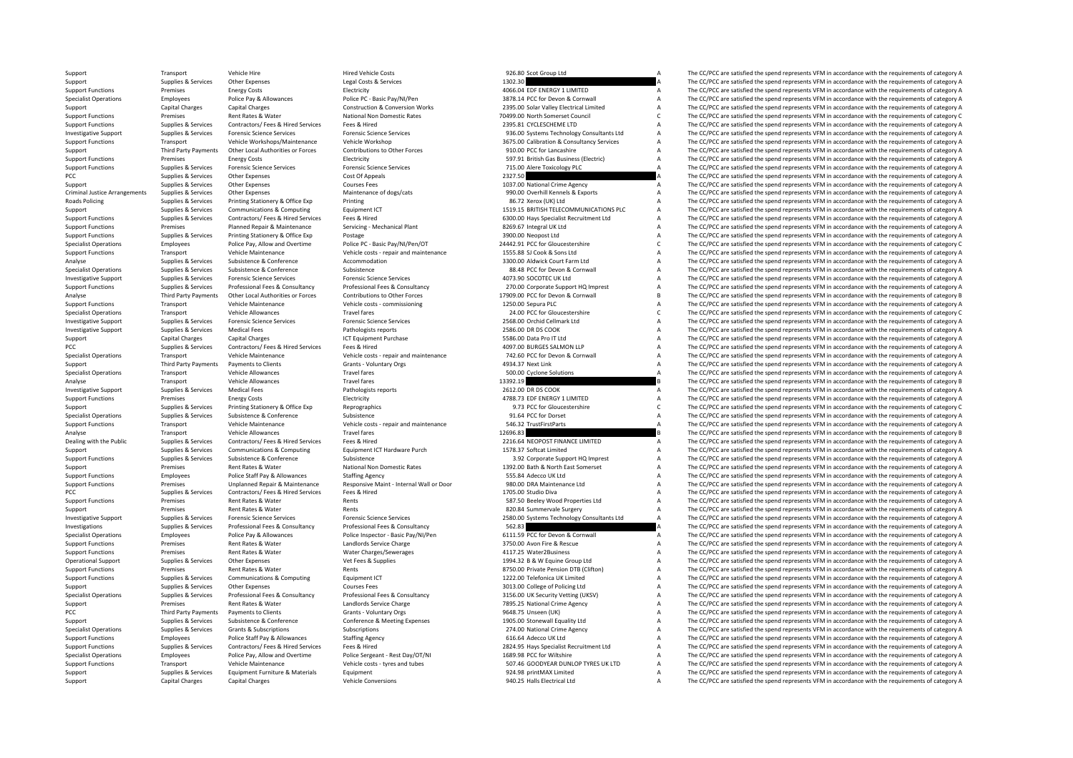Criminal Justice**Roads Policing PCC** Third Party Payments

Support Capital Charges Capital Charges Papital Charges Vehicle Conversions 940.25 Halls Electrical Ltd A The CC/PCC are satisfied the spend represents VFM in accordance with the requirements of category A

Support Transport Vehicle Hire Hired Vehicle Costs Hired Vehicle Costs 926.80 Scot Group Ltd A The CC/PCC are satisfied the spend represents VFM in accordance with the requirements of category A Support Group Ltd 130.30 Sc Support Supplies & Services Other Expenses Legal Costs & Services 1302.30 A The CC/PCC are satisfied the spend represents VFM in accordance with the requirements of category A<br>Support Experiments of category Are the spend Support Functions Premises Energy Costs Electricity Electricity Electricity A066.04 EDF ENERGY 1 LIMITED A The CC/PCC are satisfied the spend represents VFM in accordance with the requirements of category A<br>Specialist Oper The CC/PCC are satisfied the spend represents VFM in accordance with the requirements of category A Support Capital Charges Capital Charges Capital Charges Construction & Conversion Works 2395.00 Solar Valley Electrical Limited A The CC/PCC are satisfied the spend represents VFM in accordance with the requirements of cat Examples Premises Premises Rent Rates & Water National Non Domestic Rates and the Mational Non Domestic Rates 100 and the Support Function Premises Council C The CC/PCC are satisfied the spend represents VFM in accordance Support Functions Supporters Services Contractors/ Fees & Hired Services Fees & Hired 2395.81 CYCLESCHEME LTD A The CC/PCC are satisfied the spend represents VFM in accordance with the requirements of category A Investigative Support Supplies & Services Forensic Science Services Forensic Science Services Forensic Science Services Forensic Science Services Services Services Services Services Services Services Services Services Serv Support Functions Transport Vehicle Workshops/Maintenance Vehicle Workshop 3675.00 Calibration & Consultancy Services A The CC/PCC are satisfied the spend represents VFM in accordance with the requirements of category A Support Third Party Payments Other Local Authorities or Forces Contributions to Other Forces 910.00 PCC for Lancashire A The CC/PCC are satisfied the spend represents VFM in accordance with the requirements of category A Support Functions Premises Energy Costs Electricity Electricity Electricity Support Electricity 597.91 British Gas Business (Electricity A The CC/PCC are satisfied the spend represents VFM in accordance with the requiremen Support Functions Supplies & Services Forensic Science Services Forensic Science Services Forensic Science Services Forensic Science Services 715.00 Alere Toxicology PLC A The CC/PCC are satisfied the spend represents VFM PCC Supplies & Services Other Expenses Cost Of Appeals Cost Of Appeals 2327.50 A The CC/PCC are satisfied the spend represents VFM in accordance with the requirements of category A Support Supplies & Services Other Expenses Courses Fees Courses Fees 1037.00 National Crime Agency The CC/PCC are satisfied the spend represents VFM in accordance with the requirements of category A Criminal Justice Arrang Arrangements Supplies & Services Other Expenses Maintenance of dogs/cats 990.00 Overhill Kennels & Exports A The CC/PCC are satisfied the spend represents VFM in accordance with the requirements of category A Supplies & Services Printing Stationery & Office Exp Printing Printing Printing and Stationery of Description and Descriptione of Conservation and Descriptione of Conservatione of Category A The CC/PCC are satisfied the Support Supplies & Services Communications & Computing Equipment ICT 1519.15 BRITISH TELECOMMUNICATIONS PLC A The CC/PCC are satisfied the spend represents VFM in accordance with the requirements of category A Supplies & S Santiac Contractors (Face & Hired Capital Capital Capital Capital Capital Capital Capital Capital Capital Capital Capital Capital Capital Capital Capital Capital Capital Capital Capital Capital Capital Capital Capital Capi Support Functions Premises Planned Repair & Maintenance Servicing - Mechanical Plant 8269.67 Integral UK Ltd A The CC/PCC are satisfied the spend represents VFM in accordance with the requirements of category A Support Fun Postage **Experiences A Supplies Supplies Supplies A Service** A The CC/PCC are satisfied the spend represents VFM in accordance with the requirements of category A Specialist Operations Employees Police Pay, Allow and Overtime Police PC - Basic Pay/NI/Pen/OT 24442.91 PCC for Gloucestershire CO/PCC are satisfied the spend represents VFM in accordance with the requirements of category Support Functions Transport Vehicle Maintenance Vehicle costs - repair and maintenance 1555.88 SJ Cook & Sons Ltd A The CC/PCC are satisfied the spend represents VFM in accordance with the requirements of category A Confer Analyse Subsistence Subsistence A Conference Accommodation 3300.00 Aldwick Court Farm Ltd A The CC/PCC are satisfied the spend represents VFM in accordance with the requirements of category A The CC/PC are satisfied the sp Specialist Operations Supplies & Services Subsistence Subsistence Subsistence Subsistence Subsistence Subsistence Subsistence Subsistence Subsistence Subsistence Subsistence Subsistence Subsistence Subsistence Services and A The CC/PCC are satisfied the spend represents VFM in accordance with the requirements of category A Supplies Supplies & Services Professional Fees & Consultancy Professional Fees & Consultancy Professional Fees & Consultancy and accordance in a me COPCC are satisfied the spend represents VFM in accordance with the requir The CONFERENCE CONTROL CONTROLLER CONTROLLER CONTROLLER CONTROLLER CONTROLLER CONTROLLER CONTROLLER CONTROLLER<br>Transport Medicine Medicine of the CONTROLLER CONTROLLER CONTROLLER CONTROLLER CONTROLLER CONTROLLER CONTROLLER Transport Vehicle Maintenance Vehicle commissioning 1250.00 Sepura PLC A The CC/PC are satisfied the spend represents VFM in accordance with the requirements of category A Specialist Operations Transport Vehicle Allowances Travel fares Travel fares Travel fares Travel fares and the media of C The CC/PCC are satisfied the spend represents VFM in accordance with the requirements of category C The CC/PCC are satisfied the spend represents VFM in accordance with the requirements of category A Investigative Support Supplies & Services Medical Fees Pathologists reports Pathologists reports 2586.00 DR DS COOK A The CC/PCC are satisfied the spend represents VFM in accordance with the requirements of category A Supp Support Capital Charges Capital Charges Capital Charges Capital Charges ICT Equipment Purchase S586.00 Data Pro IT Ltd A The CC/PCC are satisfied the spend represents VFM in accordance with the requirements of category A D PCC Supplies & Services Contractors/ Fees & Hired Services Fees & Hired 4097.00 BURGES SALMON LLP A The CC/PCC are satisfied the spend represents VFM in accordance with the requirements of category A Specialist Operations Transport Vehicle Maintenance Vehicle costs - repair and maintenance 742.60 PCC for Devon & Cornwall A The CC/PCC are satisfied the spend represents VFM in accordance with the requirements of category Support Third Party Payments Payments of Clients Grants Voluntary Orgs 4934.37 Next Link A The CC/PCC are satisfied the spend represents VFM in accordance with the requirements of category A Specialist Operations Transport Vehicle Allowances Travel fares Travel fares Travel fares Travel fares Travel fares and the Specialist Operations A The CC/PCC are satisfied the spend represents VFM in accordance with the r Analyse Transport Vehicle Allowances Travel fares Travel fares 13392.19 B The CC/PCC are satisfied the spend represents VFM in accordance with the requirements of category B Investigative Support Support Support Support Support Medical Fees Pathologists reports 2612.00 DR DS COOK A The CC/PCC are satisfied the spend represents VFM in accordance with the requirements of category A Support Functions Premises Energy Costs Electricity Electricity and the Electricity and the spend represents VFM in accordance with the requirements of category A Support Supplies & Services Printing Stationery & Office Exp Reprographics expone that the requirements of category C The CC/PCC are satisfied the spend represents VFM in accordance with the requirements of category C Specialist Operations Supplies & Services Subsistence Subsistence Subsistence Subsistence 91.64 PCC for Dorset A The CC/PCC are satisfied the spend represents VFM in accordance with the requirements of category A Support Functions Transport Vehicle Maintenance Vehicle costs - repair and maintenance 546.32 TrustFirstParts A The CC/PCC are satisfied the spend represents VFM in accordance with the requirements of category A Analyse Transport Vehicle Allowances Travel fares Travel fares 12696.83 B The CC/PCC are satisfied the spend represents VFM in accordance with the requirements of category B Dealing with the Public Supplies & Services Contractors/ Fees & Hired Services Fees & Hired Pericipal Pees & Hired 2216.64 NEOPOST FINANCE LIMITED A The CC/PCC are satisfied the spend represents VFM in accordance with the Support Supplies & Services Communications & Computing Equipment ICT Hardware Purch 1578.37 Softcat Limited 1678.37 Softcat Limited A The CC/PCC are satisfied the spend represents VFM in accordance with the requirements of Support Functions Supplies & Services Subsistence Subsistence Subsistence Subsistence Subsistence Subsistence Subsistence Subsistence Subsistence Subsistence Subsistence Subsistence Subsistence Subsistence Subsistence Subs Support Premises Rent Rates & Water National Non Domestic Rates 1392.00 Bath & North East Somerset A The CC/PCC are satisfied the spend represents VFM in accordance with the requirements of category A Support Functions Employees Police Staff Pay & Allowances Staffing Agency Staffing Agency 555.84 Adecco UK Ltd A The CC/PCC are satisfied the spend represents VFM in accordance with the requirements of category A Support F Sunnert Eunctions and Dramicas Dramicas Unplanned Registrance Research Apple Dream Dramic Maintenance Dramica Dramical Mail of Dream ORD DRA Maintenance Itd a The CC/DCC are catisfied the coand represents VEM in accordance PCC Supplies Applies & Services Contractors/ Fees & Hired Fees & Hired 1705.00 Studio Diva 1999.00 Studio Diva A The CC/PCC are satisfied the spend represents VFM in accordance with the requirements of category A Support F Support Functions Premises Rent Rates & Water Rents Rents Rents Rents Rents Rents Rents States and the material of the CC/PCC are satisfied the spend represents VFM in accordance with the requirements of category A Support Premises Rent Rates & Water Rents Rents Rents Rents Rents Rents Rents Rents Rents Rents Rents Rents and a Support and the CC/PCC are satisfied the spend represents VFM in accordance with the requirements of categor Investigative Support Supplies & Services Forensic Science Services Forensic Science Services 2580.00 Systems Technology Consultants Ltd A The CC/PCC are satisfied the spend represents VFM in accordance with the requirements of category A Investigations Supplies Services Professional Fees & Consultancy **Drofessional Fees & Consultancy 56 Consultancy** 562.83 A The CC/PCC are satisfied the spend represents VFM in accordance with the requirements of category A Specialist Operations Employees Police Pay & Allowances Police Inspector - Basic Pay/NI/Pen Subsection Case of the COPCC are satisfied the spend represents VFM in accordance with the requirements of category A<br>Support Func Premises Rent Rates & Water Machines Charge Charge 3750.00 Avon Fire & Rescue A The CC/PCC are satisfied the spend represents VFM in accordance with the requirements of category A Support Functions Premises Rent Rates & Water Water Water Charges/Sewerages 4117.25 Water2Business A The CC/PCC are satisfied the spend represents VFM in accordance with the requirements of category A Operational Support Supplies & Services Other Expenses Vet Fees & Supplies Vet Fees & Supplies 1994.32 B & W Equine Group Ltd A The CC/PCC are satisfied the spend represents VFM in accordance with the requirements of categ Support Functions Premises Rent Rates & Water Rents Rents Rents Rents Rents Rents Rents Rents Rents Rents Rent<br>Support Functions Supplies & Services Communications & Computing Equipment ICT 10 1222.00 Telefonica UK Limited Support Functions Supplies & Services Communications & Computing Equipment ICT and the state of the match and the support Functions and the CC/PCC are satisfied the spend represents VFM in accordance with the requirements Support Supplies & Services Other Expenses Courses Fees Courses Fees 3013.00 College of Policing Ltd A The CC/PCC are satisfied the spend represents VFM in accordance with the requirements of category A Supplies & Services Professional Fees & Consultancy Professional Fees & Consultancy Professional Fees & Consultancy Professional Fees & Consultancy 3156.00 UK Security Vetting (UKSV) A The CC/PCC are satisfied the spend re Support Premises Rent Rates & Water Landlords Service Charge 7895.25 National Crime Agency A The CC/PCC are satisfied the spend represents VFM in accordance with the requirements of category A Party Payments Payments to Clients Grants Crants Voluntary Orgs 9648.75 Unseen (UK) 9648.75 Unseen (UK) A The CC/PCC are satisfied the spend represents VFM in accordance with the requirements of category A Supplies & Servi Support Supplies & Services Subsistence & Conference Conference Conference Conference Conference Conference Conference Conference and the support and the COV and the COVC are satisfied the spend represents VFM in accordanc The CC/PCC are satisfied the spend represents VFM in accordance with the requirements of category A Support Functions Employees Police Staff Pay & Allowances Staffing Agency exacts and the spend the spend of the Stategory A The CC/PCC are satisfied the spend represents VFM in accordance with the requirements of category Support Functions Supplies & Services Contractors/ Fees & Hired Services Fees & Hired Tes & Hired Mired 2824.95 Hays Specialist Recruitment Ltd A The CC/PCC are satisfied the spend represents VFM in accordance with the req Specialist Operations Employees Police Pay, Allow and Overtime Police Sergeant - Rest Day/OT/NI 1689.98 PCC for Wiltshire A The CC/PCC are satisfied the spend represents VFM in accordance with the requirements of category Support Functions Transport Vehicle Maintenance Vehicle costs - tyres and tubes 507.46 GOODYEAR DUNLOP TYRES UK LTD A The CC/PCC are satisfied the spend represents VFM in accordance with the requirements of category A Support Supplies & Services Equipment Furniture & Materials Equipment Current A The CC/PCC are satisfied the spend represents VFM in accordance with the requirements of category A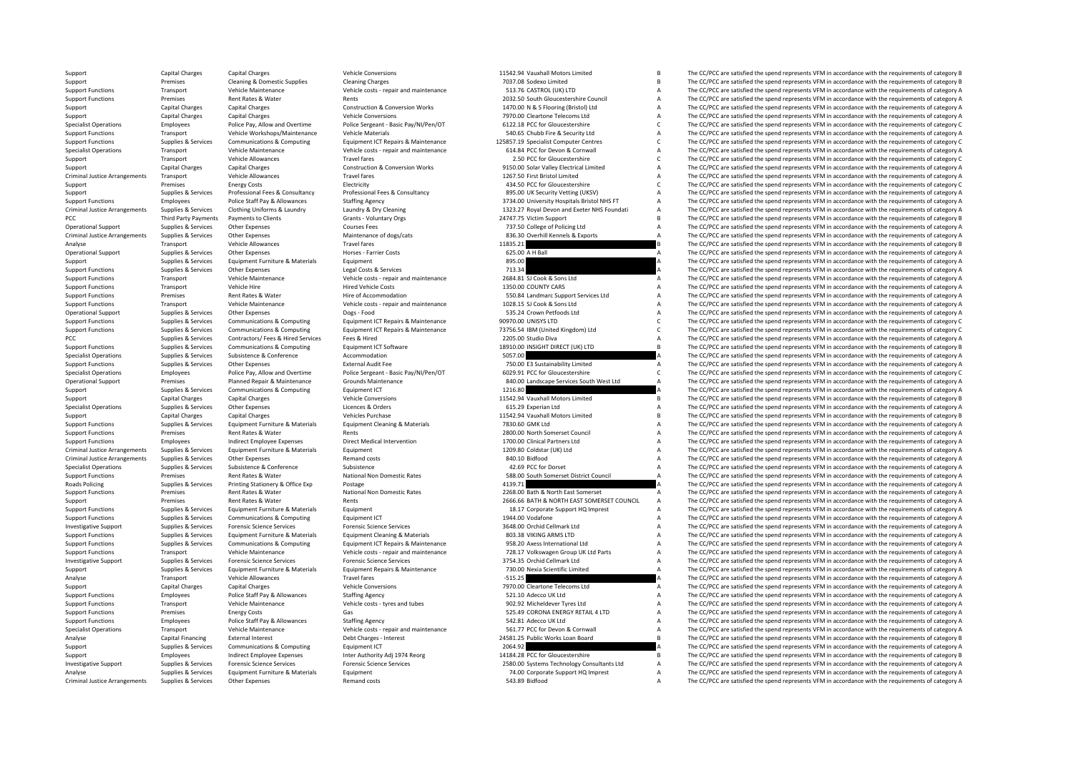Criminal JusticeCriminal JusticePCC ThirdCriminal JusticeCriminal JusticeCriminal JusticeRoads Policing Criminal Justice

Supplies & Services Other Expenses Supplies Remand costs and the Service of the Services A The CC/PCC are satisfied the spend represents VFM in accordance with the requirements of category A The CC/PCC are satisfied the sp

Support Capital Charges Capital Charges Vehicle Conversions Vehicle Conversions 11542.94 Vauxhall Motors Limited B The CC/PCC are satisfied the spend represents VFM in accordance with the requirements of category B Support Premises Cleaning & Domestic Supplies Cleaning Charges 2037.08 Sodexo Limited B The CC/PCC are satisfied the spend represents VFM in accordance with the requirements of category B Support Functions Transport Vehicle Maintenance Vehicle costs - repair and maintenance Support COSTROL (UK) LTD A The CC/PCC are satisfied the spend represents VFM in accordance with the requirements of category A<br>Support on the CC/PCC are satisfied the spend represents VFM in accordance with the requirements of category A rents and the CC/PCC are satisfied the spend represents VFM in accordance with the requirements of category A rental Support Capital Charges Capital Charges Capital Charges Construction & Conversion Works 1470.00 N & S Flooring (Bristol) Ltd A The CC/PCC are satisfied the spend represents VFM in accordance with the requirements of catego Support Capital Charges Capital Charges Capital Charges Vehicle Conversions Vehicle Conversions 7970.00 Cleartone Telecoms Ltd A The CC/PCC are satisfied the spend represents VFM in accordance with the requirements of cate Specialist Operations Employees Police Pay Allow and Overtime Police Sergeant - Basic Pay/NI/Pen/OT 6122.18 PCC for Glourestershire C The CC/PCC are satisfied the spend represents VEM in accordance with the requirements of Support Functions Transport Vehicle Workshops/Maintenance Vehicle Materials S40.65 Chubb Fire & Security Ltd A The CC/PCC are satisfied the spend represents VFM in accordance with the requirements of category A Support Functions Supplies & Services Communications & Computing Equipment ICT Repairs & Maintenance 125857.19 Specialist Computer Centres C The CC/PCC are satisfied the spend represents VFM in accordance with the requirem Specialist Operations Transport Vehicle Maintenance Vehicle costs - repair and maintenance 614.84 PCC for Devon & Cornwall A The CC/PCC are satisfied the spend represents VFM in accordance with the requirements of category Support Transport Vehicle Allowances Travel fares Travel fares 2.50 PCC for Gloucestershire C The CC/PCC are satisfied the spend represents VFM in accordance with the requirements of category C Support Capital Charges Capital Charges Construction & Conversion Works 9150.00 Solar Valley Electrical Limited A The CC/PCC are satisfied the spend represents VFM in accordance with the requirements of category A Transport Vehicle Allowances Travel fares Travel fares and the spend test Bristol Limited A The CC/PCC are satisfied the spend represents VFM in accordance with the requirements of category A Support Premises Energy Costs Electricity Electricity Electricity (Electricity and the Support Controller of the CC/PCC are satisfied the spend represents VFM in accordance with the requirements of category C<br>Support Suppo Supplies & Services Professional Fees & Consultancy Professional Fees & Consultancy and the Support Support Support Support Support Support Support Support Support Support Support Support Support Support Support Support Su Support Functions Employees Police Staff Pay & Allowances Staffing Agency Staffing Agency 3734.00 University Hospitals Bristol NHS FT A The CC/PCC are satisfied the spend represents VFM in accordance with the requirements 1323.27 Royal Devon and Exeter NHS Foundati<br>21247 75 Victim Sunnort Callegory A The CC/PCC are satisfied the spend represents VFM in accordance with the requirements of category A Party Payments Counter County Create Voluntary Orgs 24747.75 Victim Support B The CC/PCC are satisfied the spend represents VFM in accordance with the requirements of category B Crants Victim Support 24747.75 Victim Suppor Operational Support Supplies & Services Other Expenses Courses Fees Courses Fees Courses Fees 737.50 College of Policing Ltd A The CC/PCC are satisfied the spend represents VFM in accordance with the requirements of catego The CC/PCC are satisfied the spend represents VFM in accordance with the requirements of category A Analyse Transport Vehicle Allowances Travel fares Travel fares and the CONSECT Transport Vehicle Allowances Travel fares Travel fares 11835.21 B The CC/PCC are satisfied the spend represents VFM in accordance with the requ Operational Support Supplies & Services Other Expenses Horses Horses Farrier Costs 625.00 A H Ball A The CC/PCC are satisfied the spend represents VFM in accordance with the requirements of category A Support Support Suppo Support Supplies According Support Equipment Furniture & Materials Equipment Equipment Equipment According to the Equipment Support of the Support of the Support Support Support Support Support Support Support Support Supp Support Functions Supplies & Services Other Expenses Legal Costs & Services Legal Costs & Services Legal Costs & Services 713.34 A The CC/PCC are satisfied the spend represents VFM in accordance with the requirements of ca Transport Vehicle Maintenance Vehicle costs - repair and maintenance 2684.81 SJ Cook & Sons Ltd A The CC/PCC are satisfied the spend represents VFM in accordance with the requirements of category A Support Functions Transport Vehicle Hire Hired Vehicle Costs 1950.00 COUNTY CARS A The CC/PCC are satisfied the spend represents VFM in accordance with the requirements of category A Hired Vehicle Costs 1350.00 COUNTY CARS Support Functions Premises Rent Rates & Water Hire of Accommodation S50.84 Landmarc Support Services Ltd A The CC/PCC are satisfied the spend represents VFM in accordance with the requirements of category A New Yorking cos Support Functions Transport Vehicle Maintenance Vehicle ocean repair and maintenance 1028.15 SL Cook & Sons Ltd A The CC/PCC are satisfied the spend represents VFM in accordance with the requirements of category A The CC/P Operational Support Supplies & Services Other Expenses Dogs ‐ Food Dogs ‐ Food Support Support Support Support<br>
Support Functions Support Support Support Support Support Support Support Support Support Support Functions Su Support Functions Supplies Accommunications Communications Computing Computing Computing Computing Computing C<br>The CC/PCC are satisfied the spend represents VFM in accordance with the requirements of category Computing C<br>T Supplies & Services Communications & Computing Equipment ICT Repairs & Maintenance 73756.54 IBM (United Kingdom) Ltd Care are CC/PCC are satisfied the spend represents VFM in accordance with the requirements of category C<br> PCC Supplies & Services Contractors/ Fees & Hired Services Fees & Hired Services Fees & Hired Services Fees & Hired A Z205.00 Studio Diva A The CC/PCC are satisfied the spend represents VFM in accordance with the requireme Support Functions Supporters Communications & Computing Faultment ICT Software 1891.00 INSIGHT DIRECT (UK) ITD B The CC/PCC are satisfied the spend represents VFM in accordance with the requirements of category B Specialist Operations Supplies & Services Subsistence Subsistence Accommodation Accommodation accommodation 5057.00 A The CC/PCC are satisfied the spend represents VFM in accordance with the requirements of category A<br>Supp SUPPORT FUNCTIONS Support Functions Support Functions Audit Functions And The CC/PCC are satisfied the spend represents VFM in accordance with the requirements of category A C The CC/PCC are satisfied the spend represents Specialist Operations Employees Police Pay, Allow and Overtime Police Sergeant - Basic Pay/NI/Pen/OT 6029.91 PCC for Gloucestershire CC/PCC are satisfied the spend represents VFM in accordance with the requirements of cate Operational Support Premises Planned Repair & Maintenance Grounds Maintenance South West Ltd A The CC/PCC are satisfied the spend represents VFM in accordance with the requirements of category A Support Supplies & Services Communications & Computing Equipment ICT 1216.80 A The CC/PCC are satisfied the spend represents VFM in accordance with the requirements of category A Support Capital Charges Capital Charges Vehicle Conversions Vehicle Conversions 11542.94 Vauxhall Motors Limited B The CC/PCC are satisfied the spend represents VFM in accordance with the requirements of category B Specialist Operations Supplies & Services Other Expenses Licences & Orders Licences & Orders Corders Corders 615.29 Experian Ltd A The CC/PCC are satisfied the spend represents VFM in accordance with the requirements of ca Support Capital Charges Capital Charges Vehicles Purchase Vehicles Purchase 11542.94 Vauxhall Motors Limited B The CC/PCC are satisfied the spend represents VFM in accordance with the requirements of category B Support Functions Supplies & Services Equipment Furniture & Materials Equipment Cleaning & Materials Functions and the content of category A The CC/PCC are satisfied the spend represents VFM in accordance with the requirem Support Functions Premises Rent Rates & Water Rents Rents Rents Rents Rents 2800.00 North Somerset Council A The CC/PCC are satisfied the spend represents VFM in accordance with the requirements of category A Support Functions Employees Indirect Employee Expenses Direct Medical Intervention 1700.00 Clinical Partners Ltd A The CC/PCC are satisfied the spend represents VFM in accordance with the requirements of category A Supplies & Services Equipment Furniture & Materials Equipment Equipment Equipment Equipment Equipment Equipment 1209.80 Coldstar (UK) Ltd A The CC/PCC are satisfied the spend represents VFM in accordance with the requireme Supplies & Services Other Expenses Memand costs Remand costs and the Service of the Services Remand costs and the requirements of category A The CC/PCC are satisfied the spend represents VFM in accordance with the requirem Specialist Operations Supplies & Services Subsistence Subsistence Subsistence Subsistence Subsistence Subsistence Subsistence A The CC/PCC are satisfied the spend represents VFM in accordance with the requirements of categ Support Functions Premises Rent Rates & Water National Non Domestic Rates 588.00 South Somerset District Council A The CC/PCC are satisfied the spend represents VFM in accordance with the requirements of category A<br>Boads P Policing Supplies & Services Printing Stationery & Office Exp Postage Principal Monomestic Rates and A a The CC/PCC are satisfied the spend represents VFM in accordance with the requirements of category A a a mechanical ma Support Functions Premises Rent Rates & Water National Non Domestic Rates 2268.00 Bath & North East Somerset A The CC/PCC are satisfied the spend represents VFM in accordance with the requirements of category A Sente A The Support Premises Rent Rates & Water Rents Rents Rents Rents 2666.66 BATH & NORTH EAST SOMERSET COUNCIL A The CC/PCC are satisfied the spend represents VFM in accordance with the requirements of category A Support Functions Supplies & Services Equipment Furniture & Materials Equipment 18.17 Corporate Support HQ Imprest A The CC/PCC are satisfied the spend represents VFM in accordance with the requirements of category A Support Functions Supplies & Services Communications & Computing Equipment ICT 2544.00 Vodafone A The CC/PCC are satisfied the spend represents VFM in accordance with the requirements of category A Decleved and the require Investigative Support Support Support Support Services Forensic Science Services Services 3648.00 Orchid Cellmark Ltd A The CC/PCC are satisfied the spend represents VFM in accordance with the requirements of category A Supplies & Supplies & Supplies Bervices Equipment Furniture & Materials Equipment Cleaning & Materials Anarching Bubber and the Supplies and the Supplies and the CC/PCC are satisfied the spend represents VFM in accordance The CC/PCC are satisfied the spend represents VFM in accordance with the requirements of category A Transport Vehicle Maintenance Vehicle costs repair and maintenance and the costs repair and maintenance and maintenance and the maintenance and the CC/PCC are satisfied the spend represents VFM in accordance with the requi Investigative Support Supplies & Services Forensic Science Services Forensic Science Services Forensic Science Services Forensic Science Services Support and a State and the CC/PC are satisfied the spend represents VFM in Sunnort Sunning & Services Foulument Furniture & Materials Foulument Renairs & Maintenance 730.00 Nevia Scientific Limited a The CC/PCC are satisfied the spend represents VEM in accordance with the requirements of category Analyse Transport Vehicle Allowances Travel fares Travel fares Travel fares Travel fares Travel fares Travel fares Travel fares and the SEC/PCC are satisfied the spend represents VFM in accordance with the requirements of Support Capital Charges Capital Charges Vehicle Conversions Vehicle Conversions 7970.00 Cleartone Telecoms Ltd A The CC/PCC are satisfied the spend represents VFM in accordance with the requirements of category A Support Functions Employees Police Staff Pay & Allowances Staffing Agency Staffing Agency States States States States States and the States States States and the States of the States of A States of the CC/PCC are satisfied Support Functions Transport Vehicle Maintenance Vehicle costs – tyres and tubes 902.92 Micheldever Tyres Ltd A The CC/PCC are satisfied the spend represents VFM in accordance with the requirements of category A Support Fun Support Functions Premises Energy Costs Gas Gas Gas Category And Support Energy Costs Gas Staffing Agency Costs Gas<br>Support Functions Support Functions Employees Police Staff Pay & Allowances Staffing Agency Staffing Agenc Support Functions Employees Police Staff Pay & Allowances Staffing Agency Staffing Agency States Staffing Agency 542.81 Adecco UK Ltd A The CC/PCC are satisfied the spend represents VFM in accordance with the requirements Transport Vehicle Maintenance Vehicle costs - repair and maintenance 561.77 PCC for Devon & Cornwall A The CC/PCC are satisfied the spend represents VFM in accordance with the requirements of category A Debt Changes - Inte Analyse Capital Financing External Interest Debt Charges - Interest Debt Charges - Interest 2064.92 Public Works Loan Board B The CC/PCC are satisfied the spend represents VFM in accordance with the requirements of categor Support Supplies & Services Communications & Computing Equipment ICT 2064.92 2064.92 A The CC/PCC are satisfied the spend represents VFM in accordance with the requirements of category A Support Employees Indirect Employee Expenses Inter Authority Adj 1974 Reorg 14184.28 PCC for Gloucestershire B The CC/PCC are satisfied the spend represents VFM in accordance with the requirements of category B Investigative Support Supplies & Services Forensic Science Services Forensic Science Services Forensic Science Services Forensic Science Services Science Services 2580.00 Systems Technology Consultants Ltd A The CC/PCC are Analyse Supplies & Services Equipment Furniture & Materials Equipment Curries Equipment 74.00 Corporate Support HQ Imprest A The CC/PCC are satisfied the spend represents VFM in accordance with the requirements of category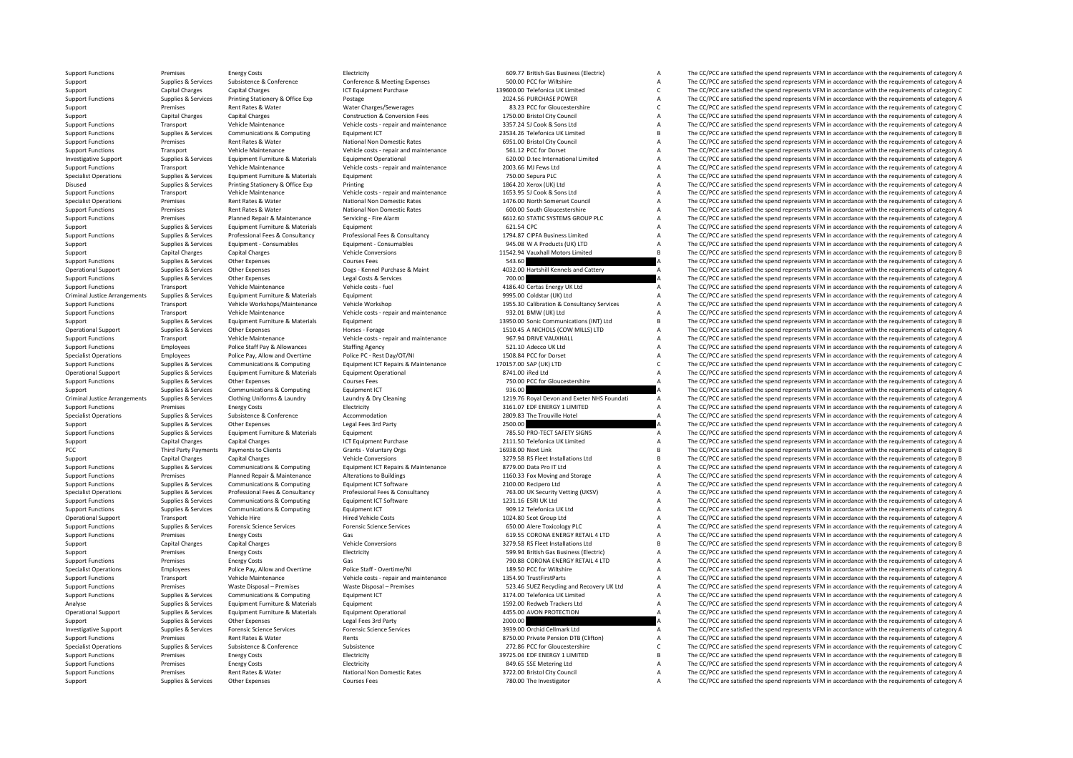Criminal JusticeCriminal JusticePCC Third Party Payments

Support Functions Premises Energy Costs Electricity Electricity Electricity and the Support Electricity and the spend represents VFM in accordance with the requirements of category A Support Support Supporters Subsistence & Conference Conference & Meeting Expenses 500.00 PCC for Wiltshire A The CC/PCC are satisfied the spend represents VFM in accordance with the requirements of category A Support Capital Charges Capital Charges Capital Charges Active Computer Purchase 139600.00 Telefonica UK Limited C The CC/PCC are satisfied the spend represents VFM in accordance with the requirements of category C Support Postage **Supplies A The CC/PCC are satisfied the spend represents VFM in accordance with the requirements of category A** The CC/PCC are satisfied the spend represents VFM in accordance with the requirements of category A Support Premises Rent Rates & Water Mater Charges/Sewerages and a state and the Support Charges and the CC/PCC are satisfied the spend represents VFM in accordance with the requirements of category C<br>Support Capital Charge Support Capital Charges Capital Charges Capital Charges Construction & Conversion Fees 1750.00 Bristol City Council A The CC/PCC are satisfied the spend represents VFM in accordance with the requirements of category A Supp Support Functions Transport Vehicle Maintenance Vehicle Costs - repair and maintenance 3357.24 SJ Cook & Sons Ltd A The CC/PCC are satisfied the spend represents VFM in accordance with the requirements of category A Support Functions Supplies & Services Communications & Computing Equipment ICT 23534.26 Telefonica UK Limited B The CC/PCC are satisfied the spend represents VFM in accordance with the requirements of category B Support Functions Premises Rent Rates & Water National Non Domestic Rates 6951.00 Bristol City Council A The CC/PCC are satisfied the spend represents VFM in accordance with the requirements of category A Support Functions Transport Vehicle Maintenance Vehicle costs ‐ repair and maintenance 561.12 PCC for Dorset A The CC/PCC are satisfied the spend represents VFM in accordance with the requirements of category A Investigative Support Supplies & Services Equipment Furniture & Materials Equipment Operational Support Departional Equipment Operational Limited 620.00 D.tec International Limited A The CC/PCC are satisfied the spend repr Support Functions Transport Vehicle Maintenance Vehicle costs - repair and maintenance 2003.66 MJ Fews Ltd A The CC/PCC are satisfied the spend represents VFM in accordance with the requirements of category A Specialist Operations Supplies & Services Equipment Furniture & Materials Equipment 750.00 Sepura PLC 750.00 Sepura PLC A The CC/PCC are satisfied the spend represents VFM in accordance with the requirements of category A Disused Supplies & Services Printing Stationery & Office Exp Printing 1864.20 Xerox (UK) Ltd 1864.20 Xerox (UK) Ltd A The CC/PCC are satisfied the spend represents VFM in accordance with the requirements of category A The Transport Vehicle Maintenance Vehicle costs ‐ repair and maintenance 1653.95 SJ Cook & Sons Ltd A The CC/PCC are satisfied the spend represents VFM in accordance with the requirements of category A Specialist Operations Premises Rent Rates Rent Rates Rent Rates National Non Domestic Rates 1476.00 North Somerset Council A The CC/PCC are satisfied the spend represents VFM in accordance with the requirements of category Support Functions Premises Rent Rates Rent Rates Rent Rates Rent Rates Rent Rates Communications Rent Rates Premises Rent Rates Premises Premises Premises Premises Papare Rent Rates Premises Premises Papare Rent Rates Prem Support Functions Premises Planned Repair & Maintenance Servicing • Fire Alarm 6612.60 STATIC SYSTEMS GROUP PLC A The CC/PCC are satisfied the spend represents VFM in accordance with the requirements of category A The CC/P Support Supplies & Services Equipment Furniture & Materials Equipment Equipment Equipment Equipment Equipment Equipment Consultancy and the Support A The CC/PCC are satisfied the spend represents VFM in accordance with the The CC/PCC are satisfied the spend represents VFM in accordance with the requirements of category A Support Supplies & Services Equipment - Consumables Equipment - Consumables Equipment - Consumables Equipment Consumables Equipment Consumables and the spend represents VFC are satisfied the spend represents VFM in accorda Support Capital Charges Capital Charges Capital Charges Vehicle Conversions Vehicle Conversions 11542.94 Vauxhall Motors Limited B The CC/PCC are satisfied the spend represents VFM in accordance with the requirements of ca Support Functions Supplies & Services Other Expenses Courses Fees Courses Fees Support Courses Fees Courses Fees Fees 543.60 A The CC/PCC are satisfied the spend represents VFM in accordance with the requirements of catego Operational Support Supplies & Services Other Expenses May Dogs - Kennel Purchase & Maint May and acter and Cattery and The CC/PCC are satisfied the spend represents VFM in accordance with the requirements of category A<br>Th The CC/PCC are satisfied the spend represents VFM in accordance with the requirements of category A Support Functions Transport Vehicle Maintenance Vehicle costs - fuel vehicle costs - fuel 4186.40 Certas Energy UK Ltd A The CC/PCC are satisfied the spend represents VFM in accordance with the requirements of category A C Arrangements Supplies & Services Equipment Equipment Equipment Equipment Coldstar (UK) Ltd A The CC/PCC are satisfied the spend represents VFM in accordance with the requirements of category A The CC/PCC are satisfied the Support Functions Transport Vehicle Workshops/Maintenance Vehicle Workshop 1955.30 Calibration & Consultancy Services A The CC/PCC are satisfied the spend represents VFM in accordance with the requirements of category A Th Support Functions Transport Vehicle Maintenance Vehicle Costs - repair and maintenance 932.01 BMW (UK) Ltd A The CC/PCC are satisfied the spend represents VFM in accordance with the requirements of category A Support Commu Supplies And Equipment Furniture & Materials Equipment Equipment and the COLO Sonic Communications (INT) Ltd B The CC/PCC are satisfied the spend represents VFM in accordance with the requirements of category B<br>Containing Operational Support Supplies & Services Other Expenses Other Expenses Horses - Forage 1510.45 A 1510.45 A NICHOLS (COW MILLS) LTD A The CC/PCC are satisfied the spend represents VFM in accordance with the requirements of c Support Functions Transport Vehicle Maintenance Vehicle Costs - repair and maintenance 967.94 DRIVE VAUXHALL A The CC/PCC are satisfied the spend represents VFM in accordance with the requirements of category A Support Fun Support Functions Functions Employees Police Staff Pay & Allowances Staffing Agency 521.10 Adecco UK Ltd A The CC/PCC are satisfied the spend represents VFM in accordance with the requirements of category A Specialist Operations Employees Police Pay, Allow and Overtime Police PC – Rest Day/OT/NI 1508.84 PCC for Dorset A The CC/PCC are satisfied the spend represents VFM in accordance with the requirements of category C<br>Support C The CC/PCC are satisfied the spend represents VFM in accordance with the requirements of category C Operational Support Supplies & Services Equipment Furniture & Materials Equipment Operational Equipment Operational 8741.00 iRed Ltd A The CC/PCC are satisfied the spend represents VFM in accordance with the requirements o Support Functions Supplies & Services Other Expenses Courses Fees Courses Fees 750.00 PCC for Gloucestershire A The CC/PCC are satisfied the spend represents VFM in accordance with the requirements of category A Support Support Communications Communications Computing Factors Equipment ICT 936.00 936.00 A The CC/PCC are satisfied the spend represents VFM in accordance with the requirements of category A Supplies & Services Clothing Uniforms & Laundry Laundry Mundry & Dry Cleaning 1219.76 Royal Devon and Exeter NHS Foundati A The CC/PCC are satisfied the spend represents VFM in accordance with the requirements of category Support Functions Premises Energy Costs Electricity Electricity and the Support Electricity and the requirements of category A The CC/PCC are satisfied the spend represents VFM in accordance with the requirements of catego Specialist Operations Supplies & Services Subsistence & Conference Accommodation 2809.83 The Trouville Hotel A The CC/PCC are satisfied the spend represents VFM in accordance with the requirements of category A Support Support Support Other Expenses Legal Fees 3rd Party 2500.00 2500.00 A The CC/PCC are satisfied the spend represents VFM in accordance with the requirements of category A Support Functions Supplies & Services Equipment Furniture & Materials Equipment 785.50 PRO‐TECT SAFETY SIGNS A The CC/PCC are satisfied the spend represents VFM in accordance with the requirements of category A Support Capital Charges Capital Charges 2011 CT Equipment Purchase 2111.50 Telefonica UK Limited A The CC/PCC are satisfied the spend represents VFM in accordance with the requirements of category A Payments to Clients Clients Crants - Voluntary Orgs Servent School May are and the School May are to Computer of the CC/PCC are satisfied the spend represents VFM in accordance with the requirements of category B The CC/PC Support Capital Charges Capital Charges Schild Charges Vehicle Conversions Vehicle Conversions 3279.58 RS Fleet Installations Ltd B The CC/PCC are satisfied the spend represents VFM in accordance with the requirements of c Support Functions Supplies & Services Communications & Computing Equipment ICT Repairs & Maintenance 8779.00 Data Pro IT Ltd Mainten A The CC/PCC are satisfied the spend represents VFM in accordance with the requirements o Support Functions Premises Planned Repair & Maintenance Alterations to Buildings 1160.33 Fox Moving and Storage A The CC/PCC are satisfied the spend represents VFM in accordance with the requirements of category A Support Support Functions Supplies & Services Communications & Computing Equipment ICT Software 2100.00 Recipero Ltd 200.00 Recipero Ltd A The CC/PCC are satisfied the spend represents VFM in accordance with the requirements of ca Supplies & Supplies & Supples & Professional Fees & Consultancy Professional Fees & Consultancy Professional Fees & Consultancy 763.00 UK Security Vetting (UKSV) The CC/PCC are satisfied the spend represents VFM in accorda Support Functions Support Functions of Computing and Communications Communications & Computing Computing and Equipment ICT Software 1231.16 ESRI UK Ltd A The CC/PCC are satisfied the spend represents VFM in accordance with Support Functions Supplies & Services Communications & Computing Equipment ICT examples and the support ICT of the CC/PCC are satisfied the spend represents VFM in accordance with the requirements of category A The CC/PCC Operational Support Transport Vehicle Hire Hired Vehicle Costs Hired Vehicle Costs 1024.80 Scot Group Ltd A The CC/PCC are satisfied the spend represents VFM in accordance with the requirements of category A Support Functions Supplies & Services Forencic Science Services Forensic Science Services 650.00 Alere Toxicology PLC A The CC/PCC are satisfied the spend represents VFM in accordance with the requirements of category A Support Functions Premises Energy Costs Gas Gas Gas Gas Content Conversions Gas and Content Conversions Gas and Conversions Capital 4 LTD A The CC/PCC are satisfied the spend represents VFM in accordance with the requireme Support Capital Charges Capital Charges Capital Charges Vehicle Conversions Vehicle Conversions 3279.58 RS Fleet Installations Ltd B The CC/PCC are satisfied the spend represents VFM in accordance with the requirements of Support Premises Energy Costs Electricity Electricity Electricity Electricity Support Electricity Support A The CC/PCC are satisfied the spend represents VFM in accordance with the requirements of category A Support Functi Support Functions Premises Energy Costs Gategory And Costs Gas CORONA ENERGY RETAIL 4 LTD A The CC/PCC are satisfied the spend represents VFM in accordance with the requirements of category A Corona ENERGY RETAIL 4 LTD SOL Specialist Operations Employees Police Pay, Allow and Overtime Police Staff - Overtime/NI 189.50 PCC for Wiltshire A The CC/PCC are satisfied the spend represents VFM in accordance with the requirements of category A Support Functions Transport Vehicle Maintenance Vehicle costs - repair and maintenance 1354.90 TrustFirstParts A The CC/PCC are satisfied the spend represents VFM in accordance with the requirements of category A Support F Premises Waste Disposal – Premises Waste Disposal – Premises 523.46 SUEZ Recycling and Recovery UK Ltd A The CC/PCC are satisfied the spend represents VFM in accordance with the requirements of category A Support Functions Supplies & Services Communications & Computing Equipment ICT Support Telefonica UK Limited A The CC/PCC are satisfied the spend represents VFM in accordance with the requirements of category A A A The CC/ Analyse Supplies & Services Equipment Furniture & Materials Equipment Equipment Contract and the service of the Services Equipment Purniture & Materials Equipment Contractional and the spend represents VFM in accordance wi Support Support Support Support Support Support Contractional 4455.00 AVON PROTECTION A The CC/PCC are satisfied the spend represents VFM in accordance with the requirements of category A Support Supplies & Services Other Expenses Legal Fees 3rd Party 2000.00 2000.00 A The CC/PCC are satisfied the spend represents VFM in accordance with the requirements of category A recordance with the requirements of cate The CC/PCC are satisfied the spend represents VFM in accordance with the requirements of category A Support Functions Premises Premises Rent Rates & Water Rents Rents Rents Rents Rents Rents Rents Rents Rents Rents Rents Rents Rents Rents and a Support Pension DTB (Clifton) A The CC/PCC are satisfied the spend represents Specialist Operations Supplies & Services Subsistence Subsistence Subsistence Subsistence Subsistence Subsistence Subsistence Subsistence Subsistence Subsistence Subsistence Subsistence Subsistence Subsistence 272.86 PCC f Support Functions Premises Energy Costs Electricity Electricity 39725.04 EDF ENERGY 1 LIMITED B The CC/PCC are satisfied the spend represents VFM in accordance with the requirements of category B Support Functions Premises Energy Costs Electricity Electricity Betting the Support Electricity Betting Ltd A The CC/PCC are satisfied the spend represents VFM in accordance with the requirements of category A Support Functions Premises Rent Rates & Water National Non Domestic Rates 3722.00 Bristol City Council A The CC/PCC are satisfied the spend represents VFM in accordance with the requirements of category A Support Supplies & Services Other Expenses Courses Fees Courses Fees 780.00 The Investigator 780.00 The Investigator A The CC/PCC are satisfied the spend represents VFM in accordance with the requirements of category A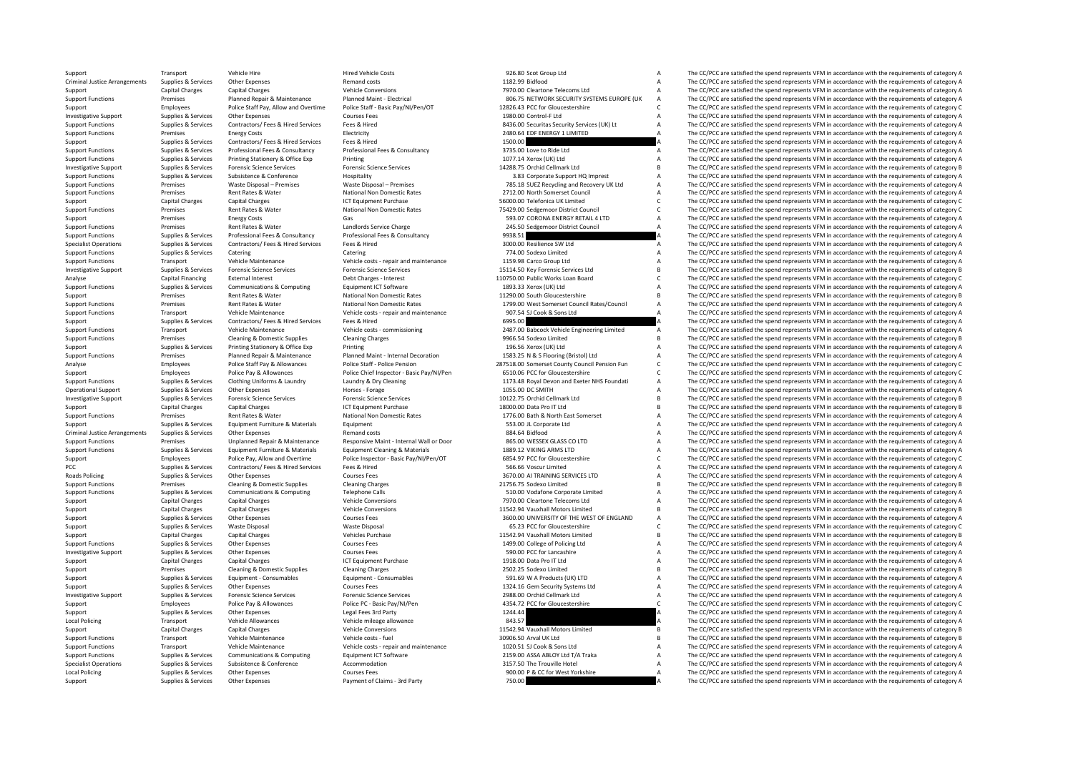Criminal JusticeCriminal Justice**Roads Policing Local Policing** Local Policing

|         | 926.80 Scot Group Ltd                         | A |
|---------|-----------------------------------------------|---|
|         | 1182.99 Bidfood                               | A |
|         | 7970.00 Cleartone Telecoms Ltd                | A |
|         |                                               | A |
|         | 806.75 NETWORK SECURITY SYSTEMS EUROPE (UK    |   |
|         | 12826.43 PCC for Gloucestershire              | c |
|         | 1980.00 Control-F Ltd                         | A |
|         | 8436.00 Securitas Security Services (UK) Lt   | А |
|         | 2480.64 EDF ENERGY 1 LIMITED                  | A |
|         |                                               |   |
| 1500.00 |                                               | A |
|         | 3735.00 Love to Ride Ltd                      | A |
|         | 1077.14 Xerox (UK) Ltd                        | A |
|         | 14288.75 Orchid Cellmark Ltd                  | B |
|         |                                               |   |
|         | 3.83 Corporate Support HQ Imprest             | A |
|         | 785.18 SUEZ Recycling and Recovery UK Ltd     | A |
|         | 2712.00 North Somerset Council                | A |
|         | 56000.00 Telefonica UK Limited                | C |
|         | 75429.00 Sedgemoor District Council           | C |
|         |                                               |   |
|         | 593.07 CORONA ENERGY RETAIL 4 LTD             | A |
|         | 245.50 Sedgemoor District Council             | A |
| 9938.51 |                                               | A |
|         | 3000.00 Resilience SW Ltd                     | A |
|         |                                               |   |
|         | 774.00 Sodexo Limited                         | A |
|         | 1159.98 Carco Group Ltd                       | A |
|         | 15114.50 Key Forensic Services Ltd            | B |
|         | 110750.00 Public Works Loan Board             | c |
|         |                                               | A |
|         | 1893.33 Xerox (UK) Ltd                        |   |
|         | 11290.00 South Gloucestershire                | B |
|         | 1799.00 West Somerset Council Rates/Council   | A |
|         | 907.54 SJ Cook & Sons Ltd                     | A |
| 6995.00 |                                               | A |
|         |                                               |   |
|         | 2487.00 Babcock Vehicle Engineering Limited   | A |
|         | 9966.54 Sodexo Limited                        | B |
|         | 196.56 Xerox (UK) Ltd                         | А |
|         | 1583.25 N & S Flooring (Bristol) Ltd          | A |
|         |                                               |   |
|         | 287518.00 Somerset County Council Pension Fun | c |
|         | 6510.06 PCC for Gloucestershire               | C |
|         | 1173.48 Royal Devon and Exeter NHS Foundati   | A |
|         | 1055.00 DC SMITH                              | A |
|         | 10122.75 Orchid Cellmark Ltd                  | B |
|         |                                               |   |
|         | 18000.00 Data Pro IT Ltd                      | B |
|         | 1776.00 Bath & North East Somerset            | A |
|         | 553.00 JL Corporate Ltd                       | A |
|         | 884.64 Bidfood                                | A |
|         |                                               |   |
|         | 865.00 WESSEX GLASS CO LTD                    | A |
|         | 1889.12 VIKING ARMS LTD                       | A |
|         | 6854.97 PCC for Gloucestershire               | C |
|         | 566.66 Voscur Limited                         | A |
|         | 3670.00 AI TRAINING SERVICES LTD              | A |
|         |                                               |   |
|         | 21756.75 Sodexo Limited                       | B |
|         | 510.00 Vodafone Corporate Limited             | A |
|         | 7970.00 Cleartone Telecoms Ltd                | A |
|         | 11542.94 Vauxhall Motors Limited              | R |
|         |                                               | A |
|         | 3600.00 UNIVERSITY OF THE WEST OF ENGLAND     |   |
|         | 65.23 PCC for Gloucestershire                 | Ċ |
|         | 11542.94 Vauxhall Motors Limited              | B |
|         | 1499.00 College of Policing Ltd               | A |
|         | 590.00 PCC for Lancashire                     | A |
|         | 1918.00 Data Pro IT Ltd                       | A |
|         |                                               |   |
|         | 2502.25 Sodexo Limited                        | B |
|         | 591.69 W A Products (UK) LTD                  | A |
|         | 1324.16 Gem Security Systems Ltd              | A |
|         | 2988.00 Orchid Cellmark Ltd                   | A |
|         |                                               |   |
|         | 4354.72 PCC for Gloucestershire               | Ċ |
| 1244.44 |                                               | A |
| 843.57  |                                               | A |
|         | 11542.94 Vauxhall Motors Limited              | B |
|         | 30906.50 Arval UK Ltd                         | B |
|         |                                               |   |
|         | 1020.51 SJ Cook & Sons Ltd                    | A |
|         | 2159.00 ASSA ABLOY Ltd T/A Traka              | A |
|         | 3157.50 The Trouville Hotel                   | А |
|         | 900.00 P & CC for West Yorkshire              | А |
|         |                                               |   |

Support Transport Vehicle Hire Mexico Hired Vehicle Costs Hired Vehicle Costs 926.80 Scot Group Ltd A The CC/PCC are satisfied the spend represents VFM in accordance with the requirements of category A Arrangements Supplies & Services Other Expenses Remand costs 1182.99 Bidfood A The CC/PCC are satisfied the spend represents VFM in accordance with the requirements of category A Support Capital Charges Capital Charges Capital Charges Vehicle Conversions Vehicle Conversions Vehicle Conversions 7970.00 Cleartone Telecoms Ltd A The CC/PCC are satisfied the spend represents VFM in accordance with the Planned Maint-Electrical and the CASS NETWORK SECURTY STATEM SURPE (UK A The CC/PCC are satisfied the spend represents VFM in accordance with the requirements of category A<br>Police Staff David Director Cass areas of categor Support Employees Police Staff Pay, Allow and Overtime Police Staff - Basic Pay/NI/Pen/OT 12826.43 PCC for Gloucestershire C The CC/PCC are satisfied the spend represents VFM in accordance with the requirements of category Other Expenses Courses Fees Courses Fees 1980.00 Control‐F Ltd A The CC/PCC are satisfied the spend represents VFM in accordance with the requirements of category A Sunnort Eugenitors Sunnilles & Sepultes & Contractors / Fees & Hired Services Fees & Hired Services Fees & Hired Services Fees & Hired Service Service Services SASAO Security Services (IIK) It A The CC/PCC are satisfied th Support Functions Premises Energy Costs Electricity Electricity **Electricity** 2480.64 EDF ENERGY 1 LIMITED A The CC/PCC are satisfied the spend represents VFM in accordance with the requirements of category A Supplies & Services Contractors/ Fees & Hired Services Fees & Hired 1500.00 1500.00 A The CC/PCC are satisfied the spend represents VFM in accordance with the requirements of category A Supplies & Services Professional Fees & Consultancy Professional Fees & Consultancy Professional Fees & Consultancy Professional Fees & Consultancy 3735.00 Love to Ride Ltd A The CC/PCC are satisfied the spend represents V Support Functions Supplies & Services Printing Stationery & Office Exp Printing 1077.14 Xerox (UK) Ltd A The CC/PCC are satisfied the spend represents VFM in accordance with the requirements of category A Investigative Support Supplies & Services Forensic Science Services Forensic Science Services Forensic Science Services Forensic Science Services and the control of category B The CC/PCC are satisfied the spend represents Support Functions Supplies & Services Subsistence & Conference Hospitality Hospitality 3.83 Corporate Support HQ Imprest A The CC/PCC are satisfied the spend represents VFM in accordance with the requirements of category A Support Functions Premises Waste Disposal – Premises Waste Disposal – Premises Waste Disposal – Premises Waste Disposal – Premises Waste Disposal – Premises Waste Disposal – Premises 785.18 SUEZ Recycling and Recovery UK L Support Functions Premises Rent Rates Rent Rates Rent Rates National Non Domestic Rates 2712.00 North Somerset Council A The CC/PCC are satisfied the spend represents VFM in accordance with the requirements of category A Support Capital Charges Capital Charges Capital Charges Support Such that Carges ICT Equipment Purchase Support Such and the CO/PC are satisfied the spend represents VFM in accordance with the requirements of category C Su Support Functions Premises Rent Rates & Water National Non Domestic Rates 75429.00 Sedgemoor District Council C The CC/PCC are satisfied the spend represents VFM in accordance with the requirements of category C Support Premises Energy Costs Gas 593.07 CORONA ENERGY RETAIL 4 LTD A The CC/PCC are satisfied the spend represents VFM in accordance with the requirements of category A Support Functions Premises Premises Rent Rates & Water Landlords Service Charge Landlords Service Charge 245.50 Sedgemoor District Council A The CC/PCC are satisfied the spend represents VFM in accordance with the requirem The CC/PCC are satisfied the spend represents VFM in accordance with the requirements of category A Specialist Operations Supplies & Services Contractors/ Fees & Hired Services Fees & Hired Services Fees & Hired Services Services A The CC/PCC are satisfied the spend represents VFM in accordance with the requirements of c Support Functions Supplies & Services Catering Catering Catering Catering Catering Catering Catering Catering Catering Catering Catering Catering and the magintanance and the spend represents and the control of the CC/PC a Support Functions Transport Vehicle Maintenance Vehicle costs repair and maintenance 1159.98 Carco Group Ltd A The CC/PCC are satisfied the spend represents VFM in accordance with the requirements of category A The CC/PCC Investigative Support Supplies & Services Forensio Science Services Forensic Science Services Forensic Science Services Forensic Science Services and the material of the Services Capital Englishments of category B<br>Analyse Analyse Capital Financing External Interest Debt Charges - Interest Debt Congress interest 110750.00 Public Works Loan Board C The CC/PCC are satisfied the spend represents VFM in accordance with the requirements of catego Support Functions Supplies & Services Communications & Computing Equipment ICT Software 1893.33 Xerox (UK) Ltd A The CC/PCC are satisfied the spend represents VFM in accordance with the requirements of category A National Support Premises Rent Rates & Water National Non Domestic Rates 11290.00 South Gloucestershire B The CC/PCC are satisfied the spend represents VFM in accordance with the requirements of category B Support Functions Rent Rates Rent Rates Rent Rates National Non Domestic Rates 1799.00 West Somerset Council Rates/Council A The CC/PCC are satisfied the spend represents VFM in accordance with the requirements of category Support Functions Transport Vehicle Maintenance Vehicle Costs - repair and maintenance 907.54 SUCOOK & Sons Ltd A The CC/PCC are satisfied the spend represents VFM in accordance with the requirements of category A Support Supplies & Services Contractors/ Fees & Hired Services Fees & Hired 6995.00 A The CC/PCC are satisfied the spend represents VFM in accordance with the requirements of category A Support Functions Transport Vehicle Maintenance Vehicle costs – commissioning 2487.00 Babcock Vehicle Engineering Limited A The CC/PCC are satisfied the spend represents VFM in accordance with the requirements of category Support Functions Premises Cleaning & Domestic Supplies Cleaning Charges Cleaning Charges Cleaning Charges Support Charges and the CC/PCC are satisfied the spend represents VFM in accordance with the requirements of catego Support Support Support Services Printing Stationery & Office Exp Printing Printing 196.56 Xerox (UK) Ltd A The CC/PCC are satisfied the spend represents VFM in accordance with the requirements of category A Premises Planned Repair & Maintenance Planned Maint - Internal Decoration 1583.25 N & S Flooring (Bristol) Ltd Maint Maint Analyse The CC/PCC are satisfied the spend represents VFM in accordance with the requirements of ca Employees Police Staff Pay & Allowances Police Staff - Police Pension 287518.00 Somerset County Council Pension Fun C The CC/PCC are satisfied the spend represents VFM in accordance with the requirements of category C Support Employees Police Pay & Allowances Police Chief Inspector - Basic Pay/NI/Pen 6510.06 PCC for Gloucestershire C The CC/PCC are satisfied the spend represents VFM in accordance with the requirements of category C and Supplies & Services Clothing Uniforms & Laundry Laundry Laundry A Dry Cleaning Care and Exter NHS Foundati A The CC/PCC are satisfied the spend represents VFM in accordance with the requirements of category A Operational Support Supplies & Services Other Expenses Horses Enrage Horses Forage 1055.00 DC SMITH A The CC/PCC are satisfied the spend represents VEM in accordance with the requirements of category A Investigative Support Supplies & Services Forensic Science Services Forensic Science Services Forensic Science Services Forensic Science Services and the control of the CC/PCC are satisfied the spend represents VFM in acco Support Capital Charges Capital Charges Capital Charges ICT Equipment Purchase 18000.00 Data Pro IT Ltd B The CC/PCC are satisfied the spend represents VFM in accordance with the requirements of category B Support Functions Premises Rent Rates & Water National Non Domestic Rates 1776.00 Bath & North East Somerset A The CC/PCC are satisfied the spend represents VFM in accordance with the requirements of category A Support Supplies & Services Equipment Furniture & Materials Equipment Support Equipment Support Support A The CC/PCC are satisfied the spend represents VFM in accordance with the requirements of category A Supplies Services Other Expenses Contain Remand costs 884.64 Bidfood A The CC/PCC are satisfied the spend represents VFM in accordance with the requirements of category A The CC/PCC are satisfied the spend represents VFM i Support Functions Premises Unplanned Repair & Maintenance Responsive Maint - Internal Wall or Door 865.00 WESSEX GLASS CO LTD A The CC/PCC are satisfied the spend represents VFM in accordance with the requirements of categ Supplies & Supples & Services Equipment Furniture & Materials Materials Equipment Cleaning & Materials Materials and the Support Law and Support Cleaning AMATERIA and the CONCERT MATERIA The COPCC are satisfied the spend r Support Employees Police Pay, Allow and Overtime Police Inspector – Basic Pay/NI/Pen/OT 6854.97 PCC for Gloucestershire C The CC/PCC are satisfied the spend represents VFM in accordance with the requirements of category C PCC Supplies & Services Contractors/ Fees & Hired Services Fees & Hired Services Fees & Hired Services Fees & Hired Services Fees & Hired Services Services Services Services Fees & Hired Services Services Services Services Popiles & Services Other Expenses Courses Fees Courses Fees and the Courses Fees and the Services Courses Fees and the Services Courses Fees and the spend represents VFM in accordance with the requirements of category A<br>Pr Support Functions Support Cleaning & Domestic Supplies Cleaning Charges 21756.75 Sodexo Limited B The CC/PCC are satisfied the spend represents VFM in accordance with the requirements of category B Support Functions Supplies & Services Communications & Computing Telephone Calls Telephone Calls 510.00 Vodafone Corporate Limited A The CC/PCC are satisfied the spend represents VFM in accordance with the requirements of Support Capital Charges Capital Charges Vehicle Conversions Vehicle Conversions 7970.00 Cleartone Telecoms Ltd A The CC/PCC are satisfied the spend represents VFM in accordance with the requirements of category A Support Capital Charges Capital Charges Vehicle Conversions 11542.94 Vauxhall Motors Limited B The CC/PCC are satisfied the spend represents VFM in accordance with the requirements of category B Support Supplies & Services Other Expenses Courses Fees Courses Courses Fees 3600.00 UNIVERSITY OF THE WEST OF ENGLAND A The CC/PCC are satisfied the spend represents VFM in accordance with the requirements of category A Support Supplies & Services Waste Disposal Waste Disposal C ST 23 PCC for Gloucestershire C The CC/PCC are satisfied the spend represents VFM in accordance with the sequirements of category C Support Capital Charges Capital Charges Capital Charges Vehicles Purchase Vehicles Purchase 11542.94 Vauxhall Motors Limited B The CC/PCC are satisfied the spend represents VFM in accordance with the requirements of catego Support Functions Supplies & Services Other Expenses Courses Fees Courses Courses Courses Courses Courses Courses Courses Courses Courses Courses Courses Courses Courses Courses Courses Courses Courses Courses Courses Cour Investigative Support Support Support Support Support Other Expenses Courses Fees Courses Fees 590.00 PCC for Lancashire A The CC/PCC are satisfied the spend represents VFM in accordance with the requirements of category A Support Capital Charges Capital Charges ICT Equipment Purchase 1918.00 Data Pro IT Ltd A The CC/PCC are satisfied the spend represents VFM in accordance with the requirements of category A Support Premises Cleaning & Domestic Supplies Cleaning Charges 2502.25 Sodexo Limited B The CC/PCC are satisfied the spend represents VFM in accordance with the requirements of category B Support Supplies & Services Equipment - Consumables Equipment - Consumables Equipment - Consumables Equipment - Consumables S91.69 W A Products (UK) LTD A The CC/PCC are satisfied the spend represents VFM in accordance wit Support Supplies & Services Other Expenses Courses Fees Courses Courses Courses Courses Courses Courses Courses Courses Courses Courses Courses Courses Courses Courses Courses Courses Courses Courses Courses Courses Course Investigative Support Supplies & Services Forensic Science Services Forensic Science Services Procensic Science Services Procensic Science Services 2988.00 Orchid Cellmark Ltd A The CC/PCC are satisfied the spend represent Support Employees Police Pay & Allowances Police PC - Basic Pay/NI/Pen 4354.72 PCC for Gloucestershire C The CC/PCC are satisfied the spend represents VFM in accordance with the requirements of category C Support Support Support Other Expenses Legal Fees 3rd Party 1244.44 A The CC/PC are satisfied the spend represents VFM in accordance with the requirements of category A The CC/PC are satisfied the spend represents VFM in a Policing Transport Vehicle Allowances Vehicle mileage allowance and the search are allowed a state of the Search Mileage allowance and the spend represents VFM in accordance with the requirements of category A The CC/PCC a Support Capital Charges Capital Charges Vehicle Conversions Vehicle Conversions 11542.94 Vauxhall Motors Limited B The CC/PCC are satisfied the spend represents VFM in accordance with the requirements of category B Support Functions Transport Vehicle Maintenance Vehicle costs – fuel 30906.50 Arval UK Ltd B The CC/PCC are satisfied the spend represents VFM in accordance with the requirements of category B Support Functions Transport Vehicle Maintenance Vehicle costs - repair and maintenance 1020.51 SJ Cook & Sons Ltd A The CC/PCC are satisfied the spend represents VFM in accordance with the requirements of category A Support Functions Supplies & Services Communications & Computing Equipment ICT Software 2159.00 ASSA ABLOY Ltd Traka A The CC/PCC are satisfied the spend represents VFM in accordance with the requirements of category A Specialist Operations Supplies & Services Subsistence Subsistence Accommodation Accommodation 3157.50 The Trouville Hotel A The CC/PCC are satisfied the spend represents VFM in accordance with the requirements of category Supplies & Services Other Expenses Courses Fees Courses Fees 900.00 P & CC for West Yorkshire A The CC/PCC are satisfied the spend represents VFM in accordance with the requirements of category A Support Supplies & Services Other Expenses Payment of Claims - 3rd Party 750.00 750.00 A The CC/PCC are satisfied the spend represents VFM in accordance with the requirements of category A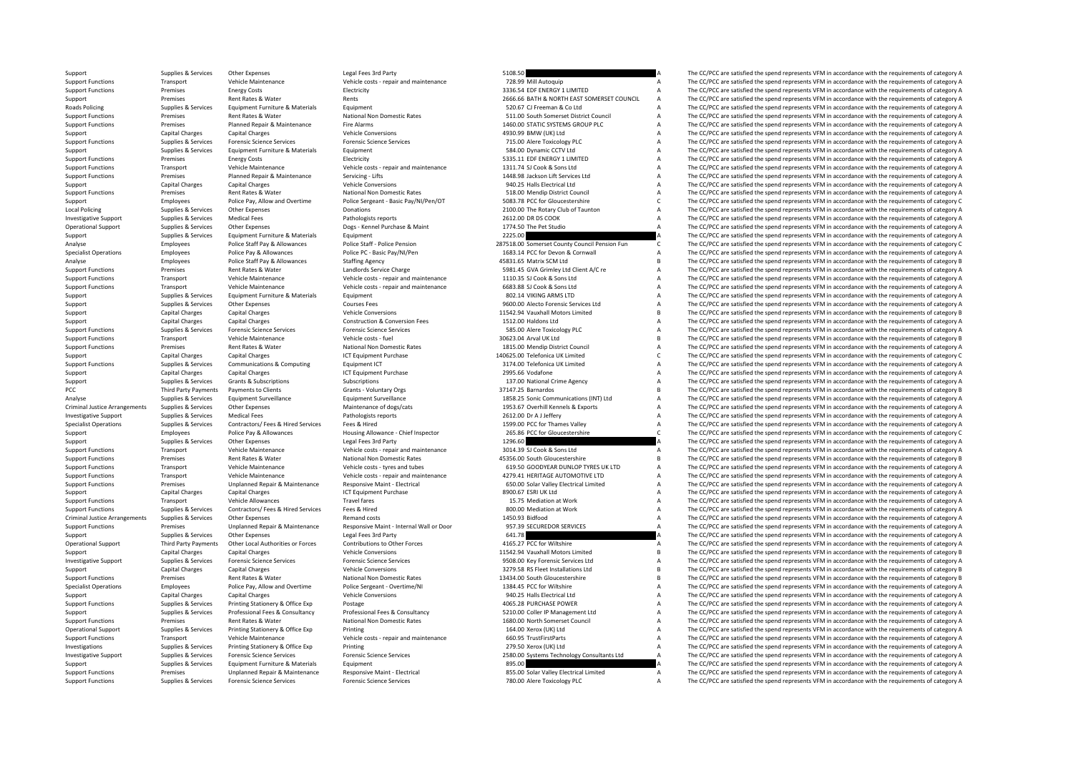Roads Policing Local Policing PCC Third Party Payments Criminal JusticeCriminal Justice

| 5108.50         |                                               | A      |
|-----------------|-----------------------------------------------|--------|
|                 | 728.99 Mill Autoquip                          | A      |
|                 | 3336.54 EDF ENERGY 1 LIMITED                  | А      |
|                 | 2666.66 BATH & NORTH EAST SOMERSET COUNCIL    | А      |
|                 | 520.67 CJ Freeman & Co Ltd                    | А      |
|                 | 511.00 South Somerset District Council        | A      |
|                 | 1460.00 STATIC SYSTEMS GROUP PLC              | A      |
|                 | 4930.99 BMW (UK) Ltd                          | A      |
|                 | 715.00 Alere Toxicology PLC                   | A      |
|                 | 584.00 Dynamic CCTV Ltd                       | A      |
|                 | 5335.11 EDF ENERGY 1 LIMITED                  | A      |
|                 | 1311.74 SJ Cook & Sons Ltd                    | A      |
|                 | 1448.98 Jackson Lift Services Ltd             | A      |
|                 | 940.25 Halls Electrical Ltd                   | A      |
|                 | 518.00 Mendip District Council                | A      |
|                 | 5083.78 PCC for Gloucestershire               | C      |
|                 | 2100.00 The Rotary Club of Taunton            | A      |
|                 | 2612.00 DR DS COOK                            | A      |
|                 | 1774.50 The Pet Studio                        | A      |
| 2225.00         |                                               | A      |
|                 |                                               |        |
|                 | 287518.00 Somerset County Council Pension Fun | c      |
|                 | 1683.14 PCC for Devon & Cornwall              | A      |
|                 | 45831.65 Matrix SCM Ltd                       | B      |
|                 | 5981.45 GVA Grimley Ltd Client A/C re         | A      |
|                 | 1110.35 SJ Cook & Sons Ltd                    | A      |
|                 | 6683.88 SJ Cook & Sons Ltd                    | A      |
|                 | 802.14 VIKING ARMS LTD                        | A      |
|                 | 9600.00 Alecto Forensic Services Ltd          | A      |
|                 | 11542.94 Vauxhall Motors Limited              | R      |
|                 | 1512.00 Haldons Ltd                           | А      |
|                 | 585.00 Alere Toxicology PLC                   | A      |
|                 | 30623.04 Arval UK Ltd                         | B      |
|                 | 1815.00 Mendip District Council               | А      |
|                 | 140625.00 Telefonica UK Limited               | C      |
|                 | 3174.00 Telefonica UK Limited                 | A      |
|                 | 2995.66 Vodafone                              | А      |
|                 | 137.00 National Crime Agency                  | A      |
|                 | 37147.25 Barnardos                            | B      |
|                 | 1858.25 Sonic Communications (INT) Ltd        | A      |
|                 | 1953.67 Overhill Kennels & Exports            | A      |
|                 | 2612.00 Dr A J Jeffery                        | A      |
|                 | 1599.00 PCC for Thames Valley                 | A      |
|                 | 265.86 PCC for Gloucestershire                | c      |
| 1296.60         |                                               | A      |
|                 | 3014.39 SJ Cook & Sons Ltd                    | A      |
|                 | 45356.00 South Gloucestershire                | R      |
|                 | 619.50 GOODYEAR DUNLOP TYRES UK LTD           | А      |
|                 | 4279.41 HERITAGE AUTOMOTIVE LTD               | A      |
|                 | 650.00 Solar Valley Electrical Limited        | A      |
|                 | 8900.67 ESRI UK Ltd                           | A      |
|                 | 15.75 Mediation at Work                       | A      |
|                 | 800.00 Mediation at Work                      | A      |
| 1450.93 Bidfood |                                               | A      |
|                 | 957.39 SECUREDOR SERVICES                     | A      |
| 641.78          |                                               | A      |
|                 | 4165.27 PCC for Wiltshire                     | A      |
|                 | 11542.94 Vauxhall Motors Limited              | B      |
|                 | 9508.00 Key Forensic Services Ltd             | A      |
|                 | 3279.58 RS Fleet Installations Ltd            | B      |
|                 | 13434.00 South Gloucestershire                | B      |
|                 | 1384.45 PCC for Wiltshire                     | A      |
|                 | 940.25 Halls Electrical Ltd                   | A      |
|                 | 4065.28 PURCHASE POWER                        | A      |
|                 | 5210.00 Coller IP Management Ltd              | A      |
|                 | 1680.00 North Somerset Council                | A      |
|                 |                                               | A      |
|                 | 164.00 Xerox (UK) Ltd                         | A      |
|                 | 660.95 TrustFirstParts                        | A      |
|                 | 279.50 Xerox (UK) Ltd                         |        |
| 895.00          | 2580.00 Systems Technology Consultants Ltd    | A<br>A |
|                 | 855.00 Solar Valley Electrical Limited        | A      |
|                 |                                               |        |

Support Supplies & Services Other Expenses Legal Fees 3rd Party Support Support Support A The CC/PCC are satisfied the spend represents VFM in accordance with the requirements of category A Support Functions Transport Vehicle Maintenance Vehicle costs – repair and maintenance 728.99 Mill Autoquip A The CC/PCC are satisfied the spend represents VFM in accordance with the requirements of category A Support Functions Premises Energy Costs Electricity Electricity S336.54 EDF ENERGY 1 LIMITED A The CC/PCC are satisfied the spend represents VFM in accordance with the requirements of category A<br>Support Parameter Schedule Support Premises Rent Rates & Water Rents Rents Rents Rents Rents 2666.66 BATH & NORTH EAST SOMERSET COUNCIL A The CC/PCC are satisfied the spend represents VFM in accordance with the requirements of category A Poplies & Supplies & Services Equipment Furniture & Materials Equipment Equipment Equipment Equipment Equipment Equipment A The CC/PCC are satisfied the spend represents VFM in accordance with the requirements of category Support Functions Premises Rent Rates & Water National Non Domestic Rates 511.00 South Somerset District Council A The CC/PCC are satisfied the spend represents VFM in accordance with the requirements of category A Support Functions Premises Planned Repair & Maintenance Fire Alarms 1460.00 STATIC SYSTEMS GROUP PLC A The CC/PCC are satisfied the spend represents VFM in accordance with the requirements of category A Support Capital Charges Capital Charges Vehicle Conversions Vehicle Conversions 4930.99 BMW (UK) Ltd A The CC/PCC are satisfied the spend represents VFM in accordance with the requirements of category A Support Functions Supplies & Services Forensic Science Services Forensic Science Services Forensic Science Services 715.00 Alere Toxicology PLC A The CC/PCC are satisfied the spend represents VFM in accordance with the req Support Support Support Support Equipment Furniture & Materials Equipment Equipment Support Services Equipment Support Services and Satisfied the spend represents VFM in accordance with the requirements of category A Servi Support Functions Premises Energy Costs Electricity Electricity S335.11 EDF ENERGY 1 LIMITED A The CC/PCC are satisfied the spend represents VFM in accordance with the requirements of category A Support Functions Transport Vehicle Maintenance Vehicle costs - repair and maintenance 1311.74 SJ Cook & Sons Ltd A The CC/PCC are satisfied the spend represents VFM in accordance with the requirements of category A Support Functions Premises Planned Repair & Maintenance Servicing - Lifts 1448.98 Jackson Lift Services Ltd A The CC/PCC are satisfied the spend represents VFM in accordance with the requirements of category A Support Capital Charges Capital Charges Capital Charges Vehicle Conversions Vehicle Conversions 940.25 Halls Electrical Ltd A The CC/PCC are satisfied the spend represents VFM in accordance with the requirements of categor Premises Rent Rates & Water National Non Domestic Rates 518.00 Mendip District Council A The CC/PCC are satisfied the spend represents VFM in accordance with the requirements of category A Support Employees Police Pay, Allow and Overtime Police Sergeant - Basic Pay/NI/Pen/OT 5083.78 PCC for Gloucestershire C The CC/PCC are satisfied the spend represents VFM in accordance with the requirements of category C C Policing Supplies and Contact Supplies Contact Supplies A The CC/PCC are satisfied the spend represents VFM in accordance with the requirements of category A The CC/PCC are satisfied the spend represents VFM in accordance Investigative Support Supplies & Services Medical Fees Pathologists reports 2612.00 DR DS COOK A The CC/PCC are satisfied the spend represents VFM in accordance with the requirements of category A The CC/PC are satisfied t Operational Support Supplies & Services Other Expenses Dogs - Kennel Purchase & Maint 1774.50 The Pet Studio A The CC/PCC are satisfied the spend represents VFM in accordance with the requirements of category A Support Sup Support Supplies & Services Equipment Furniture & Materials Equipment Equipment and the requirements of category A The CC/PCC are satisfied the spend represents VFM in accordance with the requirements of category A analyze Employees Police Staff Pay & Allowances Police Staff - Police Staff - Police Staff - Police Staff - Police Staff - Police Staff - Police Staff - Police Staff - Police Staff - Police Staff - Police Pension 287518.00 Somerse Specialist Operations Employees Police Pay & Allowances Police PC ‐ Basic Pay/NI/Pen 1683.14 PCC for Devon & Cornwall A The CC/PCC are satisfied the spend represents VFM in accordance with the requirements of category A Po Analyse The CC/PCC are stated the States Analyse Staffing Agency 45831.65 Matrix SCM Ltd B The CC/PCC are satisfied the spend represents VFM in accordance with the requirements of category B and represents VFM in accordanc Support Functions Premises Rent Rates & Water Landlords Service Charge 5981.45 GVA Grimley Ltd Client A/C re A The CC/PCC are satisfied the spend represents VFM in accordance with the requirements of category A<br>Support Fun Transport Vehicle Maintenance Vehicle costs ‐ repair and maintenance 1110.35 SJ Cook & Sons Ltd A The CC/PCC are satisfied the spend represents VFM in accordance with the requirements of category A Support Functions Transport Vehicle Maintenance Vehicle costs - repair and maintenance 6683.88 SJ Cook & Sons Ltd A The CC/PCC are satisfied the spend represents VFM in accordance with the requirements of category A Suppor Supplies & Services Equipment Furniture & Materials Equipment Current Butchens and the Service and the spend represent of the Service of the Services And the requirements of category A Support Supplies & Services Other Expenses Courses Fees Support Courses Fees 9600.00 Alecto Forensic Services Ltd A The CC/PCC are satisfied the spend represents VFM in accordance with the requirements of category A Develo Support Capital Charges Capital Charges Capital Charges Vehicle Conversions Vehicle Conversions 11542.94 Vauxhall Motors Limited B The CC/PCC are satisfied the spend represents VFM in accordance with the requirements of ca Support Capital Charges Capital Charges Construction & Conversion Fees 1512.00 Haldons Ltd A The CC/PCC are satisfied the spend represents VFM in accordance with the requirements of category A Support Functions Supplies & Services Forensic Science Services Forensic Science Services Forensic Science Services 585.00 Alere Toxicology PLC A The CC/PCC are satisfied the spend represents VFM in accordance with the req Support Functions Transport Vehicle Maintenance Vehicle costs – fuel 30623.04 Arval UK Ltd B The CC/PCC are satisfied the spend represents VFM in accordance with the requirements of category B and Rathe Spend Rathe Costs a Support Functions Premises Rent Rates Rulater National Non Domestic Rates 1815.00 Mendin District Council A The CC/PCC are satisfied the spend represents VFM in accordance with the requirements of category A Support Capital Charges Capital Charges Capital Charges Act agency C ICT Equipment Purchase 140625.00 Telefonica UK Limited C The CC/PCC are satisfied the spend represents VFM in accordance with the requirements of categor Supplies & Services Communications & Computing Equipment ICT equipment ICT and the Support Computing Equipment ICT Equipment ICT and the Support Computing and the Support of The CC/PCC are satisfied the spend represents VF Support Capital Charges Capital Charges Capital Charges 2015 ICT Equipment Purchase 2015.66 Vodafone 2095.66 Vodafone A The CC/PCC are satisfied the spend represents VFM in accordance with the requirements of category A Su Supplies & Services Grants & Subscriptions Subscriptions Subscriptions Subscriptions Subscriptions 137.00 National Crime Agency A The CC/PCC are satisfied the spend represents VFM in accordance with the requirements of cat Payments to Clients Crants and Crants Coluntary Orgs 37147.25 Barnardos 37147.25 Barnardos B The CC/PCC are satisfied the spend represents VFM in accordance with the requirements of category B Analyse Supplies & Services Equipment Surveillance Equipment Surveillance Equipment Surveillance Equipment Surveillance Equipment Surveillance Equipment Surveillance Equipment Surveillance and the spend represents VFM in a Supplies & Services Other Expenses Maintenance of dogs/cats 1953.67 Overhill Kennels & Exports A The CC/PCC are satisfied the spend represents VFM in accordance with the requirements of category A Investigative Support Supplies & Services Medical Fees Pathologists reports Pathologists reports 2612.00 Dr A J Jeffery A The CC/PCC are satisfied the spend represents VFM in accordance with the requirements of category A Specialist Operations Supplies & Services Contractors/ Fees & Hired Services Fees & Hired 1599.00 PCC for Thames Valley A The CC/PCC are satisfied the spend represents VFM in accordance with the requirements of category A Support Controlly Controlly Controlly Controlly Controlly Controlly Controlly Controlly Controlly Controlly Controlly Controlly Controlly C The CC/PCC are satisfied the spend represents VFM in accordance with the requireme Supplies & Services Other Expenses Legal Fees 3rd Party 1296.60 1296.60 A The CC/PCC are satisfied the spend represents VFM in accordance with the requirements of category A Support Functions Transport Vehicle Maintenance Vehicle Costs - repair and maintenance 3014.39 SJ Cook & Sons Ltd A The CC/PCC are satisfied the spend represents VFM in accordance with the requirements of category A Suppor Support Functions Premises Rent Rates & Water National Non Domestic Rates 45356.00 South Gloucestershire B The CC/PCC are satisfied the spend represents VFM in accordance with the requirements of category B Support Functions Transport Vehicle Maintenance Vehicle costs – tyres and tubes 619.50 GOODYEAR DUNLOP TYRES UK LTD A The CC/PCC are satisfied the spend represents VFM in accordance with the requirements of category A Support Functions Transport Vehicle Maintenance Vehicle costs - repair and maintenance 4279.41 HERITAGE AUTOMOTIVE LTD A The CC/PCC are satisfied the spend represents VFM in accordance with the requirements of category A<br>S of the C/PCC are satisfied the spend represents VFM in accordance with the requirements of category and the exponsive Maintenance and the exponsive Maintenance and the exponsive Maintenance and the exponsive Maintenance an Support Capital Charges Capital Charges Capital Charges Capital Charges ICT Equipment Purchase 1CT Equipment Purchase 8900.67 ESRI UK Ltd A The CC/PCC are satisfied the spend represents VFM in accordance with the requireme Travel fares Travel fares Travel fares 15.75 Mediation at Work A The CC/PCC are satisfied the spend represents VFM in accordance with the requirements of category A Support Functions Supplies & Services Contractors/ Fees & Hired Services Fees & Hired Services Fees & Hired Services Fees & Hired A The CC/PCC are satisfied the spend represents VFM in accordance with the requirements of c Arrangements Supplies Arrangements of category A The CC/PCC are satisfied the spend represents VFM in accordance with the requirements of category A The CC/PCC are satisfied the spend represents VFM in accordance with the Sunnert Eunctions and Dramicas Unalanged Realing Research Proceeding Dramic Maint Internal Wall or Door a GET 30 SECUREDOR SERVICES A The CC/DCC are asticfied the coand rearrescents VEM in accordance with the requirements Support Supplies & Services Other Expenses Legal Fees 3rd Party Legal Fees 3rd Party Clear Support Clear Accordance Descriptions to Other Forces Contributions to Other Forces and the SEC/PCC are satisfied the spend represe The CC/PCC are satisfied the spend represents VFM in accordance with the requirements of category A Support Capital Charges Capital Charges Vehicle Conversions 11542.94 Vauxhall Motors Limited B The CC/PCC are satisfied the spend represents VFM in accordance with the requirements of category B opplies & Services Forensic Science Services Forensic Science Services Forensic Science Services Forensic Science Services Forensic Science Services of the Services of the Service of the Service of the Service of the Servi Support Capital Charges Capital Charges States Vehicle Conversions 3279.58 RS Fleet Installations Ltd B The CC/PCC are satisfied the spend represents VFM in accordance with the requirements of category B Support Functions Premises Rent Rates & Water National Non Domestic Rates 13434.00 South Gloucestershire B The CC/PCC are satisfied the spend represents VFM in accordance with the requirements of category B<br>Specialist Oper Employees Police Pay, Allow and Overtime Police Sergeant - Overtime/NI 1384.45 PCC for Wiltshire A The CC/PCC are satisfied the spend represents VFM in accordance with the requirements of category A Support Capital Charges Capital Charges Capital Charges Vehicle Conversions Vehicle Conversions 940.25 Halls Electrical Ltd A The CC/PCC are satisfied the spend represents VFM in accordance with the requirements of categor Support Functions Supplies & Services Printing Stationery & Office Exp Postage Professional Face & Consultancy<br>Support Functions Support Functions are a professional Face & Consultancy Professional Face & Consultancy Profe Sunnort Currence Sunning & Services Professional Fees & Consultancy Professional Fees & Consultancy Professional Fees & Consultancy 5210.00 Coller IP Management Itd Management Itd The CC/PCC are satisfied the spend represe Support Functions Premises Premises Rent Rates Rent Rates National Non Domestic Rates 1680.00 North Somerset Council A The CC/PCC are satisfied the spend represents VFM in accordance with the requirements of category A Cre Printing Stational Support Support Support Support Supplies A The CC/PCC are satisfied the spend represents VFM in accordance with the requirements of category A The CC/PCC are satisfied the spend represents VFM in accorda Support Functions Transport Vehicle Maintenance Vehicle costs ‐ repair and maintenance 660.95 TrustFirstParts A The CC/PCC are satisfied the spend represents VFM in accordance with the requirements of category A Investigations Supplies & Services Printing Stationery & Office Exp Printing 279.50 Xerox (UK) Ltd A The CC/PCC are satisfied the spend represents VFM in accordance with the requirements of category A Investigative Sunnort Sunnlies & Services Forensic Science Services Forensic Science Services Forensic Science Services Forensic Science Services Process and the consultants Ltd A The CC/PCC are satisfied the spend represe Supplies & Services Equipment Furniture & Materials Equipment Support Buyinment and the Support and the Service are satisfied the spend represents VFM in accordance with the requirements of category A Support Functions Premises Unplanned Repair & Maintenance Responsive Maint - Electrical Support Premises Unplanned Repair & Maintenance Responsive Maint - Electrical Maintenance 855.00 Solar Valley Electrical Limited A The Support Functions Supplies & Services Forensic Science Services Forensic Science Services Forensic Science Services Forensic Science Services 780.00 Alere Toxicology PLC A The CC/PCC are satisfied the spend represents VFM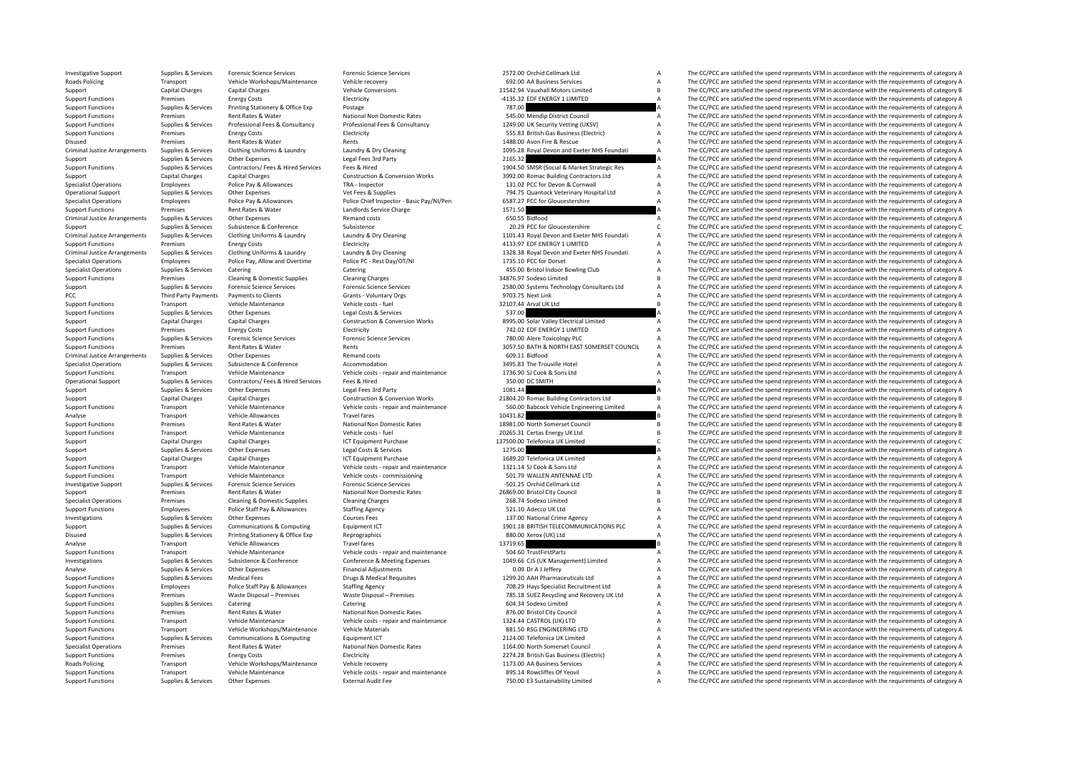**Roads Policing** Disused **Premises** Criminal JusticeCriminal JusticeCriminal JusticeCriminal JusticePCC Third Party Payments Criminal Justice**Roads Policing** 

Rates &

|          | 2572.00 Orchid Cellmark Ltd                                 | А           |
|----------|-------------------------------------------------------------|-------------|
|          | 692.00 AA Business Services                                 | A           |
|          | 11542.94 Vauxhall Motors Limited                            | B           |
|          | -4135.32 EDF ENERGY 1 LIMITED                               | A           |
| 787.00   |                                                             | A           |
|          | 545.00 Mendip District Council                              | A           |
|          | 1249.00 UK Security Vetting (UKSV)                          | A           |
|          | 555.83 British Gas Business (Electric)                      | A           |
|          | 1488.00 Avon Fire & Rescue                                  | A           |
|          |                                                             | A           |
|          | 1095.28 Royal Devon and Exeter NHS Foundati                 |             |
| 2165.32  |                                                             | A           |
|          | 1904.50 SMSR (Social & Market Strategic Res                 | Α           |
|          | 3992.00 Romac Building Contractors Ltd                      | A           |
|          | 131.02 PCC for Devon & Cornwall                             | A           |
|          | 794.75 Quantock Veterinary Hospital Ltd                     | A           |
|          | 6587.27 PCC for Gloucestershire                             | А           |
| 1571.50  |                                                             | A           |
|          | 650.55 Bidfood                                              | Α           |
|          | 20.29 PCC for Gloucestershire                               | C           |
|          | 1101.43 Royal Devon and Exeter NHS Foundati                 | A           |
|          | 4133.97 EDF ENERGY 1 LIMITED                                | A           |
|          | 1328.38 Royal Devon and Exeter NHS Foundati                 | А           |
|          | 1735.10 PCC for Dorset                                      | A           |
|          |                                                             |             |
|          | 455.00 Bristol Indoor Bowling Club                          | A           |
|          | 34876.97 Sodexo Limited                                     | B           |
|          | 2580.00 Systems Technology Consultants Ltd                  | A           |
|          | 9703.75 Next Link                                           | A           |
|          | 32107.44 Arval UK Ltd                                       | B           |
| 537.00   |                                                             | A           |
|          | 8995.00 Solar Valley Electrical Limited                     | A           |
|          | 742.02 EDF ENERGY 1 LIMITED                                 | A           |
|          | 780.00 Alere Toxicology PLC                                 | A           |
|          | 3057.50 BATH & NORTH EAST SOMERSET COUNCIL                  | A           |
|          | 609.11 Bidfood                                              | A           |
|          |                                                             | A           |
|          | 3495.83 The Trouville Hotel                                 | A           |
|          | 1736.90 SJ Cook & Sons Ltd                                  |             |
|          |                                                             |             |
|          | 350.00 DC SMITH                                             | A           |
| 1081.44  |                                                             | A           |
|          | 21804.20 Romac Building Contractors Ltd                     | B           |
|          | 560.00 Babcock Vehicle Engineering Limited                  | A           |
| 10431.82 |                                                             | <b>B</b>    |
|          | 18981.00 North Somerset Council                             | B           |
|          |                                                             | B           |
|          | 20265.31 Certas Energy UK Ltd                               | Ċ           |
|          | 137500.00 Telefonica UK Limited                             | A           |
| 1275.00  |                                                             |             |
|          | 1689.20 Telefonica UK Limited                               | A           |
|          | 1321.14 SJ Cook & Sons Ltd                                  | A           |
|          | 501.79 WALLEN ANTENNAE LTD                                  | A           |
|          | -501.25 Orchid Cellmark Ltd                                 | A           |
|          | 26869.00 Bristol City Council                               | B           |
|          | 268.74 Sodexo Limited                                       | B           |
|          | 521.10 Adecco UK Ltd                                        | A           |
|          | 137.00 National Crime Agency                                | A           |
|          | 1901.18 BRITISH TELECOMMUNICATIONS PLC                      | A           |
|          | 880.00 Xerox (UK) Ltd                                       | A           |
|          |                                                             | B           |
| 13719.65 | 504.60 TrustFirstParts                                      | A           |
|          |                                                             | A           |
|          | 1049.66 CJS (UK Management) Limited                         |             |
|          | 0.09 Dr A J Jeffery                                         | A           |
|          | 1299.20 AAH Pharmaceuticals Ltd                             | A           |
|          | 708.29 Hays Specialist Recruitment Ltd                      | А           |
|          | 785.18 SUEZ Recycling and Recovery UK Ltd                   | A           |
|          | 604.34 Sodexo Limited                                       | А           |
|          | 876.00 Bristol City Council                                 | A           |
|          | 1324.44 CASTROL (UK) LTD                                    | A           |
|          | 881.50 RSG ENGINEERING LTD                                  | A           |
|          | 2124.00 Telefonica UK Limited                               | A           |
|          | 1164.00 North Somerset Council                              | A           |
|          | 2274.28 British Gas Business (Electric)                     |             |
|          |                                                             |             |
|          | 1173.00 AA Business Services<br>895.14 Rowcliffes Of Yeovil | A<br>A<br>A |

Investigative Support Supplies & Services Forensic Science Services Forensic Science Services Provensic Science Services and The CC/PCC are satisfied the spend represents VFM in accordance with the requirements of category Transport Vehicle Workshops/Maintenance Vehicle recovery enters a services a services a The CC/PCC are satisfied the spend represents VFM in accordance with the requirements of category A Support Capital Charges Capital Charges Capital Charges Vehicle Conversions Vehicle Conversions 11542.94 Vauxhall Motors Limited B The CC/PCC are satisfied the spend represents VFM in accordance with the requirements of ca The CC/PCC are satisfied the spend represents VFM in accordance with the requirements of category A Support Functions Supplies & Services Printing Stationery & Office Exp Postage Printing Stationery A The CC/PCC are satisfied the spend represents VFM in accordance with the requirements of category A Support Functions and Support Functions Premises Rent Rates & Water National Non Domestic Rates 545.00 Mendip District Council A The CC/PCC are satisfied the spend represents VFM in accordance with the requirements of category A Sunnort Eugenitors Sunnilles & Services Professional Fees & Consultancy Professional Fees & Consultancy Professional Fees & Consultancy 1249 00 UK Security Vetting (UKSV) The CC/PCC are satisfied the spend represents VEM i Support Functions Premises Energy Costs Electricity Electricity S55.83 British Gas Business (Electric) A The CC/PCC are satisfied the spend represents VFM in accordance with the requirements of category A Rents 1488.00 Avon Fire & Rescue A The CC/PCC are satisfied the spend represents VFM in accordance with the requirements of category A Supplies & Services Clothing Uniforms & Laundry Laundry & Dry Cleaning Category A 1095.28 Royal Devon and Exeter NHS Foundati A The CC/PCC are satisfied the spend represents VFM in accordance with the requirements of categ Supplies & Services Other Expenses Legal Fees 3rd Party 2165.32 2006.32 A The CC/PCC are satisfied the spend represents VFM in accordance with the requirements of category A Support Functions Supplies & Services Contractors/ Fees & Hired Services Fees & Hired Services Fees & Hired Services Fees & Hired Services Fees & Hired Services Pees & Hired Services Pees & Hired Services Pees & Hired Serv Support Capital Charges Capital Charges Capital Charges Construction & Conversion Works 3992.00 Romac Building Contractors Ltd A The CC/PCC are satisfied the spend represents VFM in accordance with the requirements of cate Specialist Operations Employees Police Pay & Allowances TRA – Inspector TRA – Inspector 131.02 PCC for Devon & Cornwall A The CC/PCC are satisfied the spend represents VFM in accordance with the requirements of category A Operational Support Supplies & Services Other Expenses Vet Fees & Supplies Vet Fees & Supplies 794.75 Quantock Veterinary Hospital Ltd A The CC/PCC are satisfied the spend represents VFM in accordance with the requirements Specialist Operations Employees Police Pay & Allowances Police Chief Inspector - Basic Pay/NI/Pen 6587.27 PCC for Gloucestershire A The CC/PCC are satisfied the spend represents VFM in accordance with the requirements of c Support Functions Premises Rent Rates & Water Landlords Service Charge 1571.50 1571.50 A The CC/PCC are satisfied the spend represents VFM in accordance with the requirements of category A Arrangements Supplies Arrangements of category and the Supplies Arrangements Supplies A Supplies A Supplies & Services Other Expenses A Supplies A Supplies A Supplies A Supplies A Supplies A Supplies A Supplies A Supplies Support Supplies & Subsistence Subsistence Subsistence Subsistence Subsistence Subsistence Subsistence Subsistence Subsistence Subsistence Subsistence Subsistence Subsistence Subsistence Subsistence Subsistence Subsistence The CC/PCC are satisfied the spend represents VFM in accordance with the requirements of category A Support Functions Premises Energy Costs Electricity Functions and the spend of the COST of the CONCC are satisfied the spend represents VFM in accordance with the requirements of category A Supplies & Services Clothing Uniforms & Laundry Laundry Laundry and Developer 1328.38 Royal Devon and Exeter NHS Foundati A The CC/PCC are satisfied the spend represents VFM in accordance with the requirements of category Specialist Operations Employees Police Pay, Allow and Overtime Police PC - Rest Day/OT/NI 1735.10 PCC for Dorset A The CC/PCC are satisfied the spend represents VFM in accordance with the requirements of category A Special Specialist Operations Supplies & Services Catering Catering Catering Catering Catering Catering Catering Catering Catering Catering Catering Catering A 455.00 Bristol Indoor Bowling Club A The CC/PCC are satisfied the spen Premises Cleaning & Domestic Supplies Cleaning Charges Cleaning Charges 34876.97 Sodexo Limited B The CC/PCC are satisfied the spend represents VFM in accordance with the requirements of category B Support Support Support Services Porensic Science Services Forensic Science Services 2580.00 Systems Technology Consultants Ltd A The CC/PCC are satisfied the spend represents VFM in accordance with the requirements of cat Payments to Clients Grants Forms - Voluntary Orgs 9703.75 Next Link 9703.75 Next Link A The CC/PCC are satisfied the spend represents VFM in accordance with the requirements of category A Voluntary Orgs 97107.46 A The CC/P Support Functions Transport Vehicle Maintenance vehicle costs – fuel vehicle costs – fuel 32107.44 Arval UK Ltd B The CC/PCC are satisfied the spend represents VFM in accordance with the requirements of category B and resp Support Functions Supplies & Services Other Expenses Legal Costs & Services Legal Costs & Services Legal Costs & Services Support Support The CC/PCC are satisfied the spend represents VFM in accordance with the requirement Support Capital Charges Capital Charges Construction & Conversion Works 8995.00 Solar Valley Electrical Limited A The CC/PCC are satisfied the spend represents VFM in accordance with the requirements of category A Support Functions Premises Energy Costs Functions Electricity Functions and Electricity Functions and The CC/PCC are satisfied the spend represents VFM in accordance with the requirements of category A Support Functions Supplies & Services Forensic Science Services Forensic Science Services Forensic Science Services Forensic Science Services 780.00 Alere Toxicology PLC A The CC/PCC are satisfied the spend represents VFM Support Functions and The CC/PCC are satisfied the spend represents VFM in accordance with the requirements of category A Arring United Arrangements Supplies & Services Other Expenses Accommodation Remand costs Remand costs Remand costs 609.11 Bidfood A The CC/PCC are satisfied the spend represents VFM in accordance with the requirements of c Accommodation Supplies and Supplies Supplies Supplies Supplies A The CC/PCC are satisfied the spend represents VFM in accordance with the requirements of category A The Trouville Hotel A The CC/PCC are satisfied the spend Support Functions Transport Vehicle Maintenance Vehicle Costs - repair and maintenance 1736.90 SJ Cook & Sons Ltd A The CC/PCC are satisfied the spend represents VFM in accordance with the requirements of category A Corea Operational Support Supplies & Services Contractors/ Fees & Hired Services Fees & Hired 350.00 DC SMITH A The CC/PCC are satisfied the spend represents VFM in accordance with the requirements of category A Support Support Support Other Expenses Legal Fees 3rd Party 1081.44 A The CC/PC are satisfied the spend represents VFM in accordance with the requirements of category A The CC/PC are satisfied the spend represents VFM in a Support Capital Charges Capital Charges Construction & Conversion Works 21804.20 Romac Building Contractors Ltd B The CC/PCC are satisfied the spend represents VFM in accordance with the requirements of category B Transport Vehicle Maintenance Vehicle costs - repair and maintenance S60.00 Babcock Vehicle Engineering Limited A The CC/PCC are satisfied the spend represents VFM in accordance with the requirements of category A Analyse Transport Vehicle Allowances Travel fares Travel fares 10431.82 B The CC/PCC are satisfied the spend represents VFM in accordance with the requirements of category B Support Functions Premises Rent Rates & Water National Non Domestic Rates 18981.00 North Somerset Council B The CC/PCC are satisfied the spend represents VFM in accordance with the requirements of category B Support Functions Transport Vehicle Maintenance Vehicle costs fuel 20265.31 Certas Energy UK Ltd B The CC/PCC are satisfied the spend represents VFM in accordance with the requirements of category B Support Capital Charges Capital Charges 137500.00 Telefonica UK Limited C The CC/PCC are satisfied the spend represents VFM in accordance with the requirements of category C Support Supplies & Services Other Expenses Legal Costs & Services 1275.00 A The CC/PCC are satisfied the spend represents VFM in accordance with the requirements of category A<br>Support Capital Charges Capital Charges Capita Support Capital Charges Capital Charges Capital Charges ICT Equipment Purchase 1689.20 Telefonica UK Limited A The CC/PCC are satisfied the spend represents VFM in accordance with the requirements of category A Support Functions Transport Vehicle Maintenance Vehicle costs – repair and maintenance 1321.14 SJ Cook & Sons Ltd A The CC/PCC are satisfied the spend represents VFM in accordance with the requirements of category A Support Functions Transport Vehicle Maintenance Vehicle costs - commissioning 501.79 WALLEN ANTENNAE LTD A The CC/PCC are satisfied the spend represents VFM in accordance with the requirements of category A Investigative Support Support Support Support Services Forensic Science Services Forensic Science Services Forensic Science Science Science Science Science Science Science Science Science Science Science Science Science Sc Support Premises Rent Rates & Water National Non Domestic Rates 26869.00 Bristol City Council 26869.00 Bristol City Council B The CC/PCC are satisfied the spend represents VFM in accordance with the requirements of categor Premises Cleaning & Domestic Supplies Cleaning Charges 268.74 Sodexo Limited 268.74 Sodexo Limited B The CC/PCC are satisfied the spend represents VFM in accordance with the requirements of category B Support Functions Functions Employees Police Staff Pay & Allowances Staffing Agency 521.10 Adecco UK Ltd A The CC/PCC are satisfied the spend represents VFM in accordance with the requirements of category A Investigations Supplies & Services Other Expenses Courses Fees Courses Courses Courses Courses Courses Courses Fees 137.00 National Crime Agency A The CC/PCC are satisfied the spend represents VFM in accordance with the re Support Supplies & Services Communications & Computing Equipment ICT 1901.18 BRITISH TELECOMMUNICATIONS PLC A The CC/PCC are satisfied the spend represents VFM in accordance with the requirements of category A Disused Supplies & Services Printing Stationery & Office Exp Reprographics Reprographics 880.00 Xerox (UK) Ltd A The CC/PCC are satisfied the spend represents VFM in accordance with the requirements of category A Thanking Analyse Transport Vehicle Allowances Travel fares Travel fares 13719.65 B The CC/PCC are satisfied the spend represents VFM in accordance with the requirements of category B Support Functions Transport Vehicle Maintenance Vehicle costs - repair and maintenance 504.60 TrustFirstParts A The CC/PCC are satisfied the spend represents VFM in accordance with the requirements of category A Investigations Supplies & Services Subsistence & Conference Conference & Meeting Expenses 1049.66 CJS (UK Management) Limited A The CC/PCC are satisfied the spend represents VFM in accordance with the requirements of categ Analyze Supplies Services Other Expenses Financial Adjustments Content Of Dr A J Leffery A The CC/PCC are satisfied the spend represents VEM in accordance with the requirements of category A Financial Adjustments of catego Support Functions Supplies & Services Medical Fees Drugs & Medical Requisites Drugs & Medical Requisites 1299.20 AAH Pharmaceuticals Ltd A The CC/PCC are satisfied the spend represents VFM in accordance with the requiremen Employees Police Staff Pay & Allowances Staffing Agency 708.29 Hays Specialist Recruitment Ltd A The CC/PCC are satisfied the spend represents VFM in accordance with the requirements of category A Support Functions Premises Waste Disposal – Premises Waste Disposal – Premises 785.18 SUEZ Recycling and Recovery UK Ltd A The CC/PCC are satisfied the spend represents VFM in accordance with the requirements of category A Support Functions Supplies & Services Catering Catering Catering Catering Catering Catering Catering Catering Catering Catering Catering Catering Catering Catering Catering Catering Catering Catering Catering Catering Cate Support Functions Premises Rent Rates & Water Mational Non Domestic Rates 876.00 Bristol City Council A The CC/PCC are satisfied the spend represents VFM in accordance with the requirements of category A Support Functions Support Functions Transport Vehicle Maintenance Vehicle costs - repair and maintenance 1324.44 CASTROL (UK) LTD A The CC/PCC are satisfied the spend represents VFM in accordance with the requirements of category A Support Transport Vehicle Workshops/Maintenance Vehicle Materials 881.50 RSG ENGINEERING LTD A The CC/PCC are satisfied the spend represents VFM in accordance with the requirements of category A Support Functions Supplies & Services Communications & Computing Equipment ICT 2124.00 Telefonica UK Limited A The CC/PCC are satisfied the spend represents VFM in accordance with the requirements of category A Specialist Operations Premises Rent Rates & Water National Non Domestic Rates 1164.00 North Somerset Council A The CC/PCC are satisfied the spend represents VFM in accordance with the requirements of category A Support Functions Premises Energy Costs Electricity Electricity 2274.28 British Gas Business (Electricity 2021 A The CC/PCC are satisfied the spend represents VFM in accordance with the requirements of category A Transport Vehicle Workshops/Maintenance Vehicle recovery examples and the spend the spend of the CC/PCC are satisfied the spend represents VFM in accordance with the requirements of category A and the spend represents VFM Support Functions Transport Vehicle Maintenance Vehicle costs - repair and maintenance 895.14 Rowcliffes Of Yeovil A The CC/PCC are satisfied the spend represents VFM in accordance with the requirements of category A Support Functions Supplies & Services Other Expenses External Audit Fee 750.00 E3 Sustainability Limited A The CC/PCC are satisfied the spend represents VFM in accordance with the requirements of category A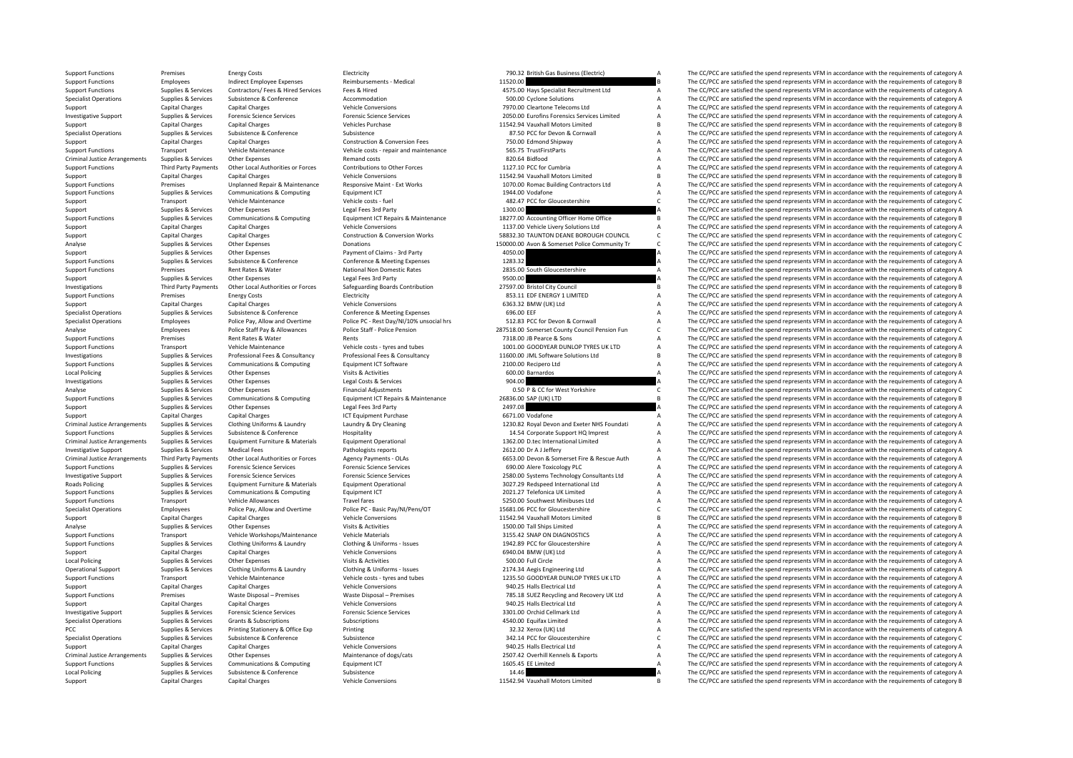Criminal Justice**Local Policing** Criminal JusticeCriminal JusticeCriminal JusticeRoads Policing **Local Policing** Criminal Justice**Local Policing** 

|            | 790.32 British Gas Business (Electric)                                           |
|------------|----------------------------------------------------------------------------------|
| 11520.00   |                                                                                  |
|            | 4575.00 Hays Specialist Recruitment Ltd<br>500.00 Cyclone Solutions              |
|            | 7970.00 Cleartone Telecoms Ltd                                                   |
|            | 2050.00 Eurofins Forensics Services Limited                                      |
|            | 11542.94 Vauxhall Motors Limited                                                 |
|            | 87.50 PCC for Devon & Cornwall                                                   |
|            | 750.00 Edmond Shipway                                                            |
|            | 565.75 TrustFirstParts<br>820.64 Bidfood                                         |
|            | 1127.10 PCC for Cumbria                                                          |
|            | 11542.94 Vauxhall Motors Limited                                                 |
|            | 1070.00 Romac Building Contractors Ltd                                           |
|            | 1944.00 Vodafone                                                                 |
|            | 482.47 PCC for Gloucestershire                                                   |
| 1300.00    | 18277.00 Accounting Officer Home Office                                          |
|            | 1137.00 Vehicle Livery Solutions Ltd                                             |
|            | 58832.30 TAUNTON DEANE BOROUGH COUNCIL                                           |
|            | 150000.00 Avon & Somerset Police Community Tr                                    |
| 4050.00    |                                                                                  |
| 1283.32    |                                                                                  |
| 9500.00    | 2835.00 South Gloucestershire                                                    |
|            | 27597.00 Bristol City Council                                                    |
|            | 853.11 EDF ENERGY 1 LIMITED                                                      |
|            | 6363.32 BMW (UK) Ltd                                                             |
| 696.00 EEF |                                                                                  |
|            | 512.83 PCC for Devon & Cornwall                                                  |
|            | 287518.00 Somerset County Council Pension Fun                                    |
|            | 7318.00 JB Pearce & Sons<br>1001.00 GOODYEAR DUNLOP TYRES UK LTD                 |
|            | 11600.00 JML Software Solutions Ltd                                              |
|            | 2100.00 Recipero Ltd                                                             |
|            |                                                                                  |
|            | 600.00 Barnardos                                                                 |
| 904.00     |                                                                                  |
|            | 0.50 P & CC for West Yorkshire                                                   |
|            | 26836.00 SAP (UK) LTD                                                            |
| 2497.08    |                                                                                  |
|            | 6671.00 Vodafone<br>1230.82 Royal Devon and Exeter NHS Foundati                  |
|            | 14.54 Corporate Support HQ Imprest                                               |
|            | 1362.00 D.tec International Limited                                              |
|            | 2612.00 Dr A J Jeffery                                                           |
|            | 6653.00 Devon & Somerset Fire & Rescue Auth                                      |
|            | 690.00 Alere Toxicology PLC                                                      |
|            | 2580.00 Systems Technology Consultants Ltd<br>3027.29 Redspeed International Ltd |
|            | 2021.27 Telefonica UK Limited                                                    |
|            | 5250.00 Southwest Minibuses Ltd                                                  |
|            | 15681.06 PCC for Gloucestershire                                                 |
|            | 11542.94 Vauxhall Motors Limited                                                 |
|            | 1500.00 Tall Ships Limited<br>3155.42 SNAP ON DIAGNOSTICS                        |
|            | 1942.89 PCC for Gloucestershire                                                  |
|            | 6940.04 BMW (UK) Ltd                                                             |
|            | 500.00 Full Circle                                                               |
|            | 2174.34 Aegis Engineering Ltd                                                    |
|            | 1235.50 GOODYEAR DUNLOP TYRES UK LTD<br>940.25 Halls Electrical Ltd              |
|            | 785.18 SUEZ Recycling and Recovery UK Ltd                                        |
|            | 940.25 Halls Electrical Ltd                                                      |
|            | 3301.00 Orchid Cellmark Ltd                                                      |
|            | 4540.00 Equifax Limited                                                          |
|            | 32.32 Xerox (UK) Ltd                                                             |
|            | 342.14 PCC for Gloucestershire                                                   |
|            | 940.25 Halls Electrical Ltd                                                      |
|            | 2507.42 Overhill Kennels & Exports<br>1605.45 EE Limited                         |

Support Functions Premises Energy Costs Electricity 790.32 British Gas Business (Electric) A The CC/PCC are satisfied the spend represents VFM in accordance with the requirements of category A Support Functions Employees Indirect Employee Expenses Reimbursements - Medical 11520.00 11520.00 B The CC/PCC are satisfied the spend represents VFM in accordance with the requirements of category B Support Functions Supplies & Services Contractors/ Fees & Hired Services Fees & Hired Muscum Muscum Muscum Muscum Muscum Muscum Muscum Muscum Muscum Muscum Muscum Muscum Muscum Muscum Muscum Muscum Muscum Muscum Muscum Mus Species Subsistence & Conference Accommodation Accommodation Subsistence Accommodation Subsistence Accommodation 500.00 Cyclone Solutions A The CC/PCC are satisfied the spend represents VFM in accordance with the requireme Support Capital Charges Capital Charges Capital Charges Vehicle Conversions Vehicle Conversions 7970.00 Cleartone Telecoms Ltd A The CC/PCC are satisfied the spend represents VFM in accordance with the requirements of cate Investigative Support Supplies & Services Forensic Science Services Forensic Science Services Forensic Science Services Forensic Science Services and a 2050.00 Eurofins Forensics Services Lamited A The CC/PCC are satisfied Support Capital Charges Capital Charges Vehicles Purchase Vehicles Purchase 11542.94 Vauxhall Motors Limited B The CC/PCC are satisfied the spend represents VFM in accordance with the requirements of category B Specialist Operations Supplies & Services Subsistence Subsistence Subsistence Subsistence Subsistence Subsistence Subsistence Subsistence Subsistence Subsistence Subsistence Subsistence Subsistence Subsistence Subsistence Support Capital Charges Capital Charges Capital Charges Construction & Conversion Fees 750.00 Edmond Shipway A The CC/PCC are satisfied the spend represents VFM in accordance with the requirements of category A Support Functions Transport Vehicle Maintenance Vehicle costs - repair and maintenance 565.75 TrustFirstParts A The CC/PCC are satisfied the spend represents VFM in accordance with the requirements of category A Supplies & Services Other Expenses Memand costs Remand costs a Remand costs 820.64 Bidfood A The CC/PCC are satisfied the spend represents VFM in accordance with the requirements of category A Support Functions Third Party Payments Other Local Authorities or Forces Contributions to Other Forces 1127.10 PCC for Cumbria 1127.10 PCC for Cumbria A The CC/PCC are satisfied the spend represents VFM in accordance with Support Capital Charges Capital Charges Vehicle Conversions Vehicle Conversions 11542.94 Vauxhall Motors Limited B The CC/PCC are satisfied the spend represents VFM in accordance with the requirements of category B Premises Unplanned Repair & Maintenance Responsive Maint - Ext Works 1070.00 Romac Building Contractors Ltd A The CC/PCC are satisfied the spend represents VFM in accordance with the requirements of category A<br>Support Func Communications & Computing Equipment ICT 1944.00 Vodafone 1944.00 Vodafone A The CC/PCC are satisfied the spend represents VFM in accordance with the requirements of category A Support Transport Vehicle Maintenance Vehicle costs – fuel 482.47 PCC for Gloucestershire C The CC/PCC are satisfied the spend represents VFM in accordance with the requirements of category C and the requirements of catego Support Supplies & Services Other Expenses Legal Fees 3rd Party 1300.00 A The CC/PCC are satisfied the spend represents VFM in accordance with the requirements of category A Support Support Support Support Support Category Company of the Company of Company of Company of Company of Company of The Capturity of the Company of the Company of the Company of the Company of The COC are catisfied the condence anti- With in accordance with the requir Capital Charges Capital Charges Capital Charges Vehicle Conversions Vehicle Conversions 1137.00 Vehicle Livery Solutions Ltd A The CC/PCC are satisfied the spend represents VFM in accordance with the requirements of catego Support Capital Charges Capital Charges Construction & Conversion Works 58832.30 TAUNTON DEANE BOROUGH COUNCIL C The CC/PCC are satisfied the spend represents VFM in accordance with the requirements of category C Analyse Supplies & Services Other Expenses Donations Donations and the Service of the CONCOLOGY Are satisfied the spend represents VFM in accordance with the requirements of category C Support Support Support Support Support Support Support Support Support Support Support Support Support Support Support Support Support Support Support Support Support Support Support Support Support Support Support Suppor Support Functions Supplies & Services Subsistence & Conference Conference Conference Conference Conference Conference Conference Conference Conference and Conference and the constant of the Conference and the Conference of Support Functions Premises Rent Rates & Water Mational Non Domestic Rates 2835.00 South Gloucestershire A The CC/PCC are satisfied the spend represents VFM in accordance with the requirements of category A<br>A The CC/PCC are Supplies & Services Other Expenses Legal Fees 3rd Party 9500.00 9500.00 A The CC/PCC are satisfied the spend represents VFM in accordance with the requirements of category A Third Party Payments Other Local Authorities or Forces Safeguarding Boards Contribution 27597.00 Bristol City Council Contribution Payments The CC/PCC are satisfied the spend represents VFM in accordance with the requireme Support Functions Premises Energy Costs Electricity Electricity BES.11 EDF ENERGY 1 LIMITED A The CC/PCC are satisfied the spend represents VFM in accordance with the requirements of category A Support Functions (and a con Support Capital Charges Capital Charges Capital Charges Capital Charges Capital Charges Capital Charges Capital Charges Capital Charges Capital Charges Capital Charges Capital Charges Capital Charges Category A The CC/PCC Specialist Operations Supplies & Services Subsistence & Conference Conference Conference Conference Conference Conference Conference Conference Conference and the Service Conference Conference and the Service of the Servic The CC/PCC are satisfied the spend represents VFM in accordance with the requirements of category A Employees Police Staff Pay & Allowances Police Staff - Police Staff - Police Staff - Police Staff - Police Staff - Police Staff - Police Staff - Police Staff - Police Staff - Police Staff - Police Pension 287518.00 Somerse Support Functions Premises Rent Rent Rents Rents Rents Rents Rents Rents Rents Rents Rents Rents Rents Rents Rents Rent Rents A The CC/PCC are satisfied the spend represents VFM in accordance with the requirements of categ Support Functions Transport Vehicle Maintenance Vehicle costs - tyres and tubes 1001.00 GOODYEAR DUNLOP TYRES UK LTD A The CC/PCC are satisfied the spend represents VFM in accordance with the requirements of category A rof Investigations Supplies & Supplies & Services Professional Fees & Consultancy Professional Fees & Consultancy Professional Fees & Consultancy 11600.00 JML Software Solutions Ltd B The CC/PCC are satisfied the spend represe A The CC/PCC are satisfied the spend represents VFM in accordance with the requirements of category A Policing Supplies Activities Visits & Activities 600.00 Barnardos A The CC/PCC are satisfied the spend represents VFM in accordance with the requirements of category A The CC/PCC are satisfied the spend represents VFM in a Investigations Supplies & Services Other Expenses Legal Costs & Services 1994.00 A The CC/PCC are satisfied the spend represents VFM in accordance with the requirements of category A Analyze Supplies Services Other Expenses Financial Adjustments 0.50 P & CC for West Yorkshire C The CC/PCC are satisfied the spend represents VEM in accordance with the requirements of category C Support Functions Supplies & Services Communications & Computing Equipment ICT Repairs & Maintenance 26836.00 SAP (UK) LTD B The CC/PCC are satisfied the spend represents VFM in accordance with the requirements of category Supplies & Services Other Expenses Legal Fees 3rd Party 2497.08 2497.08 A The CC/PCC are satisfied the spend represents VFM in accordance with the requirements of category A Support Capital Charges Capital Charges A Capital Charges Music Capital Charges ICT Equipment Purchase 6671.00 Vodafone A The CC/PCC are satisfied the spend represents VFM in accordance with the requirements of category A Supplies & Services Clothing Uniforms & Laundry Laundry & Dry Cleaning Care and Service 230.82 Royal Devon and Exeter NHS Foundati A The CC/PCC are satisfied the spend represents VFM in accordance with the requirements of Support Functions Supporters Support Support Support Conference Hospitality 14.54 Corporate Support 14.54 Corporate Support HQ Imprest A The CC/PCC are satisfied the spend represents VFM in accordance with the requirements Supplies & Services Equipment Furniture & Materials Equipment Operational 1362.00 D.tec International Limited A The CC/PCC are satisfied the spend represents VFM in accordance with the requirements of category A Investigative Support Supplies & Services Medical Fees Pathologists reports Pathologists reports 2612.00 Dr A Jeffery A The CC/PCC are satisfied the spend represents VFM in accordance with the requirements of category A Cr The CC/PCC are satisfied the spend represents VFM in accordance with the requirements of category A Support Functions Supplies & Services Forensic Science Services Forensic Science Services Forensic Science Services 690.00 Alere Toxicology PLC A The CC/PCC are satisfied the spend represents VFM in accordance with the req Investigative Support Supplies & Services Forensic Science Services Forensic Science Services 2580.00 Systems Technology Consultants Ltd A The CC/PCC are satisfied the spend represents VFM in accordance with the requirements of category A Policing Supplies Equipment Furniture & Materials Equipment Operational 3027.29 Redspeed International Ltd A The CC/PCC are satisfied the spend represents VFM in accordance with the requirements of category A The CC/PCC ar Support Functions Supplies & Services Communications & Computing Equipment ICT 2021.27 Telefonica UK Limited A The CC/PCC are satisfied the spend represents VFM in accordance with the requirements of category A Support Fun Travel fares Travel fares Travel fares S250.00 Southwest Minibuses Ltd A The CC/PCC are satisfied the spend represents VFM in accordance with the requirements of category A The CC/PC are satisfied the spend represents VFM operation of the China property and Determine and Determine and Determine and Determine and Determine and Determine and Determine and Determine and Determination of the China and Determination of the China and Determinatio Support Capital Charges Capital Charges Vehicle Conversions Vehicle Conversions 11542.94 Vauxhall Motors Limited B The CC/PCC are satisfied the spend represents VFM in accordance with the requirements of category B Supplies Services Other Expenses Supplies Activities 1500.00 Tall Ships Limited A The CC/PCC are satisfied the spend represents VFM in accordance with the requirements of category A Support Functions Transport Vehicle Workshops/Maintenance Vehicle Materials Vehicle Materials Support Support The CC/PCC are satisfied the spend represents VFM in accordance with the requirements of category A<br>Support Func The CC/PCC are satisfied the spend represents VFM in accordance with the requirements of category A Support Capital Charges Capital Charges Capital Charges Metricle Conversions of the CODEC are satisfied the spend represents VFM in accordance with the requirements of category A Policy Supplies & Services Other Expenses Supplies Supplies Supplies Supplies Supplies Control of the CC/PCC are satisfied the spend represents VFM in accordance with the requirements of category A Supplies & Services Chat Constitutional Support of Support Support Support Support Constitution Cleaning Support Constitution Constitution Constitution Constitution Constitution Constitution Constitution Constitution Constitution Constitution Cons Support Functions Transport Vehicle Maintenance Vehicle Costs - tyres and tubes 1235.50 GOODYEAR DUNLOP TYRES UK LTD A The CC/PCC are satisfied the spend represents VFM in accordance with the requirements of category A<br>Sup Support Capital Charges Capital Charges Vehicle Conversions 940.25 Halls Electrical Ltd A The CC/PCC are satisfied the spend represents VFM in accordance with the requirements of category A Support Functions Premises Waste Disposal – Premises Waste Disposal – Premises 785.18 SUEZ Recycling and Recovery UK Ltd A The CC/PCC are satisfied the spend represents VFM in accordance with the requirements of category A Support Capital Charges Capital Charges Vehicle Conversions Vehicle Conversions 940.25 Halls Electrical Ltd A The CC/PCC are satisfied the spend represents VFM in accordance with the requirements of category A Investigative Support Supplies & Services Forensic Science Services Forensic Science Services Forensic Science Services Forensic Science Services Subscriptions Subscriptions Subscriptions Subscriptions Subscriptions Subscr Specialist Operations Supplies & Services Grants & Subscriptions Subscriptions Subscriptions Subscriptions and the Subscriptions and the Subscriptions and the Subscriptions and the Subscriptions and the Subscriptions and t PCC Supplies & Services Printing Stationery & Office Exp Printing 32.32 Xerox (UK) Ltd A The CC/PCC are satisfied the spend represents VFM in accordance with the requirements of category A Specialist Operations Supplies & Services Subsistence 342.00 Subsistence Subsistence 342.14 PCC for Gloucestershire C The CC/PCC are satisfied the spend represents VFM in accordance with the requirements of category C Support Capital Charges Capital Charges Vehicle Conversions 940.25 Halls Electrical Ltd A The CC/PCC are satisfied the spend represents VFM in accordance with the requirements of category A Supplies Services Other Expenses Maintenance of dogs/cats 2507.42 Overhill Kennels & Exports A The CC/PCC are satisfied the spend represents VFM in accordance with the requirements of category A Support Functions Supplies & Services Communications & Computing Equipment ICT 1605.45 EE Limited 1605.45 EE Limited A The CC/PCC are satisfied the spend represents VFM in accordance with the requirements of category A Policing Subsistence Subsistence Subsistence Subsistence 3 and Subsistence 14.46 A The CC/PCC are satisfied the spend represents VFM in accordance with the requirements of category A Support Capital Charges Capital Charges Vehicle Conversions Vehicle Conversions 11542.94 Vauxhall Motors Limited B The CC/PCC are satisfied the spend represents VFM in accordance with the requirements of category B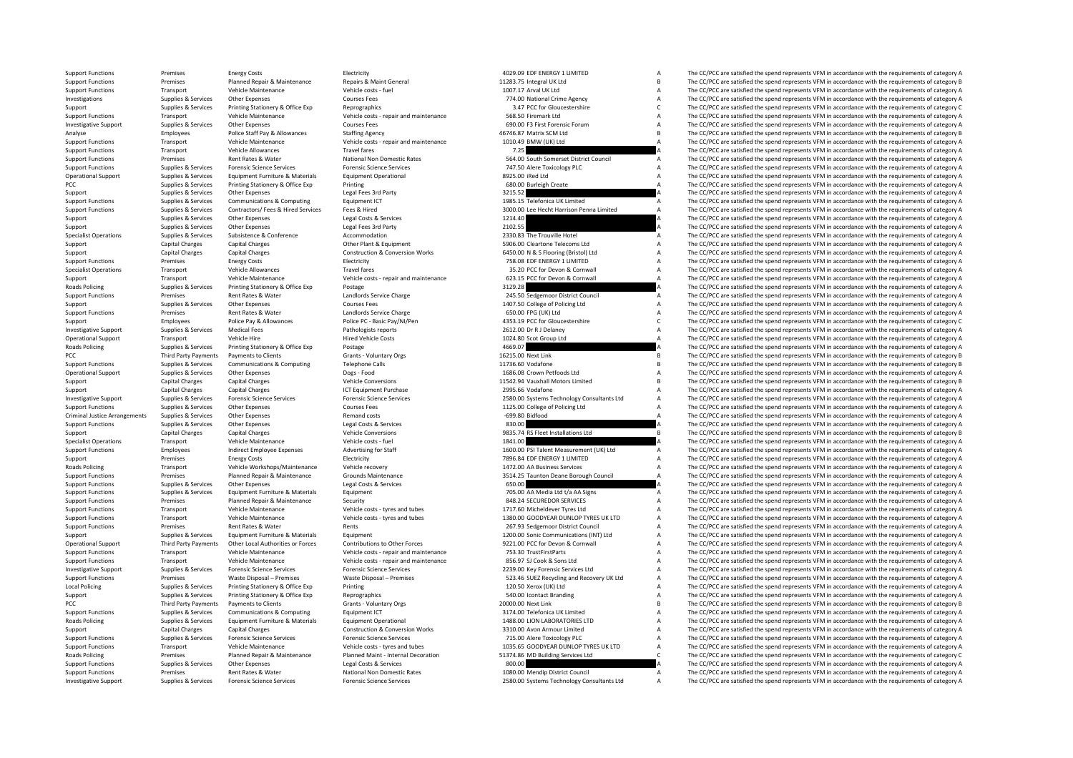**Roads Policing** Roads Policing PCC Third Party Payments Criminal Justice**Roads Policing** Local Policing PCC Third Party Payments **Roads Policing Roads Policing** 

|         | 4029.09 EDF ENERGY 1 LIMITED                                            | Δ      |
|---------|-------------------------------------------------------------------------|--------|
|         | 11283.75 Integral UK Ltd                                                | B      |
|         | 1007.17 Arval UK Ltd                                                    | A      |
|         | 774.00 National Crime Agency                                            | A      |
|         | 3.47 PCC for Gloucestershire<br>568.50 Firemark Ltd                     | Ċ<br>A |
|         | 690.00 F3 First Forensic Forum                                          | A      |
|         | 46746.87 Matrix SCM Ltd                                                 | B      |
|         | 1010.49 BMW (UK) Ltd                                                    | A      |
| 7.25    |                                                                         | A      |
|         | 564.00 South Somerset District Council                                  | A      |
|         | 747.50 Alere Toxicology PLC                                             | A      |
|         | 8925.00 iRed Ltd                                                        | A      |
|         | 680.00 Burleigh Create                                                  | A      |
| 3215.52 |                                                                         | A      |
|         | 1985.15 Telefonica UK Limited                                           | A      |
|         | 3000.00 Lee Hecht Harrison Penna Limited                                | A      |
| 1214.40 |                                                                         | A      |
| 2102.55 |                                                                         | A      |
|         | 2330.83 The Trouville Hotel                                             | A      |
|         | 5906.00 Cleartone Telecoms Ltd                                          | A      |
|         | 6450.00 N & S Flooring (Bristol) Ltd<br>758.08 EDF ENERGY 1 LIMITED     | A<br>A |
|         | 35.20 PCC for Devon & Cornwall                                          | A      |
|         | 623.15 PCC for Devon & Cornwall                                         | A      |
| 3129.28 |                                                                         | Δ      |
|         | 245.50 Sedgemoor District Council                                       | A      |
|         | 1407.50 College of Policing Ltd                                         | A      |
|         | 650.00 FPG (UK) Ltd                                                     | A      |
|         | 4353.19 PCC for Gloucestershire                                         | Ċ      |
|         | 2612.00 Dr R J Delaney                                                  | A      |
|         | 1024.80 Scot Group Ltd                                                  | A      |
| 4669.07 |                                                                         | A      |
|         | 16215.00 Next Link                                                      | R      |
|         | 11736.60 Vodafone                                                       | R      |
|         | 1686.08 Crown Petfoods Ltd                                              | A      |
|         | 11542.94 Vauxhall Motors Limited                                        | B      |
|         | 2995.66 Vodafone                                                        | A<br>A |
|         | 2580.00 Systems Technology Consultants Ltd                              |        |
|         |                                                                         |        |
|         | 1125.00 College of Policing Ltd                                         | A      |
|         | $-699.80$ Bidfood                                                       | Δ      |
| 830.00  |                                                                         | A      |
|         | 9835.74 RS Fleet Installations Ltd                                      | B<br>A |
| 1841.00 |                                                                         | A      |
|         | 1600.00 PSI Talent Measurement (UK) Ltd<br>7896.84 EDF ENERGY 1 LIMITED | A      |
|         | 1472.00 AA Business Services                                            | A      |
|         | 3514.25 Taunton Deane Borough Council                                   | A      |
| 650.00  |                                                                         | A      |
|         | 705.00 AA Media Ltd t/a AA Signs                                        | A      |
|         | 848.24 SECUREDOR SERVICES                                               | Δ      |
|         | 1717.60 Micheldever Tyres Ltd                                           | A      |
|         | 1380.00 GOODYEAR DUNLOP TYRES UK LTD                                    | A      |
|         | 267.93 Sedgemoor District Council                                       | A      |
|         | 1200.00 Sonic Communications (INT) Ltd                                  | A      |
|         | 9221.00 PCC for Devon & Cornwall                                        | A      |
|         | 753.30 TrustFirstParts                                                  | A      |
|         | 856.97 SJ Cook & Sons Ltd                                               | A<br>A |
|         | 2239.00 Key Forensic Services Ltd                                       | A      |
|         | 523.46 SUEZ Recycling and Recovery UK Ltd<br>120.50 Xerox (UK) Ltd      | A      |
|         | 540.00 Icontact Branding                                                | A      |
|         | 20000.00 Next Link                                                      | B      |
|         | 3174.00 Telefonica UK Limited                                           | A      |
|         | 1488.00 LION LABORATORIES LTD                                           | A      |
|         | 3310.00 Avon Armour Limited                                             | A      |
|         | 715.00 Alere Toxicology PLC                                             | A      |
|         | 1035.65 GOODYEAR DUNLOP TYRES UK LTD                                    | A      |
|         | 51374.86 MD Building Services Ltd                                       | Ċ      |
| 800.00  | 1080.00 Mendip District Council                                         | A<br>A |

Support Functions Premises Energy Costs Electricity Electricity and the Electricity and the spend represents of category and the requirements of category A The CC/PCC are satisfied the spend represents VFM in accordance wi Support Functions Premises Planned Repair & Maintenance Repairs & Maint General 11283.75 Integral UK Ltd B The CC/PCC are satisfied the spend represents VFM in accordance with the requirements of category B Support Functions Transport Vehicle Maintenance Vehicle costs - fuel Vehicle costs - fuel 1007.17 Arval UK Ltd 1007.17 Arval UK Ltd A The CC/PCC are satisfied the spend represents VFM in accordance with the requirements of The CC/PCC are satisfied the spend represents VFM in accordance with the requirements of category A Support Support Support Services Printing Stationery & Office Exp Reprographics Reprographics 3.47 PCC for Gloucestershire C The CC/PCC are satisfied the spend represents VFM in accordance with the requirements of category Support Functions Transport Vehicle Maintenance Vehicle costs - repair and maintenance 568.50 Firemark Ltd A The CC/PCC are satisfied the spend represents VFM in accordance with the requirements of category A Investigative Support Support Support Support Services Courses Courses Courses Courses Courses Courses Courses Courses Courses Courses Courses Courses Courses Courses Courses Courses Fees 690.00 F3 First Forensic Forum A T Analyse Employees Police Staff Pay & Allowances Staffing Agency 46746.87 Matrix SCM Ltd B The CC/PCC are satisfied the spend represents VFM in accordance with the requirements of category B Support Functions Transport Vehicle Maintenance Vehicle costs - repair and maintenance 1010.49 BMW (UK) Ltd A The CC/PCC are satisfied the spend represents VFM in accordance with the requirements of category A Support Functions Transport Vehicle Allowances Travel fares Travel fares Travel fares 7.25 A The CC/PCC are satisfied the spend represents VFM in accordance with the requirements of category A Support Functions Premises Rent Rates & Water National Non Domestic Rates 564.00 South Somerset District Council A The CC/PCC are satisfied the spend represents VFM in accordance with the requirements of category A Support Functions Supplies & Services Forensic Science Services Forensic Science Services Forensic Science Services 747.50 Alere Toxicology PLC A The CC/PCC are satisfied the spend represents VFM in accordance with the req Operational Support Supplies & Services Equipment Furniture & Materials Equipment Operational Buygiment Operational 8925.00 iRed Ltd A The CC/PCC are satisfied the spend represents VFM in accordance with the requirements o PCC Supplies & Services Printing Stationery & Office Exp Printing Printing Printing Printing Printing Printing Manual Ereal Fees 3rd Party 680.00 Burleigh Create A The CC/PCC are satisfied the spend represents VFM in accor Support Supplies & Services Other Expenses Legal Fees 3rd Party 3215.52 A The CC/PCC are satisfied the spend represents VFM in accordance with the requirements of category A<br>Supplies & Services Communications & Communicati Support Functions Supplies & Services Communications & Computing Equipment ICT 1985.15 Telefonica UK Limited A The CC/PCC are satisfied the spend represents VFM in accordance with the requirements of category A Support Fun Suppliers & Services Contractors/Fees & Hired Fees & Hired and Contract Contractors/Fees & Hired and Contractors (Suppliers and Contractors of Contractors Pees & Hired and Contractors (Suppliers and Contractors of Category Support Support Support Other Expenses Legal Costs & Services 1214.40 A The CC/PC are satisfied the spend represents VFM in accordance with the requirements of category A The CC/PC are satisfied the spend represents VFM in Support Supplies & Services Other Expenses Legal Fees 3rd Party 2102.55 230.83 The Trouville Hotel A The CC/PCC are satisfied the spend represents VFM in accordance with the requirements of category A Commodation 2330.83 T The CC/PCC are satisfied the spend represents VFM in accordance with the requirements of category A Support Capital Charges Capital Charges Capital Charges Other Plant & Equipment 5906.00 Cleartone Telecoms Ltd A The CC/PCC are satisfied the spend represents VFM in accordance with the requirements of category A Support Capital Charges Capital Charges Construction & Construction & Conversion Works 6450.00 N & S Flooring (Bristol) Ltd A The CC/PCC are satisfied the spend represents VFM in accordance with the requirements of categor Support Functions Premises Energy Costs Electricity Functions and Electricity 758.08 EDE ENERGY 1 LIMITED A The CC/PCC are satisfied the spend represents VFM in accordance with the requirements of category A Specialist Operations Transport Vehicle Allowances Travel fares Travel fares Travel fares Travel fares and maintenance and the SEC/PCC are satisfied the spend represents VFM in accordance with the requirements of category Support Transport Vehicle Maintenance Vehicle costs - repair and maintenance 623.15 PCC for Devon & Cornwall A The CC/PCC are satisfied the spend represents VFM in accordance with the requirements of category A Policing Supplies & Services Printing Stationery & Office Exp Postage Principles Principles and the Service Change 3129.28 a The CC/PCC are satisfied the spend represents VFM in accordance with the requirements of category Support Functions Premises Rent Rates & Water Landlords Service Charge 245.50 Sedgemoor District Council A The CC/PCC are satisfied the spend represents VFM in accordance with the requirements of category A Support Council Support Support Support Courses Courses Courses Courses Courses Courses Courses Fees 1407.50 College of Policing Ltd A The CC/PCC are satisfied the spend represents VFM in accordance with the requirements of category A The Support Functions Premises Rent Rates & Water Landlords Service Charge Charge 650.00 FPG (UK) Ltd A The CC/PCC are satisfied the spend represents VFM in accordance with the requirements of category A Support Garge and Cont Support Employees Police Pay & Allowances Police PC - Basic Pay/NI/Pen 4353.19 PCC for Gloucestershire C The CC/PCC are satisfied the spend represents VFM in accordance with the requirements of category C Investigative Support Support Support Support Medical Fees Pathologists reports 2612.00 Dr R I Delaney A The CC/PCC are satisfied the spend represents VFM in accordance with the requirements of category A Operational Support Transport Vehicle Hire Hired Vehicle Costs Hired Vehicle Costs 1024.80 Scot Group Ltd A The CC/PCC are satisfied the spend represents VFM in accordance with the requirements of category A Rack Policine Postage 669.07 A Services A Services A Services A Services A The CC/PCC are satisfied the spend represents VFM in accordance with the requirements of category A Party Payments Payments to Clients Grants Crants - Voluntary Orgs Crants Crants Crants Crants Crants Crants Crants Crants Crants Crants Crants Crants Crants Crants Crants Crants Grants Crants Crants Crants Crants Crants Cr Support Functions Supplies & Services Communications & Computing Telephone Calls 11736.60 Vodafone 11736.60 Vodafone B The CC/PCC are satisfied the spend represents VFM in accordance with the requirements of category B Operational Support Supplies & Services Other Expenses Dogs - Food Dogs - Food 1686.08 Crown Petfoods Ltd A The CC/PCC are satisfied the spend represents VFM in accordance with the requirements of category A Support Capital Charges Capital Charges Vehicle Conversions Vehicle Conversions 11542.94 Vauxhall Motors Limited B The CC/PCC are satisfied the spend represents VFM in accordance with the requirements of category B Support Capital Charges Capital Charges 2005. ICT Equipment Purchase 2995.66 Vodafone A The CC/PCC are satisfied the spend represents VFM in accordance with the requirements of category A Investigative Support Supplies & Services Forensic Science Services Forensic Science Services Forensic Science Services Forensic Science Services Science Services 2580.00 Systems Technology Consultants Ltd A The CC/PCC are Support Functions Supplies & Services Other Expenses Courses Fees Courses Fees 1125.00 College of Policing Ltd A The CC/PCC are satisfied the spend represents VFM in accordance with the requirements of category A Arrangements Supplies & Services Other Expenses Remand costs ‐699.80 Bidfood A The CC/PCC are satisfied the spend represents VFM in accordance with the requirements of category A Support Functions Supplies & Services Other Expenses Legal Costs & Services Reservices and a Support of Costs & Services 830.00 A The CC/PCC are satisfied the spend represents VFM in accordance with the requirements of cat Support Capital Charges Capital Charges Capital Charges Vehicle Conversions 9835.74 RS Fleet Installations Ltd B The CC/PCC are satisfied the spend represents VFM in accordance with the requirements of category B Specialist Operations Transport Vehicle Maintenance Vehicle costs - fuel 1841.00 1841.00 A The CC/PCC are satisfied the spend represents VFM in accordance with the requirements of category A Support Functions Employees Indirect Employee Expenses Advertising for Staff 1600.00 PSI Talent Measurement (UK) Ltd A The CC/PCC are satisfied the spend represents VFM in accordance with the requirements of category A Support Premises Energy Costs Electricity 7896.84 EDF ENERGY 1 LIMITED A The CC/PCC are satisfied the spend represents VFM in accordance with the requirements of category A Transport Vehicle Workshops/Maintenance Vehicle recovery entitled vehicle recovery 1472.00 AA Business Services A The CC/PCC are satisfied the spend represents VFM in accordance with the requirements of category A Support Functions Premises Planned Repair & Maintenance Grounds Maintenance 3514.25 Taunton Deane Borough Council A The CC/PCC are satisfied the spend represents VFM in accordance with the requirements of category A Suppor Support Functions Supplies & Services Other Expenses Legal Costs & Services Legal Costs & Services Legal Costs & Services 650.00 A Media Ltd t/a AA Signs A The CC/PCC are satisfied the spend represents VFM in accordance wi Support Functions Supplies & Services Equipment Furniture & Materials Equipment Equipment 705.00 AA Media Ltd t/a AA Signs A The CC/PCC are satisfied the spend represents VFM in accordance with the requirements of category Premises Planned Repair & Maintenance Security Security Security 848.24 SECUREDOR SERVICES A The CC/PCC are satisfied the spend represents VFM in accordance with the requirements of category A Support Functions Transport Vehicle Maintenance Vehicle costs tyres and tubes 1717.60 Micheldever Tyres Ltd A The CC/PCC are satisfied the spend represents VFM in accordance with the requirements of category A Support Functions Transport Vehicle Maintenance Vehicle costs - tyres and tubes 1380.00 GOODYEAR DUNLOP TYRES UK LTD A The CC/PCC are satisfied the spend represents VFM in accordance with the requirements of category A Support Functions Support Rent Rates Rent Rents Rents Rents Rents Rents Rents Rents 267.93 Sedgemoor District Council A The CC/PCC are satisfied the spend represents VFM in accordance with the requirements of category A Support Supplies & Services Equipment Furniture & Materials Equipment Equipment Equipment 1200.00 Sonic Communications (INT) Ltd A The CC/PCC are satisfied the spend represents VFM in accordance with the requirements of ca The CC/PCC are satisfied the spend represents VFM in accordance with the requirements of category A Support Functions Transport Vehicle Maintenance Vehicle costs – repair and maintenance 753.30 TrustFirstParts A The CC/PCC are satisfied the spend represents VFM in accordance with the requirements of category A Support Functions Transport Vehicle Maintenance Vehicle costs - repair and maintenance 856.97 SJ Cook & Sons Ltd A The CC/PCC are satisfied the spend represents VFM in accordance with the requirements of category A Develop Investigative Sunnort Sunning & Services Forencic Science Services Forencic Science Services Forencic Science Services Forencic Science Services 723900 Key Forencic Services 11d a The CC/PCC are satisfied the spend represe Support Functions Premises Waste Disposal – Premises Waste Disposal – Premises Waste Disposal – Premises Waste Disposal – Premises Premises Premises Waste Disposal – Premises S23.46 SUEZ Recycling and Recovery UK Ltd A The Printing Supplies A The CC/PCC are satisfied the spend represents VFM in accordance with the requirements of category A The CC/PCC are satisfied the spend represents VFM in accordance with the requirements of category A Support Supplies & Services Printing Stationery & Office Exp Reprographics Reprographics Support Support Support Support A The CC/PCC are satisfied the spend represents VFM in accordance with the requirements of category A Payments to Clients Crants Crants - Voluntary Orgs 20000.00 Next Link B The CC/PCC are satisfied the spend represents VFM in accordance with the requirements of category B Support Functions Supplies & Services Communications & Computing Equipment ICT 3174.00 Telefonica UK Limited A The CC/PCC are satisfied the spend represents VFM in accordance with the requirements of category A Poplies & Services Equipment Furniture & Materials Equipment Operational 1488.00 LION LABORATORIES LTD A The CC/PCC are satisfied the spend represents VFM in accordance with the requirements of category A Construction & Co Support Capital Charges Capital Charges Construction & Conversion Works 3310.00 Avon Armour Limited A The CC/PCC are satisfied the spend represents VFM in accordance with the requirements of category A Support Functions Supplies & Services Forensic Science Services Forensic Science Services Forensic Science Services Forensic Science Services 715.00 Alere Toxicology PLC A The CC/PCC are satisfied the spend represents VFM Support Functions Transport Vehicle Maintenance Vehicle costs - tyres and tubes 1035.65 GOODYEAR DUNLOP TYRES UK LTD A The CC/PCC are satisfied the spend represents VFM in accordance with the requirements of category A Premises Planned Repair & Maintenance Planned Maint - Internal Decoration 51374.86 MD Building Services Ltd C The CC/PCC are satisfied the spend represents VFM in accordance with the requirements of category C Support Functions Supplies & Services Other Expenses Legal Costs & Services BOD.00 BOD.00 A The CC/PCC are satisfied the spend represents VFM in accordance with the requirements of category A Support Functions Premises Rent Rates & Water National Non Domestic Rates 1080.00 Mendip District Council A The CC/PCC are satisfied the spend represents VFM in accordance with the requirements of category A Investigative Support Supplies & Services Forensic Science Services Forensic Science Services Forensic Science Services Forensic Science Services and the case of category and the CC/PCC are satisfied the spend represents V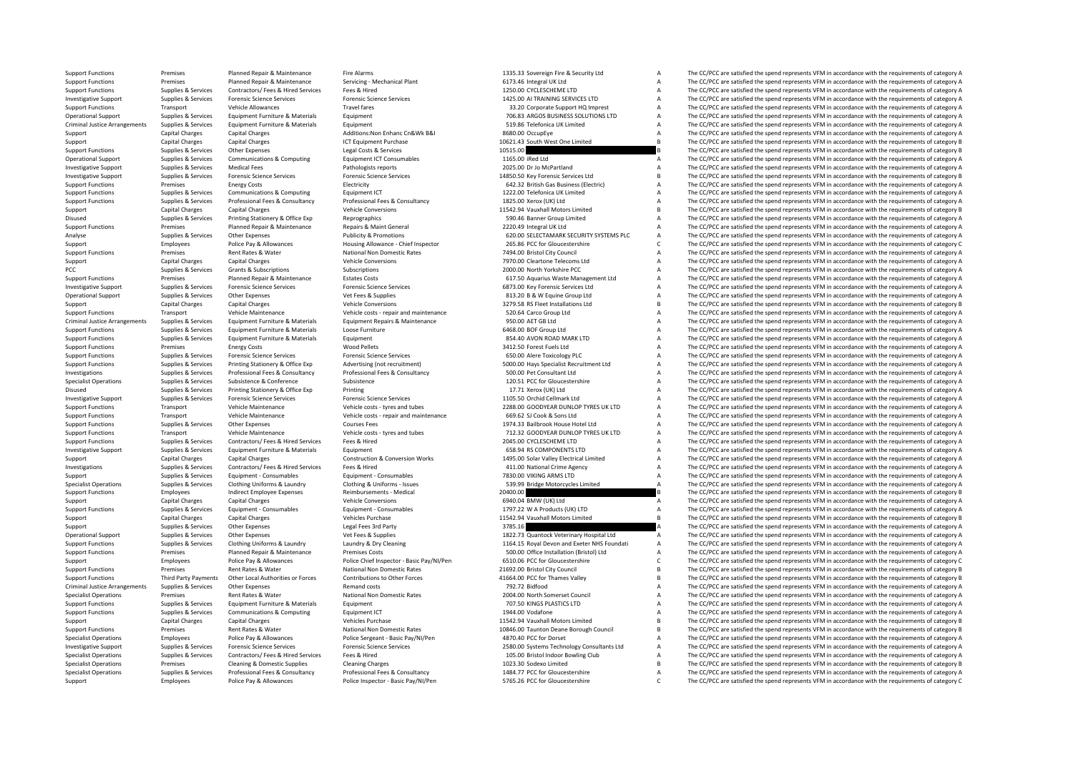Criminal JusticeCriminal JusticeCriminal Justice

Support Functions Premises Planned Repair & Maintenance Fire Alarms Fire Alarms 1335.33 Sovereign Fire & Security Ltd A The CC/PCC are satisfied the spend represents VFM in accordance with the requirements of category A Se Support Functions Premises Planned Repair & Maintenance Servicing - Mechanical Plant 6173.46 Integral UK Ltd A The CC/PCC are satisfied the spend represents VFM in accordance with the requirements of category A Support Fun Support Functions Supplies & Services Contractors/ Fees & Hired Services Fees & Hired Mired 1250.00 CYCLESCHEME LTD Support A The CC/PCC are satisfied the spend represents VFM in accordance with the requirements of categor The CC/PCC are satisfied the spend represents VFM in accordance with the requirements of category A Support Functions Transport Vehicle Allowances Travel fares Travel fares and the Support HQ Imprest A The CC/PCC are satisfied the spend represents VFM in accordance with the requirements of category A Operational Support Operational Support Supplies & Services Equipment Furniture & Materials Equipment Equipment 706.83 ARGOS BUSINESS SOLUTIONS LTD A The CC/PCC are satisfied the spend represents VFM in accordance with the requirements of cat Supplies & Services Equipment Euroiture & Materials Equipment Supplies a Stategory A The CC/PCC are satisfied the spend represents VFM in accordance with the requirements of category A Support Capital Charges Capital Charges Additions:Non Enhanc Cn&Wk B&I 8680.00 OccupEye A The CC/PCC are satisfied the spend represents VFM in accordance with the requirements of category A Support Capital Charges Capital Charges Capital Charges ICT Equipment Purchase 10621.43 South West One Limited B The CC/PCC are satisfied the spend represents VFM in accordance with the requirements of category B Support Functions Supplies & Services Other Expenses Legal Costs & Services 10515.00 B The CC/PCC are satisfied the spend represents VFM in accordance with the requirements of category B Operational Support Supplies & Services Communications & Computing Equipment ICT Consumables 1165.00 iRed Ltd A The CC/PCC are satisfied the spend represents VFM in accordance with the requirements of category A Investigative Support Supplies & Services Medical Fees Pathologists reports 2025.00 Dr Jo McPartland A The CC/PCC are satisfied the spend represents VFM in accordance with the requirements of category A Investigative Support Supplies & Services Forensis Science Services Forensic Science Services Forensic Science Services Forensic Science Services enters are actordance with the requirements of category B Support Functions Premises Energy Costs Electricity Electricity Electricity Electricity Electricity and the material of the CC/PCC are satisfied the spend represents VFM in accordance with the requirements of category A<br>Su Support Functions Supplies & Services Communications & Computing Equipment ICT 1222.00 Telefonica UK Limited A The CC/PCC are satisfied the spend represents VFM in accordance with the requirements of category A Supplies & Services Professional Fees & Consultancy Professional Fees & Consultancy Professional Fees & Consultancy Professional Fees & Consultancy 1825.00 Xerox (UK) Ltd A The CC/PCC are satisfied the spend represents VFM Support Capital Charges Capital Charges Capital Charges Vehicle Conversions Vehicle Conversions 11542.94 Vauxhall Motors Limited B The CC/PCC are satisfied the spend represents VFM in accordance with the requirements of ca Disused Supplies Services Printing Stationery & Office Exp Reprographics 590.46 Banner Group Limited A The CC/PCC are satisfied the spend represents VFM in accordance with the requirements of category A The CC/PCC are sati Support Functions Premises Planned Repair & Maintenance Repairs & Maint General 2220.49 Integral UK Ltd A The CC/PCC are satisfied the spend represents VFM in accordance with the requirements of category A A A The CC/PCC a Analyse Supplies & Services Other Expenses Publicity & Promotions 620.00 SELECTAMARK SECURITY SYSTEMS PLC A The CC/PCC are satisfied the spend represents VFM in accordance with the requirements of category A Support Employees Police Pay & Allowances Housing Allowance - Chief Inspector 265.86 PCC for Gloucestershire C The CC/PCC are satisfied the spend represents VFM in accordance with the requirements of category C Support C N Support Functions Premises Rent Rates Rent Rates Rent Premises Rent Rates National Non Domestic Rates 7494.00 Bristol City Council A The CC/PCC are satisfied the spend represents VFM in accordance with the requirements of Support Capital Charges Capital Charges Capital Charges Vehicle Conversions 7970.00 Cleartone Telecoms Ltd A The CC/PCC are satisfied the spend represents VFM in accordance with the requirements of category A The CC/PCC ar PCC Supplies & Supplies & Subscriptions Subscriptions Subscriptions Subscriptions Subscriptions Subscriptions 2000.00 North Yorkshire PCC A The CC/PCC are satisfied the spend represents VFM in accordance with the requireme Support Functions Premises Planned Repair & Maintenance Estates Costs 617.50 Aquarius Waste Management Ltd A The CC/PCC are satisfied the spend represents VFM in accordance with the requirements of category A Investigative Support Supplies & Services Forensic Science Services Forensic Science Services 6873.00 Key Forensic Services Ltd A The CC/PCC are satisfied the spend represents VFM in accordance with the requirements of category A Operational Support Supplies & Services Other Expenses Vet Fees & Supplies Vervice Supplies 813.20 B & W Equine Group Ltd A The CC/PCC are satisfied the spend represents VFM in accordance with the requirements of category Support Capital Charges Capital Charges Capital Charges Vehicle Conversions 3279.58 RS Fleet Installations Ltd B The CC/PCC are satisfied the spend represents VFM in accordance with the requirements of category B Support Functions Transport Vehicle Maintenance Vehicle Costs - repair and maintenance 520.64 Carco Group Ltd A The CC/PCC are satisfied the spend represents VFM in accordance with the requirements of category A Criminal J The CC/PCC are satisfied the spend represents VFM in accordance with the requirements of category A Support Functions Supplies & Services Equipment Furniture Materials Loose Furniture Loose Furniture and the service of Category and the CC/PCC are satisfied the spend represents VFM in accordance with the requirements of c Support Functions Supplies & Services Equipment Eurative & Materials Equipment Equipment and the spend and the Services Equipment Support Functions and the spend represents VFM in accordance with the requirements of catego Support Functions Premises Energy Costs Wood Pellets 3412.50 Forest Fuels Ltd A The CC/PCC are satisfied the spend represents VFM in accordance with the requirements of category A Support Functions Supplies & Services Forensic Science Services Forensic Science Services Forensic Science Services Forensic Science Services Science Science Sciences and the category and the media of the Service of the Se A The CC/PCC are satisfied the spend represents VFM in accordance with the requirements of category A Investigations Supplies & Supplies & Services Professional Fees & Consultancy Professional Fees & Consultancy<br>
Subsistence Subsistence Subsistence Subsistence Subsistence Subsistence Subsistence Subsistence Subsistence Sub Specialist Operations Supplies & Services Subsistence Subsistence Subsistence Subsistence Subsistence Subsistence Subsistence Subsistence Subsistence Subsistence Subsistence Subsistence Subsistence Subsistence Subsistence Disused Supplies & Services Printing Stationery & Office Exp Printing Printing Printing 17.71 Xerox (UK) Ltd A The CC/PCC are satisfied the spend represents VFM in accordance with the requirements of category A Investigative Support Supplies & Services Forensic Science Services Forensic Science Services Forensic Science Services and The CC/PCC are satisfied the spend represents VFM in accordance with the requirements of category Support Functions Transport Vehicle Maintenance Vehicle costs - tyres and tubes 2288.00 GOODYEAR DUNLOP TYRES UK LTD A The CC/PCC are satisfied the spend represents VFM in accordance with the requirements of category A Support Functions Transport Vehicle Maintenance Vehicle costs - repair and maintenance 669.62 SJ Cook & Sons Ltd A The CC/PCC are satisfied the spend represents VFM in accordance with the requirements of category A Support Functions Supplies & Services Other Expenses Courses Fees Courses Fees 1974.33 Bailbrook House Hotel Ltd A The CC/PCC are satisfied the spend represents VFM in accordance with the requirements of category A Support Functions Transport Vehicle Maintenance Vehicle costs - tyres and tubes 712.32 GOODYEAR DUNLOP TYRES UK LTD A The CC/PCC are satisfied the spend represents VFM in accordance with the requirements of category A Support Functions Supplies & Services Contractors/ Fees & Hired Services Fees & Hired 2045.00 CYCLESCHEME LTD A The CC/PCC are satisfied the spend represents VFM in accordance with the requirements of category A Investigative Support Supplies & Services Equipment Furniture & Materials Equipment Equipment Equipment American Construction & Conversion Works and the Support and the CC/PCC are satisfied the spend represents VFM in acco Support Capital Charges Capital Charges Construction & Conversion Works 1495.00 Solar Valley Electrical Limited A The CC/PCC are satisfied the spend represents VFM in accordance with the requirements of category A Investigations Supplies & Services Contractors/ Fees & Hired Services Fees & Hired Agency A 11.00 National Crime Agency A The CC/PCC are satisfied the spend represents VFM in accordance with the requirements of category A Support Supplies & Services Equipment - Consumables Equipment - Consumables Equipment - Consumables Equipment Consumables 7830.00 VIKING ARMS LTD A The CC/PCC are satisfied the spend represents VFM in accordance with the r Suppliers & Capital Continue of catagory A Continue Controller Control Control Catagory Continues (San Control Catagory A Capital Catagory A Capital Catagory A Capital Catagory A Capital Catagory A Capital Catagory A Capit Support Functions Employees and incited Employee Expenses Reimbursements - Medical 20400.00 20400.00 B The CC/PCC are satisfied the spend represents VFM in accordance with the requirements of category B<br>2011 Support Capita Support Capital Charges Capital Charges Vehicle Conversions Metal Charges Vehicle Conversions of the Conversions 6940.04 BMW (UK) Ltd A The CC/PCC are satisfied the spend represents VFM in accordance with the requirements Support Functions Supplies & Services Equipment - Consumables Equipment - Consumables Equipment - Consumables Equipment For Consumables and the media of the spend represents of the equirements of category A Developments of Support Capital Charges Capital Charges Capital Charges Vehicles Purchase Vehicles Purchase 11542.94 Vauxhall Motors Limited B The CC/PCC are satisfied the spend represents VFM in accordance with the requirements of catego Support Supplies & Services Other Expenses Legal Fees 3rd Party 3785.16 3785.16 A The CC/PCC are satisfied the spend represents VFM in accordance with the requirements of category A Operational Support Supplies & Services Other Expenses Vet Fees & Supplies Vet Fees & Supplies 1822.73 Quantock Veterinary Hospital Ltd A The CC/PCC are satisfied the spend represents VFM in accordance with the requirement out of the Supplies & Services Clothing Uniforms & Laundry and Laundry & Dry Cleaning Supplies & Supplies & Services Clothing Uniforms & Laundry & Dry Cleaning Management and Exercisive Dry Annual Dress and Exercisive On t Support Functions Premises Planned Repair & Maintenance Premises Costs Support Basic Papir and the COST of the CC/PCC are satisfied the spend represents VFM in accordance with the requirements of category A District Anisot Support Employees Police Pay & Allowances Police Chief Inspector - Basic Pay/NI/Pen 6510.06 PCC for Gloucestershire C The CC/PCC are satisfied the spend represents VFM in accordance with the requirements of category C Pay Support Functions Premises Rent Rates Rent Rates Rent Rates National Non Domestic Rates 21692.00 Bristol City Council B The CC/PCC are satisfied the spend represents VFM in accordance with the requirements of category B<br>Su Third Party Payments Other Local Authorities or Forces Contributions to Other Forces and the Mustary of the COPCC are satisfied the spend represents VFM in accordance with the requirements of category B<br>Criminal Justice Ar Arrangements Supplies & Services Other Expenses Remand costs 792.72 Bidfood A The CC/PCC are satisfied the spend represents VFM in accordance with the requirements of category A Specialist Operations Premises Premises Rent Rates Rent Rates National Non Domestic Rates 2004.00 North Somerset Council A The CC/PCC are satisfied the spend represents VFM in accordance with the requirements of category A Support Functions Supplies & Services Equipment Furniture & Materials Equipment Punctions Equipment Punctions Equipment Punctions and the CC/PC are satisfied the spend represents VFM in accordance with the requirements of Support Functions Supported Communications & Communications Communications Facultument ICT 1944.00 Vodafone A The CC/PCC are satisfied the spend represents VFM in accordance with the requirements of category A Support Capital Charges Capital Charges Capital Charges Capital Charges Vehicles Purchase Vehicles Purchase 11542.94 Vauxhall Motors Limited B The CC/PCC are satisfied the spend represents VFM in accordance with the requir Premises Rent Rates & Water National Non Domestic Rates 10846.00 Taunton Deane Borough Council B The CC/PCC are satisfied the spend represents VFM in accordance with the requirements of category B Specialist Operations Employees Police Pay & Allowances Police Sergeant - Basic Pay/NI/Pen 4870.40 PCC for Dorset A The CC/PCC are satisfied the spend represents VFM in accordance with the requirements of category A Investigative Support Supplies & Services Forensic Science Services Forensic Science Services Forensic Science Services Forensic Science Services Science Services 2580.00 Systems Technology Consultants Ltd A The CC/PCC are Supplies & Supplies & Services Contractors/ Fees & Hired Services Fees & Hired The Samuel Auto and the COPCC are satisfied the spend represents VFM in accordance with the requirements of category A Specialist Operations Premises Cleaning & Domestic Supplies Cleaning Charges Cleaning Charges 1023.30 Sodexo Limited B The CC/PCC are satisfied the spend represents VFM in accordance with the requirements of category B Supplies & Supplies & Services Professional Fees & Consultancy Professional Fees & Consultancy Professional Fees & Consultancy Professional Fees & Consultancy 1484.77 PCC for Gloucestershire A The CC/PCC are satisfied the Support Employees Police Pay & Allowances Police Inspector - Basic Pay/NI/Pen 5765.26 PCC for Gloucestershire C The CC/PCC are satisfied the spend represents VFM in accordance with the requirements of category C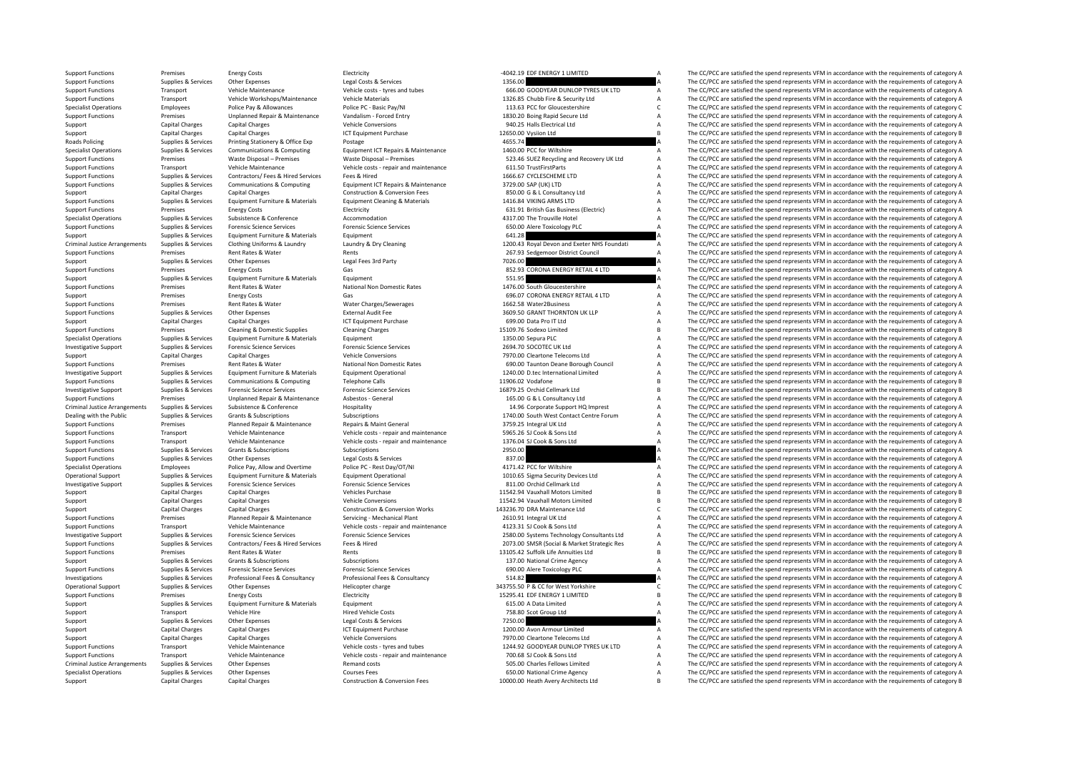Roads Policing Criminal JusticeCriminal JusticeCriminal Justice

|         | -4042.19 EDF ENERGY 1 LIMITED               | Δ |
|---------|---------------------------------------------|---|
| 1356.00 |                                             | A |
|         | 666.00 GOODYEAR DUNLOP TYRES UK LTD         | A |
|         | 1326.85 Chubb Fire & Security Ltd           | A |
|         | 113.63 PCC for Gloucestershire              | Ċ |
|         | 1830.20 Boing Rapid Secure Ltd              | Δ |
|         | 940.25 Halls Electrical Ltd                 | A |
|         | 12650.00 Vysiion Ltd                        | R |
| 4655.74 |                                             | A |
|         | 1460.00 PCC for Wiltshire                   | A |
|         | 523.46 SUEZ Recycling and Recovery UK Ltd   | A |
|         | 611.50 TrustFirstParts                      | A |
|         | 1666.67 CYCLESCHEME LTD                     | A |
|         | 3729.00 SAP (UK) LTD                        | A |
|         | 850.00 G & L Consultancy Ltd                | A |
|         | 1416.84 VIKING ARMS LTD                     | A |
|         | 631.91 British Gas Business (Electric)      | A |
|         | 4317.00 The Trouville Hotel                 | A |
|         | 650.00 Alere Toxicology PLC                 | Δ |
| 641.28  |                                             | Δ |
|         | 1200.43 Royal Devon and Exeter NHS Foundati | A |
|         | 267.93 Sedgemoor District Council           | A |
| 7026.00 |                                             | A |
|         | 852.93 CORONA ENERGY RETAIL 4 LTD           | Δ |
| 551.95  |                                             | A |
|         | 1476.00 South Gloucestershire               | A |
|         | 696.07 CORONA ENERGY RETAIL 4 LTD           | A |
|         | 1662.58 Water2Business                      | A |
|         | 3609.50 GRANT THORNTON UK LLP               | Δ |
|         | 699.00 Data Pro IT Ltd                      | A |
|         | 15109.76 Sodexo Limited                     | B |
|         | 1350.00 Sepura PLC                          | A |
|         | 2694.70 SOCOTEC UK Ltd                      | A |
|         | 7970.00 Cleartone Telecoms Ltd              | A |
|         | 690.00 Taunton Deane Borough Council        | A |
|         | 1240.00 D.tec International Limited         | A |
|         | 11906.02 Vodafone                           | B |
|         | 16879.25 Orchid Cellmark Ltd                | B |
|         | 165.00 G & L Consultancy Ltd                | Δ |
|         |                                             | A |
|         | 14.96 Corporate Support HQ Imprest          |   |
|         | 1740.00 South West Contact Centre Forum     | A |
|         | 3759.25 Integral UK Ltd                     | A |
|         | 5965.26 SJ Cook & Sons Ltd                  | A |
|         | 1376.04 SJ Cook & Sons Ltd                  | A |
| 2950.00 |                                             | A |
| 837.00  |                                             | A |
|         | 4171.42 PCC for Wiltshire                   | A |
|         | 1010.65 Sigma Security Devices Ltd          | A |
|         | 811.00 Orchid Cellmark Ltd                  | A |
|         | 11542.94 Vauxhall Motors Limited            | B |
|         | 11542.94 Vauxhall Motors Limited            | B |
|         | 143236.70 DRA Maintenance Ltd               | C |
|         | 2610.91 Integral UK Ltd                     | A |
|         | 4123.31 SJ Cook & Sons Ltd                  | A |
|         | 2580.00 Systems Technology Consultants Ltd  | A |
|         | 2073.00 SMSR (Social & Market Strategic Res | A |
|         | 13105.42 Suffolk Life Annuities Ltd         | R |
|         | 137.00 National Crime Agency                | Δ |
|         | 690.00 Alere Toxicology PLC                 | A |
| 514.82  |                                             | A |
|         | 343755.50 P & CC for West Yorkshire         | Ċ |
|         | 15295.41 EDF ENERGY 1 LIMITED               | B |
|         | 615.00 A Data Limited                       | A |
|         | 758.80 Scot Group Ltd                       | A |
|         |                                             | A |
| 7250.00 |                                             |   |
|         | 1200.00 Avon Armour Limited                 | A |
|         | 7970.00 Cleartone Telecoms Ltd              | A |
|         | 1244.92 GOODYEAR DUNLOP TYRES UK LTD        | A |
|         | 700.68 SJ Cook & Sons Ltd                   | A |
|         | 505.00 Charles Fellows Limited              | A |
|         | 650.00 National Crime Agency                | A |

Support Functions Premises Energy Costs Electricity Electricity **Electricity Electricity Electricity A The CC/PCC are satisfied the spend represents VFM in accordance with the requirements of category A** Support Functions Supplies & Services Other Expenses Legal Costs & Services 1356.00 1356.00 A The CC/PCC are satisfied the spend represents VFM in accordance with the requirements of category A Support Functions Transport Vehicle Maintenance Vehicle costs - tyres and tubes 66.00 GOODYEAR DUNLOP TYRES UK LTD A The CC/PCC are satisfied the spend represents VFM in accordance with the requirements of category A<br>Suppo Transport Vehicle Workshops/Maintenance Vehicle Materials 1326.85 Chubb Fire & Security Ltd A The CC/PCC are satisfied the spend represents VFM in accordance with the requirements of category A Specialist Operations Employees Police Pay & Allowances Police PC – Basic Pay/NI 113.63 PCC for Gloucestershire C The CC/PCC are satisfied the spend represents VFM in accordance with the requirements of category C Support Support Functions Premises Unplanned Repair & Maintenance Vandalism ‐ Forced Entry 1830.20 Boing Rapid Secure Ltd A The CC/PCC are satisfied the spend represents VFM in accordance with the requirements of category A Support Capital Charges Capital Charges Capital Charges Vehicle Conversions 940.25 Halls Electrical Ltd A The CC/PCC are satisfied the spend represents VFM in accordance with the requirements of category A Support Capital Charges Capital Charges ICT Equipment Purchase 12650.00 Vysiion Ltd B The CC/PCC are satisfied the spend represents VFM in accordance with the requirements of category B Supplies & Services Printing Stationery & Office Exp Postage 2012 a 2015 A The CC/PCC are satisfied the spend represents VFM in accordance with the requirements of category A Supplies & Services Communications & Computing Equipment ICT Repairs & Maintenance 1460.00 PCC for Wiltshire A The CC/PCC are satisfied the spend represents VFM in accordance with the requirements of category A Support Functions Premises Waste Disposal – Premises Waste Disposal – Premises Waste Disposal – Premises Waste Disposal – Premises Waste Disposal – Premises Waste Disposal – Premises S23.46 SUEZ Recycling and Recovery UK L Support Functions Transport Vehicle Maintenance Vehicle costs - repair and maintenance S11.50 TrustFirstParts A The CC/PCC are satisfied the spend represents VFM in accordance with the requirements of category A Support Functions Supplies & Services Contractors/ Fees & Hired Services Fees & Hired 1666.67 CYCLESCHEME LTD A The CC/PCC are satisfied the spend represents VFM in accordance with the requirements of category A Support Functions Supplies & Services Communications & Computing Equipment ICT Repairs & Maintenance 3729.00 SAP (UK) LTD A The CC/PCC are satisfied the spend represents VFM in accordance with the requirements of category Support Capital Charges Capital Charges Capital Charges Construction & Conversion Fees 850.00 G & L Consultancy Ltd A The CC/PCC are satisfied the spend represents VFM in accordance with the requirements of category A Sunnort Euroritors Sunning & Services Foujument Euroriture & Materials Foujument Cleaning & Materials and Materials 1416 & 2016 (NG ARMS LITE) The CC/PCC are satisfied the spend represents VEM in accordance with the requir Support Functions Premises Energy Costs Electricity Electricity Electricity and the content of category and the spend represents VFM in accordance with the requirements of category A The CC/PCC are satisfied the spend repr Specialist Operations Supplies Specialist Operation and Accommodation 4317.00 The Trouville Hotel A The CC/PC are satisfied the spend represents VFM in accordance with the requirements of category A Specialist Operation an Support Functions Supplies & Services Forensic Science Services Forensic Science Services Forensic Science Services Forensic Science Services Support and the CC/PC are satisfied the spend represents VFM in accordance with Support Supplies & Services Equipment Furniture & Materials Equipment Equipment Equipment Equipment Equipment Equipment Equipment and the Services Conting University A The CC/PCC are satisfied the spend represents VFM in a Supplies & Services Clothing Uniforms & Laundry and Uniform and Uniform Schements of category A and Devenius many and Devenis and Exerter NHS Foundati A The CC/PCC are satisfied the spend represents VFM in accordance with Support Functions Premises Rent Rates & Water Rents 267.93 Sedgemoor District Council A The CC/PCC are satisfied the spend represents VFM in accordance with the requirements of category A Support Supplies & Services Other Expenses Legal Fees 3rd Party 1999 Fees 3rd Party 7026.00 7026.00 7026.00 7026.00 A The CC/PCC are satisfied the spend represents VFM in accordance with the requirements of category A Supp Support Functions Premises Premises Energy Costs Gas Gas Sashing Costs Category A Support Energy Costs Gas and Content Costs Gas and Costs Category A The CC/PCC are satisfied the spend represents VFM in accordance with the Supplies & Services Equipment Furniture & Materials Equipment Support Support Support A The CC/PCC are satisfied the spend represents VFM in accordance with the requirements of category A Support Functions Premises Rent Rates & Water National Non Domestic Rates 1476.00 South Gloucestershire A The CC/PCC are satisfied the spend represents VFM in accordance with the requirements of category A Support Premises Energy Costs Gas Gas Gas Concerned Content Concerned Based on the CONNA ENERGY RETAIL 4 LTD A The CC/PCC are satisfied the spend represents VFM in accordance with the requirements of category A Support Fun Support Functions Premises Rent Rates and Mater Charges and the CC/PC are satisfied the spend represents VFM in accordance with the requirements of category A The CC/PCC are satisfied the spend represents VFM in accordance Support Functions Supplies & Services Other Expenses Support External Audit Fee 3609.50 GRANT THORNTON UK LLP A The CC/PCC are satisfied the spend represents VFM in accordance with the requirements of category A<br>Support Ca Support Capital Charges Capital Charges Capital Charges ICT Equipment Purchase 699.00 Data Pro IT Ltd A The CC/PCC are satisfied the spend represents VFM in accordance with the requirements of category A Support Functions Premises Cleaning & Domestic Supplies Cleaning Charges Cleaning Charges 15109.76 Sodexo Limited B The CC/PCC are satisfied the spend represents VFM in accordance with the requirements of category B Specia Specialist Operations Supplies & Services Equipment Furniture & Materials Equipment Equipment Equipment and the equipment of category A The CC/PCC are satisfied the spend represents VFM in accordance with the requirements Investigative Support Support Support Support Services Forensic Science Services Forensic Science Services 2694.70 SOCOTEC UK Ltd A The CC/PCC are satisfied the spend represents VFM in accordance with the requirements of c Support Capital Charges Capital Charges Capital Charges Vehicle Conversions Vehicle Conversions 7970.00 Cleartone Telecoms Ltd A The CC/PCC are satisfied the spend represents VFM in accordance with the requirements of cate Support Functions Premises Rent Rates Rent Rates National Non Domestic Rates 690.00 Taunton Deane Borough Council A The CC/PCC are satisfied the spend represents VFM in accordance with the requirements of category A<br>Suppli Investigative Support Supplies & Services Equipment Furniture & Materials Equipment Operational Equipment Operational expansional care and the material and the communications of a state of a state of the spend represents V Support Functions Supplies & Services Communications & Computing Telephone Calls 11906.02 Vodafone 11906.02 Vodafone B The CC/PCC are satisfied the spend represents VFM in accordance with the requirements of category B Investigative Support Support Support Support Services Forensic Science Services Forensic Science Services Forensic Science Services Forensic Science Services Forensic Science Services Forensic Science Services Forensic Sc Support Functions Premises Unplanned Repair & Maintenance Asbestos - General 165.00 G & L Consultancy Ltd A The CC/PCC are satisfied the spend represents VFM in accordance with the requirements of category A Supplies & Subsistence & Conference Hospitality Hospitality 14.96 Corporate Support HQ Imprest A The CC/PCC are satisfied the spend represents VFM in accordance with the requirements of category A Dealing with the Public Supplies & Services Grants & Subscriptions Subscriptions Subscriptions Subscriptions Subscriptions and the spend of the CC/PCC are satisfied the spend represents VFM in accordance with the requireme Support Functions Premises Planned Repair & Maintenance Repairs & Maint General 3759.25 Integral 3759.25 Integral UK Ltd A The CC/PCC are satisfied the spend represents VFM in accordance with the requirements of category A Support Functions Transport Vehicle Maintenance Vehicle costs repair and maintenance 5965.26 SJ Cook & Sons Ltd A The CC/PCC are satisfied the spend represents VFM in accordance with the requirements of category A The CC/P Support Functions Transport Vehicle Maintenance Vehicle costs - repair and maintenance 1376.04 SJ Cook & Sons Ltd A The CC/PCC are satisfied the spend represents VFM in accordance with the requirements of category A Support Functions Supplies & Services Grants & Subscriptions Subscriptions Subscriptions Subscriptions Subscriptions 2950.00 2950.00 A The CC/PCC are satisfied the spend represents VFM in accordance with the requirements o Support Functions Supplies & Services Other Expenses Legal Costs & Services B37.00 A The CC/PCC are satisfied the spend represents VFM in accordance with the requirements of category A Specialist Operations Employees Police Pay, Allow and Overtime Police PC - Rest Day/OT/NI 4171.42 PCC for Wiltshire A The CC/PCC are satisfied the spend represents VFM in accordance with the requirements of category A Operational Support Supplies & Services Equipment Furniture & Materials Equipment Operational Equipment Operational 1010.65 Sigma Security Devices Ltd A The CC/PCC are satisfied the spend represents VFM in accordance with Investigative Support Support Support Support Services Forensic Science Services Forensic Science Services 811.00 Orchid Cellmark Ltd A The CC/PCC are satisfied the spend represents VFM in accordance with the requirements Support Capital Charges Capital Charges Capital Charges Vehicles Purchase Vehicles Purchase 11542.94 Vauxhall Motors Limited B The CC/PCC are satisfied the spend represents VFM in accordance with the requirements of catego Support Capital Charges Capital Charges Vehicle Conversions Vehicle Conversions 11542.94 Vauxhall Motors Limited B The CC/PCC are satisfied the spend represents VFM in accordance with the requirements of category B Support Capital Charges Capital Charges Capital Charges Construction & Conversion Works 143236.70 DRA Maintenance Ltd C The CC/PCC are satisfied the spend represents VFM in accordance with the requirements of category C<br>Su Support Functions Premises Planned Repair & Maintenance Servicing - Mechanical Plant 2610.91 Integral UK Ltd A The CC/PCC are satisfied the spend represents VFM in accordance with the requirements of category A Support Functions Transport Vehicle Maintenance Vehicle costs creation and maintenance 4123.31 SJ Cook & Sons Ltd A The CC/PCC are satisfied the spend represents VFM in accordance with the requirements of category A Investigative Support Supplies & Services Forensic Science Services Forensic Science Services Forensic Science Services Forensic Science Services and a substant of the CC/PCC are satisfied the spend represents VFM in accor The CC/PCC are satisfied the spend represents VFM in accordance with the requirements of category A Support Functions Premises Rent Rates & Water Rents 13105.42 Suffolk Life Annuities Ltd B The CC/PCC are satisfied the spend represents VFM in accordance with the requirements of category B Supplies & Services Grants & Subscriptions Subscriptions Subscriptions Subscriptions Subscriptions and the content of category A The CC/PCC are satisfied the spend represents VFM in accordance with the requirements of cate Support Functions Supporters Forensic Science Services Forensic Science Services Forensic Science Services 690.00 Alere Toxicology PLC A The CC/PCC are satisfied the spend represents VFM in accordance with the requirements Investigations Supplies & Services Professional Fees & Consultancy Professional Fees & Consultancy Professional Fees & Consultancy 514.82 A The CC/PCC are satisfied the spend represents VFM in accordance with the requireme Operational Support Supplies & Services Other Expenses Helicopter charge Helicopter charge 343755.50 P & CC for West Yorkshire C The CC/PCC are satisfied the spend represents VFM in accordance with the requirements of cate Support Functions Premises Premises Energy Costs Electricity Electricity Electricity Electricity Electricity 15295.41 EDF ENERGY 1 LIMITED B The CC/PCC are satisfied the spend represents VFM in accordance with the requirem Supplies & Services Equipment Furniture & Materials Equipment Cupy Equipment A Category A The CC/PCC are satisfied the spend represents VFM in accordance with the requirements of category A Support Transport Vehicle Hire Hired Vehicle Costs 758.80 Scot Group Ltd A The CC/PCC are satisfied the spend represents VFM in accordance with the requirements of category A Support Supplies & Services Other Expenses Manual Costs Bervices Press and the COST of The COPCC are satisfied the spend represents VFM in accordance with the requirements of category A Category A Category A The CC/PCC are Support Capital Charges Capital Charges Capital Charges ICT Equipment Purchase 1200.00 Avon Armour Limited A The CC/PCC are satisfied the spend represents VFM in accordance with the requirements of category A Support Capital Charges Capital Charges Vehicle Conversions 7970.00 Cleartone Telecoms Ltd A The CC/PCC are satisfied the spend represents VFM in accordance with the requirements of category A Support Functions Transport Vehicle Maintenance Vehicle costs - tyres and tubes 1244.92 GOODYEAR DUNLOP TYRES UK LTD A The CC/PCC are satisfied the spend represents VFM in accordance with the requirements of category A Support Functions Transport Vehicle Maintenance Vehicle Costs - repair and maintenance 700.68 SL Cook & Sons Ltd A The CC/PCC are satisfied the spend represents VFM in accordance with the requirements of category A Supplies & Services Other Expenses Supplies Remand costs and the Supplies Remand costs and the requirements of category A The CC/PCC are satisfied the spend represents VFM in accordance with the requirements of category A Specialist Operations Supplies & Services Other Expenses Courses Fees Courses Fees 650.00 National Crime Agency A The CC/PCC are satisfied the spend represents VFM in accordance with the requirements of category A Support Capital Charges Capital Charges Construction & Conversion Fees 10000.00 Heath Avery Architects Ltd B The CC/PCC are satisfied the spend represents VFM in accordance with the requirements of category B